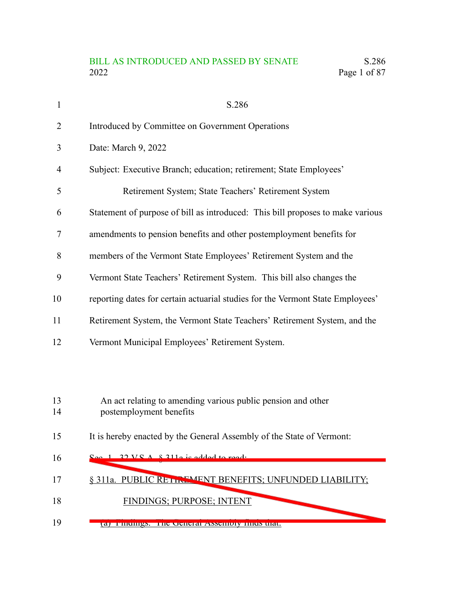## BILL AS INTRODUCED AND PASSED BY SENATE S.286 2022 Page 1 of 87

| $\mathbf{1}$   | S.286                                                                                   |
|----------------|-----------------------------------------------------------------------------------------|
| $\overline{2}$ | Introduced by Committee on Government Operations                                        |
| 3              | Date: March 9, 2022                                                                     |
| 4              | Subject: Executive Branch; education; retirement; State Employees'                      |
| 5              | Retirement System; State Teachers' Retirement System                                    |
| 6              | Statement of purpose of bill as introduced: This bill proposes to make various          |
| 7              | amendments to pension benefits and other postemployment benefits for                    |
| 8              | members of the Vermont State Employees' Retirement System and the                       |
| 9              | Vermont State Teachers' Retirement System. This bill also changes the                   |
| 10             | reporting dates for certain actuarial studies for the Vermont State Employees'          |
| 11             | Retirement System, the Vermont State Teachers' Retirement System, and the               |
| 12             | Vermont Municipal Employees' Retirement System.                                         |
|                |                                                                                         |
|                |                                                                                         |
| 13<br>14       | An act relating to amending various public pension and other<br>postemployment benefits |

It is hereby enacted by the General Assembly of the State of Vermont: 15

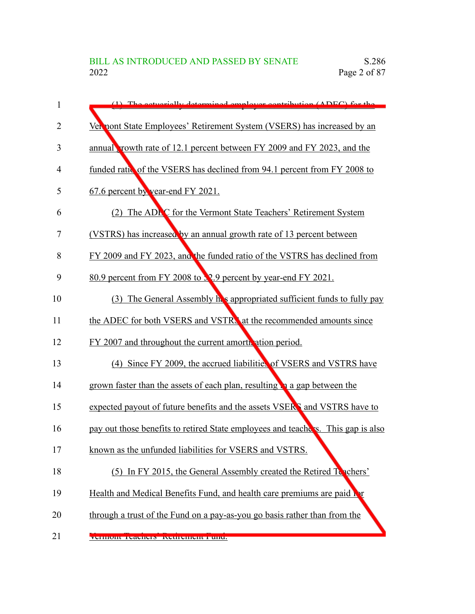| 1              | (1) The actuarially determined employer contribution (ADEC) for the                |
|----------------|------------------------------------------------------------------------------------|
| $\overline{2}$ | Vernont State Employees' Retirement System (VSERS) has increased by an             |
| 3              | annual, rowth rate of 12.1 percent between FY 2009 and FY 2023, and the            |
| 4              | funded ratio of the VSERS has declined from 94.1 percent from FY 2008 to           |
| 5              | 67.6 percent by year-end FY 2021.                                                  |
| 6              | (2) The ADEC for the Vermont State Teachers' Retirement System                     |
| 7              | (VSTRS) has increased by an annual growth rate of 13 percent between               |
| 8              | FY 2009 and FY 2023, and the funded ratio of the VSTRS has declined from           |
| 9              | 80.9 percent from FY 2008 to 32.9 percent by year-end FY 2021.                     |
| 10             | (3) The General Assembly he's appropriated sufficient funds to fully pay           |
| 11             | the ADEC for both VSERS and VSTRN at the recommended amounts since                 |
| 12             | FY 2007 and throughout the current amorth ation period.                            |
| 13             | (4) Since FY 2009, the accrued liabilities of VSERS and VSTRS have                 |
| 14             | grown faster than the assets of each plan, resulting <b>the asset of the grown</b> |
| 15             | expected payout of future benefits and the assets VSERS and VSTRS have to          |
| 16             | pay out those benefits to retired State employees and teachers. This gap is also   |
| 17             | known as the unfunded liabilities for VSERS and VSTRS.                             |
| 18             | (5) In FY 2015, the General Assembly created the Retired Teachers'                 |
| 19             | Health and Medical Benefits Fund, and health care premiums are paid by             |
| 20             | through a trust of the Fund on a pay-as-you go basis rather than from the          |
| 21             | VUHIIOIR IUAUHUIS RUHIUHUIN PUHU.                                                  |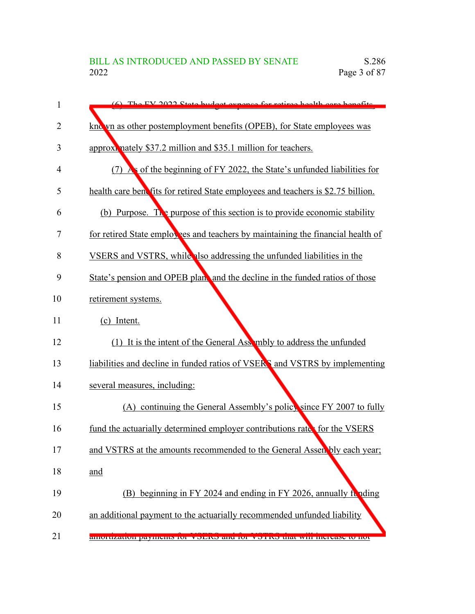| 1              | (6) The EV 2022 State budget expanse for retires health care benefits            |
|----------------|----------------------------------------------------------------------------------|
| $\overline{2}$ | kno yn as other postemployment benefits (OPEB), for State employees was          |
| 3              | approximately \$37.2 million and \$35.1 million for teachers.                    |
| 4              | (7) As of the beginning of FY 2022, the State's unfunded liabilities for         |
| 5              | health care benefits for retired State employees and teachers is \$2.75 billion. |
| 6              | (b) Purpose. The purpose of this section is to provide economic stability        |
| 7              | for retired State employees and teachers by maintaining the financial health of  |
| 8              | VSERS and VSTRS, while also addressing the unfunded liabilities in the           |
| 9              | State's pension and OPEB plans and the decline in the funded ratios of those     |
| 10             | retirement systems.                                                              |
| 11             | (c) Intent.                                                                      |
| 12             | (1) It is the intent of the General Assembly to address the unfunded             |
| 13             | liabilities and decline in funded ratios of VSERS and VSTRS by implementing      |
| 14             | several measures, including:                                                     |
| 15             | (A) continuing the General Assembly's policy since FY 2007 to fully              |
| 16             | fund the actuarially determined employer contributions rate for the VSERS        |
| 17             | and VSTRS at the amounts recommended to the General Assenbly each year;          |
| 18             | and                                                                              |
| 19             | (B) beginning in FY 2024 and ending in FY 2026, annually funding                 |
| 20             | an additional payment to the actuarially recommended unfunded liability          |
| 21             | amoruzation payments for visitive and for visitive that will increase to not     |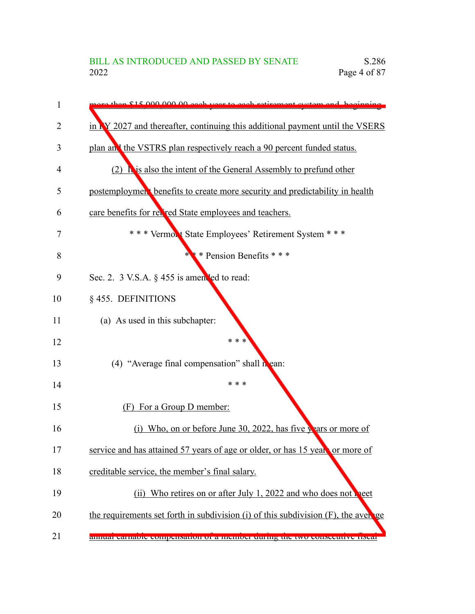| 1  | are than \$15,000,000,00 each year to each retirement system and beginning               |
|----|------------------------------------------------------------------------------------------|
| 2  | in NY 2027 and thereafter, continuing this additional payment until the VSERS            |
| 3  | plan and the VSTRS plan respectively reach a 90 percent funded status.                   |
| 4  | (2) $\Gamma$ is also the intent of the General Assembly to prefund other                 |
| 5  | postemploymen <sup>t</sup> benefits to create more security and predictability in health |
| 6  | care benefits for red red State employees and teachers.                                  |
| 7  | *** Vermont State Employees' Retirement System ***                                       |
| 8  | * * Pension Benefits * * *<br>ж.                                                         |
| 9  | Sec. 2. $3$ V.S.A. $\S$ 455 is amended to read:                                          |
| 10 | § 455. DEFINITIONS                                                                       |
| 11 | (a) As used in this subchapter:                                                          |
| 12 | * * *                                                                                    |
| 13 | (4) "Average final compensation" shall $\mathbf{h}$ ean:                                 |
| 14 | * * *                                                                                    |
| 15 | (F) For a Group D member:                                                                |
| 16 | (i) Who, on or before June 30, 2022, has five $\chi$ ars or more of                      |
| 17 | service and has attained 57 years of age or older, or has 15 years or more of            |
| 18 | creditable service, the member's final salary.                                           |
| 19 | (ii) Who retires on or after July 1, 2022 and who does not help                          |
| 20 | the requirements set forth in subdivision (i) of this subdivision (F), the average       |
| 21 | annuar carnavic compensation or a memocr utimig the two consecutive insear               |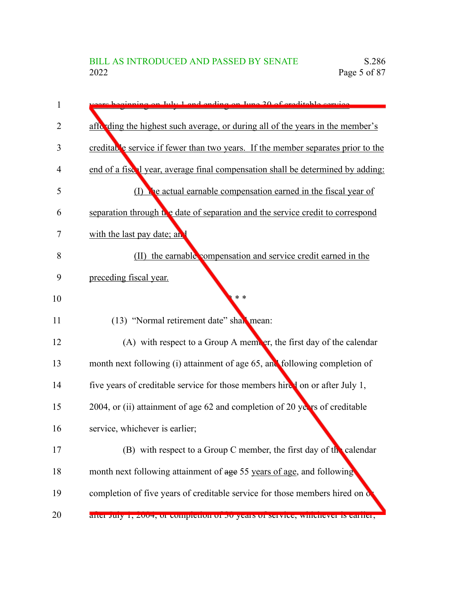| 1  | re beginning on July 1 and ending on June 20 of creditable convice               |
|----|----------------------------------------------------------------------------------|
| 2  | affe ding the highest such average, or during all of the years in the member's   |
| 3  | creditable service if fewer than two years. If the member separates prior to the |
| 4  | end of a fiscal year, average final compensation shall be determined by adding:  |
| 5  | (I) the actual earnable compensation earned in the fiscal year of                |
| 6  | separation through the date of separation and the service credit to correspond   |
| 7  | with the last pay date; and                                                      |
| 8  | (II) the earnable compensation and service credit earned in the                  |
| 9  | preceding fiscal year.                                                           |
| 10 | $* *$                                                                            |
| 11 | (13) "Normal retirement date" shall mean:                                        |
| 12 | (A) with respect to a Group A member, the first day of the calendar              |
| 13 | month next following (i) attainment of age 65, and following completion of       |
| 14 | five years of creditable service for those members hired on or after July 1,     |
| 15 | 2004, or (ii) attainment of age 62 and completion of 20 years of creditable      |
| 16 | service, whichever is earlier;                                                   |
| 17 | (B) with respect to a Group C member, the first day of the calendar              |
| 18 | month next following attainment of age 55 years of age, and following            |
| 19 | completion of five years of creditable service for those members hired on o      |
| 20 | anci July 1, 2004, of completion of 50 years of service, whichever is earner,    |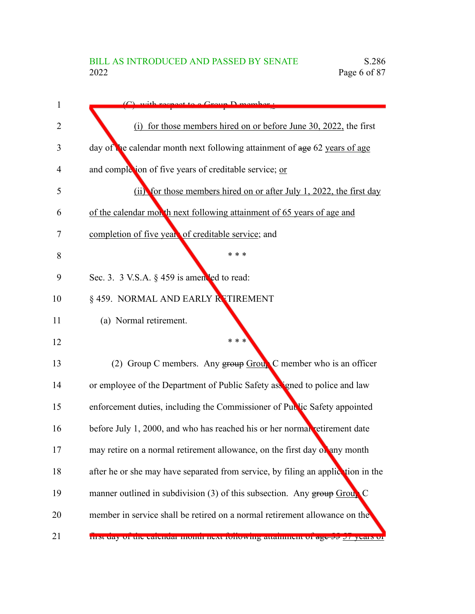| 1  | with regnect to a Group D member                                                               |
|----|------------------------------------------------------------------------------------------------|
| 2  | (i) for those members hired on or before June 30, 2022, the first                              |
| 3  | day of the calendar month next following attainment of age 62 years of age                     |
| 4  | and completion of five years of creditable service; or                                         |
| 5  | (ii) for those members hired on or after July 1, 2022, the first day                           |
| 6  | of the calendar month next following attainment of 65 years of age and                         |
| 7  | completion of five years of creditable service; and                                            |
| 8  | * * *                                                                                          |
| 9  | Sec. 3. 3 V.S.A. § 459 is amen led to read:                                                    |
| 10 | § 459. NORMAL AND EARLY RETIREMENT                                                             |
| 11 | (a) Normal retirement.                                                                         |
| 12 | * * *                                                                                          |
| 13 | (2) Group C members. Any group Group C member who is an officer                                |
| 14 | or employee of the Department of Public Safety assigned to police and law                      |
| 15 | enforcement duties, including the Commissioner of Public Safety appointed                      |
| 16 | before July 1, 2000, and who has reached his or her normal retirement date                     |
| 17 | may retire on a normal retirement allowance, on the first day on any month                     |
| 18 | after he or she may have separated from service, by filing an application in the               |
| 19 | manner outlined in subdivision $(3)$ of this subsection. Any group Group                       |
| 20 | member in service shall be retired on a normal retirement allowance on the                     |
| 21 | <u>mst day of the calendar month next fonowing attainment of <del>age 33</del> 27 years of</u> |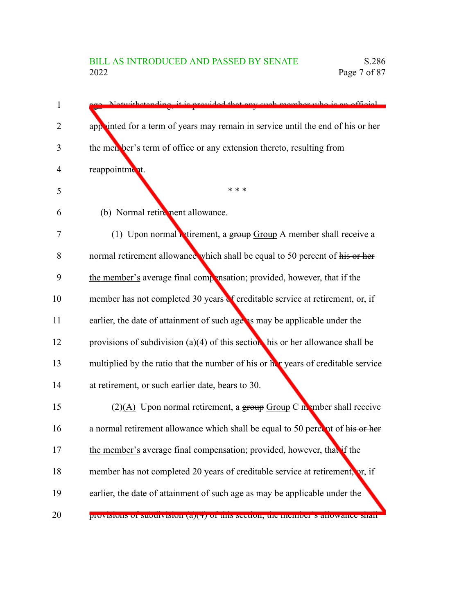| 1  | Notwithstanding it is provided that any such member who is an official            |
|----|-----------------------------------------------------------------------------------|
| 2  | appointed for a term of years may remain in service until the end of his or her   |
| 3  | the men ber's term of office or any extension thereto, resulting from             |
| 4  | reappointment.                                                                    |
| 5  | * * *                                                                             |
| 6  | (b) Normal retirement allowance.                                                  |
| 7  | (1) Upon normal <b>Retirement</b> , a group $Group A$ member shall receive a      |
| 8  | normal retirement allowance which shall be equal to 50 percent of his or her      |
| 9  | the member's average final compensation; provided, however, that if the           |
| 10 | member has not completed 30 years of creditable service at retirement, or, if     |
| 11 | earlier, the date of attainment of such age as may be applicable under the        |
| 12 | provisions of subdivision (a)(4) of this section his or her allowance shall be    |
| 13 | multiplied by the ratio that the number of his or her years of creditable service |
| 14 | at retirement, or such earlier date, bears to 30.                                 |
| 15 | $(2)(A)$ Upon normal retirement, a group Group C member shall receive             |
| 16 | a normal retirement allowance which shall be equal to 50 percent of his or her    |
| 17 | the member's average final compensation; provided, however, that if the           |
| 18 | member has not completed 20 years of creditable service at retirement, or, if     |
| 19 | earlier, the date of attainment of such age as may be applicable under the        |
| 20 | provisions or subdivision (a)(+) or this section, the inemper s anowance shall    |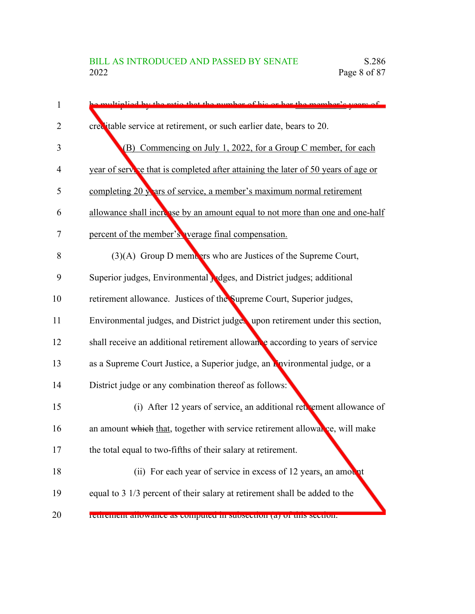| 1              | be multiplied by the ratio that the number of his or her the member's years of    |
|----------------|-----------------------------------------------------------------------------------|
| $\overline{2}$ | crecitable service at retirement, or such earlier date, bears to 20.              |
| 3              | (B) Commencing on July 1, 2022, for a Group C member, for each                    |
| 4              | year of service that is completed after attaining the later of 50 years of age or |
| 5              | completing 20 years of service, a member's maximum normal retirement              |
| 6              | allowance shall increase by an amount equal to not more than one and one-half     |
| 7              | percent of the member's verage final compensation.                                |
| 8              | (3)(A) Group D members who are Justices of the Supreme Court,                     |
| 9              | Superior judges, Environmental Judges, and District judges; additional            |
| 10             | retirement allowance. Justices of the Supreme Court, Superior judges,             |
| 11             | Environmental judges, and District judges upon retirement under this section,     |
| 12             | shall receive an additional retirement allowance according to years of service    |
| 13             | as a Supreme Court Justice, a Superior judge, an Environmental judge, or a        |
| 14             | District judge or any combination thereof as follows:                             |
| 15             | (i) After 12 years of service, an additional retrement allowance of               |
| 16             | an amount which that, together with service retirement allowal ce, will make      |
| 17             | the total equal to two-fifths of their salary at retirement.                      |
| 18             | (ii) For each year of service in excess of 12 years, an amount                    |
| 19             | equal to 3 1/3 percent of their salary at retirement shall be added to the        |
| 20             | reurement anowance as computed in subsection (a) or this section.                 |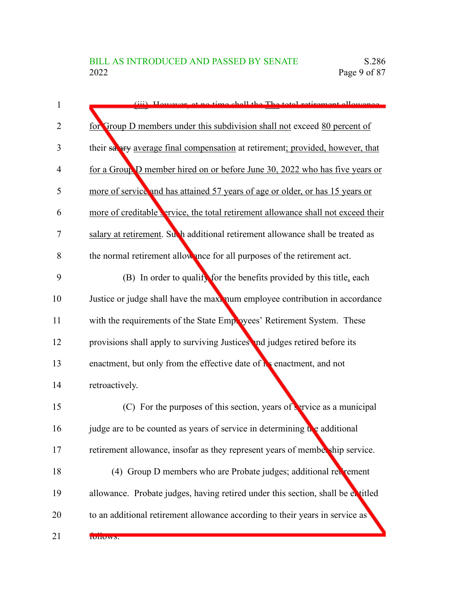| $\mathbf{1}$   | (iii) However at no time shall the The total retirement allowance                  |
|----------------|------------------------------------------------------------------------------------|
| $\overline{2}$ | for Group D members under this subdivision shall not exceed 80 percent of          |
| 3              | their salary average final compensation at retirement; provided, however, that     |
| 4              | for a Group D member hired on or before June 30, 2022 who has five years or        |
| 5              | more of service and has attained 57 years of age or older, or has 15 years or      |
| 6              | more of creditable vervice, the total retirement allowance shall not exceed their  |
| 7              | salary at retirement. Such additional retirement allowance shall be treated as     |
| 8              | the normal retirement allowance for all purposes of the retirement act.            |
| 9              | (B) In order to qualify for the benefits provided by this title, each              |
| 10             | Justice or judge shall have the maximum employee contribution in accordance        |
| 11             | with the requirements of the State Employees' Retirement System. These             |
| 12             | provisions shall apply to surviving Justices and judges retired before its         |
| 13             | enactment, but only from the effective date of is enactment, and not               |
| 14             | retroactively.                                                                     |
| 15             | (C) For the purposes of this section, years of $\frac{1}{2}$ arvice as a municipal |
| 16             | judge are to be counted as years of service in determining the additional          |
| 17             | retirement allowance, insofar as they represent years of membership service.       |
| 18             | (4) Group D members who are Probate judges; additional retirement                  |
| 19             | allowance. Probate judges, having retired under this section, shall be extitled    |
| 20             | to an additional retirement allowance according to their years in service as       |
| 21             | <b>IUIIUWS.</b>                                                                    |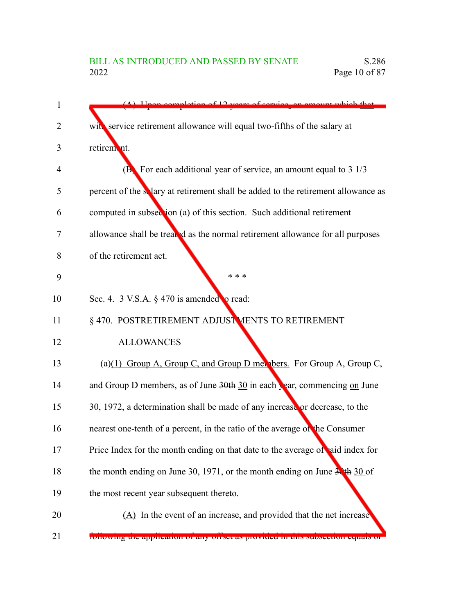| 1              | $(A)$ Upon completion of 12 years of service, an amount which that                                 |
|----------------|----------------------------------------------------------------------------------------------------|
| $\overline{2}$ | with service retirement allowance will equal two-fifths of the salary at                           |
| 3              | retirem nt.                                                                                        |
| 4              | ( $\bf{B}$ ) For each additional year of service, an amount equal to 3 1/3                         |
| 5              | percent of the salary at retirement shall be added to the retirement allowance as                  |
| 6              | computed in subsection (a) of this section. Such additional retirement                             |
| 7              | allowance shall be treated as the normal retirement allowance for all purposes                     |
| 8              | of the retirement act.                                                                             |
| 9              | * * *                                                                                              |
| 10             | Sec. 4. 3 V.S.A. $\S$ 470 is amended to read:                                                      |
| 11             | § 470. POSTRETIREMENT ADJUST MENTS TO RETIREMENT                                                   |
| 12             | <b>ALLOWANCES</b>                                                                                  |
| 13             | (a)(1) Group A, Group C, and Group D members. For Group A, Group C,                                |
| 14             | and Group D members, as of June $30th \frac{30}{10}$ in each $\frac{1}{20}$ ar, commencing on June |
| 15             | 30, 1972, a determination shall be made of any increase or decrease, to the                        |
| 16             | nearest one-tenth of a percent, in the ratio of the average of the Consumer                        |
| 17             | Price Index for the month ending on that date to the average of aid index for                      |
| 18             | the month ending on June 30, 1971, or the month ending on June $3\cdot$ th 30 of                   |
| 19             | the most recent year subsequent thereto.                                                           |
| 20             | (A) In the event of an increase, and provided that the net increase                                |
| 21             | ronowing the application of any offset as provided in this subsection equals of                    |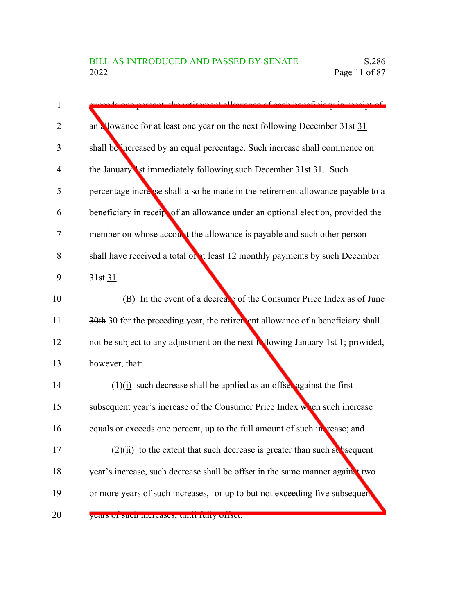| 1              | de ang norgant, the retirement allowance of each honoficiary in regaint.                            |
|----------------|-----------------------------------------------------------------------------------------------------|
| $\overline{2}$ | an allowance for at least one year on the next following December 31st 31                           |
| 3              | shall be increased by an equal percentage. Such increase shall commence on                          |
| 4              | the January <b>Ist immediately following such December 31st 31</b> . Such                           |
| 5              | percentage increase shall also be made in the retirement allowance payable to a                     |
| 6              | beneficiary in receipt of an allowance under an optional election, provided the                     |
| 7              | member on whose account the allowance is payable and such other person                              |
| 8              | shall have received a total of at least 12 monthly payments by such December                        |
| 9              | 31st 31.                                                                                            |
| 10             | (B) In the event of a decrease of the Consumer Price Index as of June                               |
| 11             | 30th 30 for the preceding year, the retirement allowance of a beneficiary shall                     |
| 12             | not be subject to any adjustment on the next $\frac{1}{2}$ lowing January $\frac{1}{2}$ ; provided, |
| 13             | however, that:                                                                                      |
| 14             | $(1)(i)$ such decrease shall be applied as an offset against the first                              |
| 15             | subsequent year's increase of the Consumer Price Index with en such increase                        |
| 16             | equals or exceeds one percent, up to the full amount of such in rease; and                          |
| 17             | $\frac{2}{i}$ to the extent that such decrease is greater than such subsequent                      |
| 18             | year's increase, such decrease shall be offset in the same manner againt two                        |
| 19             | or more years of such increases, for up to but not exceeding five subsequent                        |
| 20             | years or such mereases, unui runy oriset.                                                           |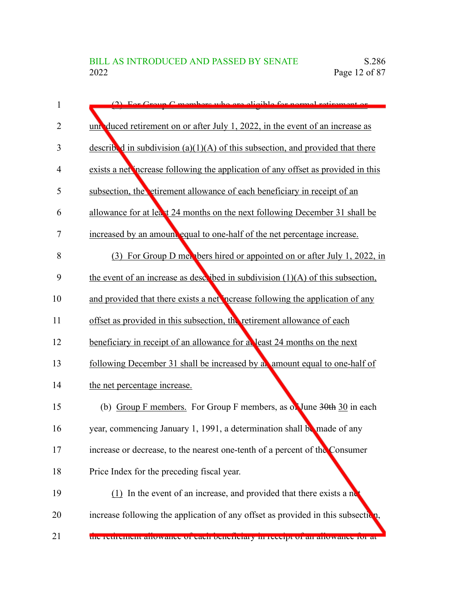| 1              | (2) For Group C members who are eligible for normal retirement or                 |
|----------------|-----------------------------------------------------------------------------------|
| $\overline{2}$ | univaluded retirement on or after July 1, 2022, in the event of an increase as    |
| 3              | described in subdivision (a)(1)(A) of this subsection, and provided that there    |
| $\overline{4}$ | exists a net increase following the application of any offset as provided in this |
| 5              | subsection, the etirement allowance of each beneficiary in receipt of an          |
| 6              | allowance for at least 24 months on the next following December 31 shall be       |
| 7              | increased by an amount equal to one-half of the net percentage increase.          |
| 8              | For Group D mer bers hired or appointed on or after July 1, 2022, in<br>(3)       |
| 9              | the event of an increase as described in subdivision $(1)(A)$ of this subsection, |
| 10             | and provided that there exists a net nerease following the application of any     |
| 11             | offset as provided in this subsection, the retirement allowance of each           |
| 12             | beneficiary in receipt of an allowance for a least 24 months on the next          |
| 13             | following December 31 shall be increased by an amount equal to one-half of        |
| 14             | the net percentage increase.                                                      |
| 15             | (b) Group F members. For Group F members, as on June 30th 30 in each              |
| 16             | year, commencing January 1, 1991, a determination shall be made of any            |
| 17             | increase or decrease, to the nearest one-tenth of a percent of the Consumer       |
| 18             | Price Index for the preceding fiscal year.                                        |
| 19             | $(1)$ In the event of an increase, and provided that there exists a ne            |
| 20             | increase following the application of any offset as provided in this subsection,  |
| 21             | uie reurement anowance or each ocherticiary in receipt or an anowance for at      |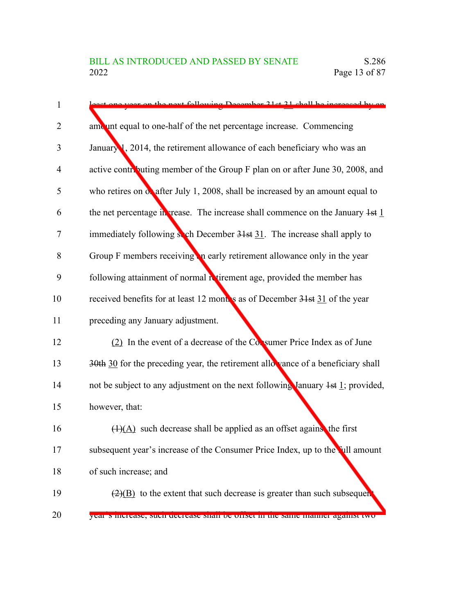| 1              | next following December 21 at 21 shall be increased by an                                      |
|----------------|------------------------------------------------------------------------------------------------|
| $\overline{2}$ | amount equal to one-half of the net percentage increase. Commencing                            |
| 3              | January 1, 2014, the retirement allowance of each beneficiary who was an                       |
| $\overline{4}$ | active contributing member of the Group F plan on or after June 30, 2008, and                  |
| 5              | who retires on $\alpha$ after July 1, 2008, shall be increased by an amount equal to           |
| 6              | the net percentage in grease. The increase shall commence on the January $1st$ 1               |
| 7              | immediately following soch December 31st 31. The increase shall apply to                       |
| 8              | Group F members receiving in early retirement allowance only in the year                       |
| 9              | following attainment of normal retirement age, provided the member has                         |
| 10             | received benefits for at least 12 months as of December 31st 31 of the year                    |
| 11             | preceding any January adjustment.                                                              |
| 12             | (2) In the event of a decrease of the Consumer Price Index as of June                          |
| 13             | $30th$ 30 for the preceding year, the retirement allowance of a beneficiary shall              |
| 14             | not be subject to any adjustment on the next following January $4st \underline{1}$ ; provided, |
| 15             | however, that:                                                                                 |
| 16             | $\left(\frac{1}{A}\right)$ such decrease shall be applied as an offset agains, the first       |
| 17             | subsequent year's increase of the Consumer Price Index, up to the full amount                  |
| 18             | of such increase; and                                                                          |
| 19             | $\left(\frac{2}{B}\right)$ to the extent that such decrease is greater than such subsequent    |
| 20             | year s morease, such uccrease shan oc onset in the same manner against two                     |

20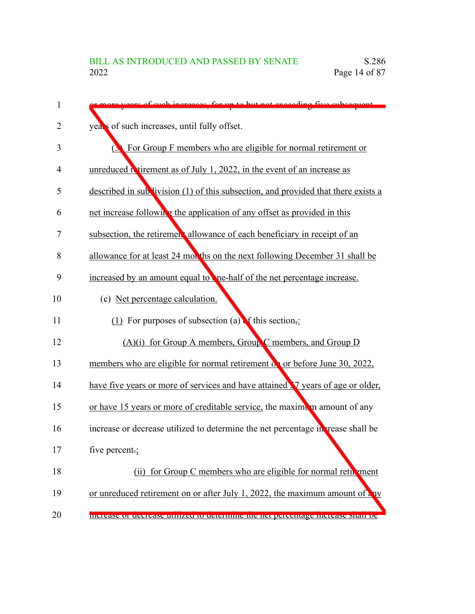| $\mathbf{1}$ | vegre of each increases for up to but not exceeding five expection                 |
|--------------|------------------------------------------------------------------------------------|
| 2            | year's of such increases, until fully offset.                                      |
| 3            | <b>S</b> For Group F members who are eligible for normal retirement or             |
| 4            | unreduced $\Lambda$ tirement as of July 1, 2022, in the event of an increase as    |
| 5            | described in sublivision (1) of this subsection, and provided that there exists a  |
| 6            | net increase following the application of any offset as provided in this           |
| 7            | subsection, the retirement allowance of each beneficiary in receipt of an          |
| 8            | allowance for at least 24 months on the next following December 31 shall be        |
| 9            | increased by an amount equal to the-half of the net percentage increase.           |
| 10           | (c) Net percentage calculation.                                                    |
| 11           | (1) For purposes of subsection (a) $\bullet$ this section.                         |
| 12           | $(A)(i)$ for Group A members, Group C members, and Group D                         |
| 13           | members who are eligible for normal retirement on or before June 30, 2022,         |
| 14           | have five years or more of services and have attained V years of age or older,     |
| 15           | or have 15 years or more of creditable service, the maximum amount of any          |
| 16           | increase or decrease utilized to determine the net percentage in rease shall be    |
| 17           | five percent.;                                                                     |
| 18           | (ii) for Group C members who are eligible for normal reth ment                     |
| 19           | or unreduced retirement on or after July 1, 2022, the maximum amount of any        |
| 20           | <u>INCREASE OF CECTEASE CUITZECHO CECENINIE DIE IEN DERENIAZE INCREASE SHAN OC</u> |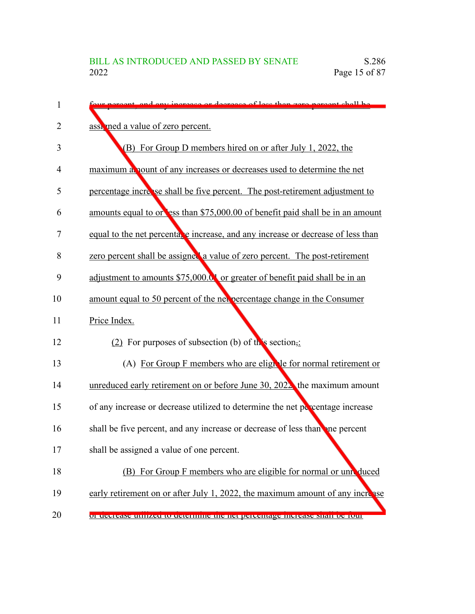| 1  | percent and any increase or decrease of loss than zero percent shall be          |
|----|----------------------------------------------------------------------------------|
| 2  | assigned a value of zero percent.                                                |
| 3  | (B) For Group D members hired on or after July 1, 2022, the                      |
| 4  | maximum a nount of any increases or decreases used to determine the net          |
| 5  | percentage increase shall be five percent. The post-retirement adjustment to     |
| 6  | amounts equal to or ess than \$75,000.00 of benefit paid shall be in an amount   |
| 7  | equal to the net percenta, e increase, and any increase or decrease of less than |
| 8  | zero percent shall be assigned a value of zero percent. The post-retirement      |
| 9  | adjustment to amounts \$75,000.01 or greater of benefit paid shall be in an      |
| 10 | amount equal to 50 percent of the net percentage change in the Consumer          |
| 11 | Price Index.                                                                     |
| 12 | (2) For purposes of subsection (b) of this section,:                             |
| 13 | (A) For Group F members who are eligible for normal retirement or                |
| 14 | unreduced early retirement on or before June 30, 2022 the maximum amount         |
| 15 | of any increase or decrease utilized to determine the net percentage increase    |
| 16 | shall be five percent, and any increase or decrease of less than one percent     |
| 17 | shall be assigned a value of one percent.                                        |
| 18 | (B) For Group F members who are eligible for normal or unreduced                 |
| 19 | early retirement on or after July 1, 2022, the maximum amount of any increase    |
| 20 | or decrease unifized to determine the net percentage increase shari oc rout      |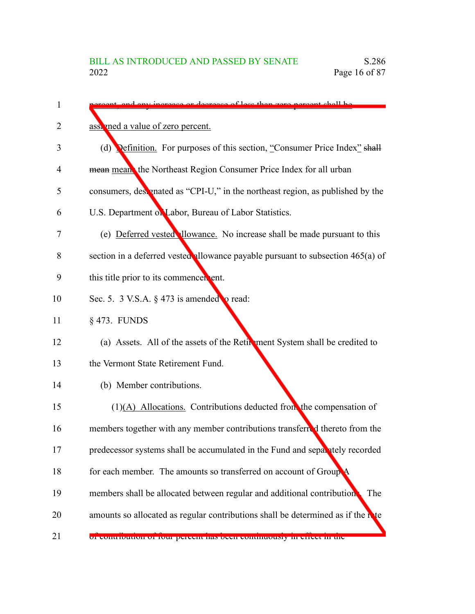| 1  | decrease of loss than zero neroent shall be                                       |
|----|-----------------------------------------------------------------------------------|
| 2  | assigned a value of zero percent.                                                 |
| 3  | (d) <b>Definition.</b> For purposes of this section, "Consumer Price Index" shall |
| 4  | mean mean the Northeast Region Consumer Price Index for all urban                 |
| 5  | consumers, designated as "CPI-U," in the northeast region, as published by the    |
| 6  | U.S. Department on Labor, Bureau of Labor Statistics.                             |
| 7  | (e) Deferred vested llowance. No increase shall be made pursuant to this          |
| 8  | section in a deferred vested allowance payable pursuant to subsection 465(a) of   |
| 9  | this title prior to its commencer ent.                                            |
| 10 | Sec. 5. 3 V.S.A. $\S$ 473 is amended $\circ$ read:                                |
| 11 | § 473. FUNDS                                                                      |
| 12 | (a) Assets. All of the assets of the Retirement System shall be credited to       |
| 13 | the Vermont State Retirement Fund.                                                |
| 14 | (b) Member contributions.                                                         |
| 15 | $(1)$ (A) Allocations. Contributions deducted from the compensation of            |
| 16 | members together with any member contributions transferred thereto from the       |
| 17 | predecessor systems shall be accumulated in the Fund and separately recorded      |
| 18 | for each member. The amounts so transferred on account of Group                   |
| 19 | members shall be allocated between regular and additional contribution<br>The     |
| 20 | amounts so allocated as regular contributions shall be determined as if the rate  |
| 21 | or contribution of four percent has been continuously in effect in the            |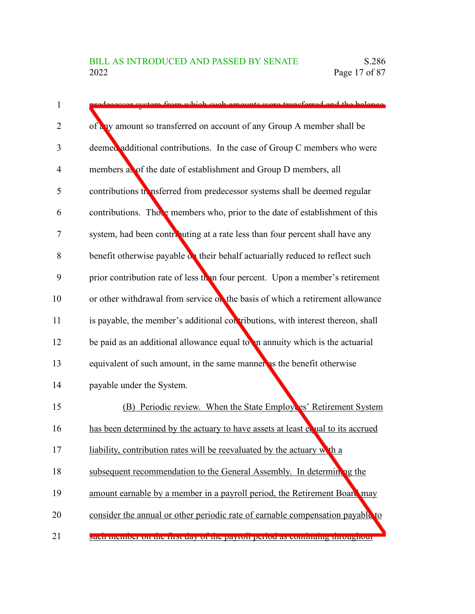| 1              | stem from which such emounts were transferred and the helence                   |
|----------------|---------------------------------------------------------------------------------|
| 2              | of any amount so transferred on account of any Group A member shall be          |
| 3              | deemed additional contributions. In the case of Group C members who were        |
| $\overline{4}$ | members as of the date of establishment and Group D members, all                |
| 5              | contributions transferred from predecessor systems shall be deemed regular      |
| 6              | contributions. Those members who, prior to the date of establishment of this    |
| 7              | system, had been contributing at a rate less than four percent shall have any   |
| 8              | benefit otherwise payable on their behalf actuarially reduced to reflect such   |
| 9              | prior contribution rate of less than four percent. Upon a member's retirement   |
| 10             | or other withdrawal from service on the basis of which a retirement allowance   |
| 11             | is payable, the member's additional contributions, with interest thereon, shall |
| 12             | be paid as an additional allowance equal to in annuity which is the actuarial   |
| 13             | equivalent of such amount, in the same manner as the benefit otherwise          |
| 14             | payable under the System.                                                       |
| 15             | (B) Periodic review. When the State Employes' Retirement System                 |
| 16             | has been determined by the actuary to have assets at least equal to its accrued |
| 17             | liability, contribution rates will be reevaluated by the actuary with a         |
| 18             | subsequent recommendation to the General Assembly. In determining the           |
| 19             | amount earnable by a member in a payroll period, the Retirement Board may       |
| 20             | consider the annual or other periodic rate of earnable compensation payable to  |
| 21             | such memoer on the mist day or the payron period as community unoughout         |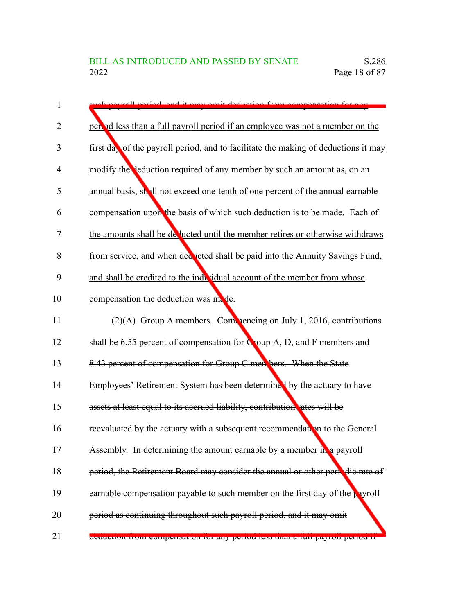| 1              | ush payrall period, and it may omit deduction from compensation for any               |
|----------------|---------------------------------------------------------------------------------------|
| $\overline{2}$ | per od less than a full payroll period if an employee was not a member on the         |
| 3              | first day of the payroll period, and to facilitate the making of deductions it may    |
| 4              | modify the deduction required of any member by such an amount as, on an               |
| 5              | annual basis, shall not exceed one-tenth of one percent of the annual earnable        |
| 6              | compensation upon the basis of which such deduction is to be made. Each of            |
| 7              | the amounts shall be de jucted until the member retires or otherwise withdraws        |
| 8              | from service, and when ded acted shall be paid into the Annuity Savings Fund,         |
| 9              | and shall be credited to the individual account of the member from whose              |
| 10             | compensation the deduction was mode.                                                  |
| 11             | (2)(A) Group A members. Commencing on July 1, 2016, contributions                     |
| 12             | shall be 6.55 percent of compensation for $C$ oup $A, D$ , and $F$ members and        |
| 13             | 8.43 percent of compensation for Group C men bers. When the State                     |
| 14             | Employees' Retirement System has been determined by the actuary to have               |
| 15             | assets at least equal to its accrued liability, contribution rates will be            |
| 16             | reevaluated by the actuary with a subsequent recommendation to the General            |
| 17             | Assembly. In determining the amount earnable by a member in a payroll                 |
| 18             | period, the Retirement Board may consider the annual or other periodic rate of        |
| 19             | earnable compensation payable to such member on the first day of the payroll          |
| 20             | period as continuing throughout such payroll period, and it may omit                  |
| 21             | <del>deduction nom compensation for any period less than a fun payron period in</del> |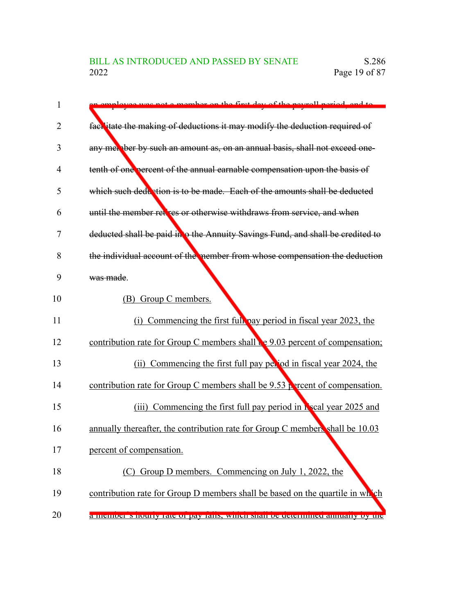| 1              | employee wes not a member on the first day of the neurall period, and to        |
|----------------|---------------------------------------------------------------------------------|
| $\overline{2}$ | fact itate the making of deductions it may modify the deduction required of     |
| 3              | any met ber by such an amount as, on an annual basis, shall not exceed one-     |
| 4              | tenth of one percent of the annual earnable compensation upon the basis of      |
| 5              | which such deduction is to be made. Each of the amounts shall be deducted       |
| 6              | until the member retires or otherwise withdraws from service, and when          |
| 7              | deducted shall be paid in to the Annuity Savings Fund, and shall be credited to |
| 8              | the individual account of the nember from whose compensation the deduction      |
| 9              | was made.                                                                       |
| 10             | (B) Group C members.                                                            |
| 11             | (i) Commencing the first full pay period in fiscal year 2023, the               |
| 12             | contribution rate for Group C members shall be 9.03 percent of compensation;    |
| 13             | (ii) Commencing the first full pay perjod in fiscal year 2024, the              |
| 14             | contribution rate for Group C members shall be 9.53 percent of compensation.    |
| 15             | (iii) Commencing the first full pay period in <b>K</b> scal year 2025 and       |
| 16             | annually thereafter, the contribution rate for Group C members shall be 10.03   |
| 17             | percent of compensation.                                                        |
| 18             | (C) Group D members. Commencing on July 1, 2022, the                            |
| 19             | contribution rate for Group D members shall be based on the quartile in which   |
| 20             | a memoer's nounty fait of pay fails, which share or determined annually by the  |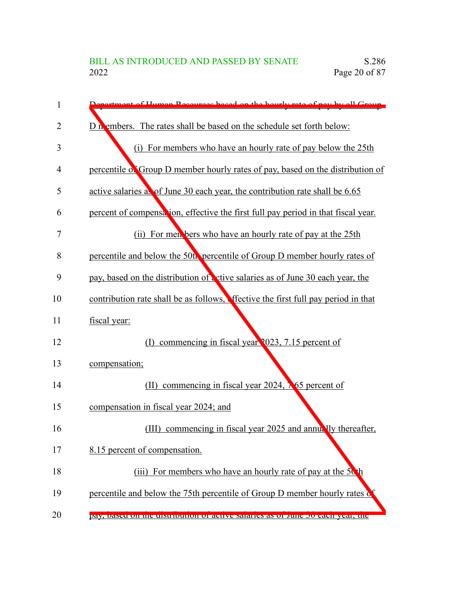| 1              | ortmont of Humon Docourage based on the hourly rate of new by all Group           |
|----------------|-----------------------------------------------------------------------------------|
| $\overline{2}$ | D <sub>n</sub> embers. The rates shall be based on the schedule set forth below:  |
| 3              | (i) For members who have an hourly rate of pay below the 25th                     |
| 4              | percentile of Group D member hourly rates of pay, based on the distribution of    |
| 5              | active salaries as of June 30 each year, the contribution rate shall be 6.65      |
| 6              | percent of compensation, effective the first full pay period in that fiscal year. |
| 7              | (ii) For men bers who have an hourly rate of pay at the 25th                      |
| 8              | percentile and below the 50th percentile of Group D member hourly rates of        |
| 9              | pay, based on the distribution of ctive salaries as of June 30 each year, the     |
| 10             | contribution rate shall be as follows. Ifective the first full pay period in that |
| 11             | fiscal year:                                                                      |
| 12             | commencing in fiscal year 2023, 7.15 percent of<br>$\Box$                         |
| 13             | compensation;                                                                     |
| 14             | commencing in fiscal year 2024, $\lambda$ 65 percent of<br>(II)                   |
| 15             | compensation in fiscal year 2024; and                                             |
| 16             | commencing in fiscal year 2025 and annually thereafter,<br>(III)                  |
| 17             | 8.15 percent of compensation.                                                     |
| 18             | (iii) For members who have an hourly rate of pay at the 50 <sup>th</sup>          |
| 19             | percentile and below the 75th percentile of Group D member hourly rates of        |
| 20             | pay, based on the distribution of active saraties as of Julie by each year, the   |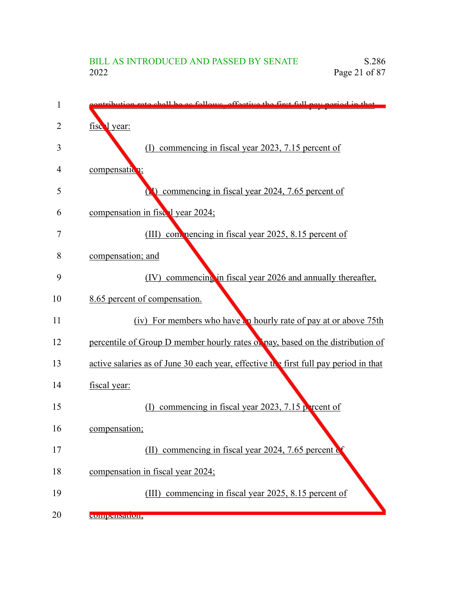| 1  | ibution rate shall be as follows, effective the first full new period in that        |
|----|--------------------------------------------------------------------------------------|
| 2  | fiscal year:                                                                         |
| 3  | commencing in fiscal year 2023, 7.15 percent of<br>(1)                               |
| 4  | compensation;                                                                        |
| 5  | <b>(N)</b> commencing in fiscal year 2024, 7.65 percent of                           |
| 6  | compensation in fiscal year 2024;                                                    |
| 7  | (III) commencing in fiscal year 2025, 8.15 percent of                                |
| 8  | compensation; and                                                                    |
| 9  | commencing in fiscal year 2026 and annually thereafter,<br>(IV)                      |
| 10 | 8.65 percent of compensation.                                                        |
| 11 | (iv) For members who have a hourly rate of pay at or above 75th                      |
| 12 | percentile of Group D member hourly rates of pay, based on the distribution of       |
| 13 | active salaries as of June 30 each year, effective the first full pay period in that |
| 14 | fiscal year:                                                                         |
| 15 | (I) commencing in fiscal year 2023, 7.15 $\beta$ reent of                            |
| 16 | compensation;                                                                        |
| 17 | commencing in fiscal year 2024, 7.65 percent of<br>(II)                              |
| 18 | compensation in fiscal year 2024;                                                    |
| 19 | commencing in fiscal year 2025, 8.15 percent of<br>(III)                             |
| 20 | compensation,                                                                        |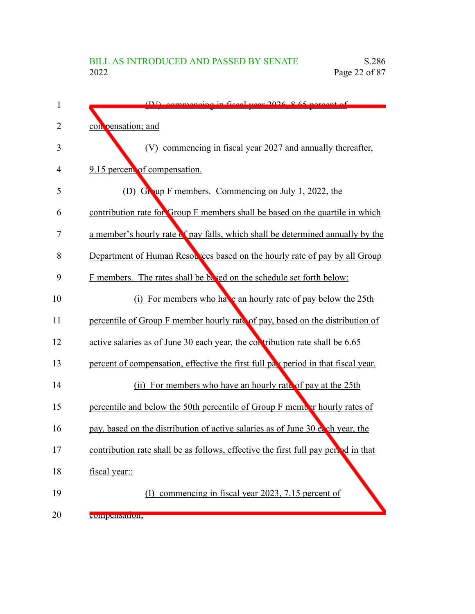| 1  | $(IV)$ commencing in figural year $2026.865$ percent of                            |
|----|------------------------------------------------------------------------------------|
| 2  | con pensation; and                                                                 |
| 3  | commencing in fiscal year 2027 and annually thereafter,<br>(V)                     |
| 4  | 9.15 percent of compensation.                                                      |
| 5  | (D) Group F members. Commencing on July 1, 2022, the                               |
| 6  | contribution rate for Group F members shall be based on the quartile in which      |
| 7  | a member's hourly rate of pay falls, which shall be determined annually by the     |
| 8  | Department of Human Resources based on the hourly rate of pay by all Group         |
| 9  | F members. The rates shall be based on the schedule set forth below:               |
| 10 | (i) For members who have an hourly rate of pay below the 25th                      |
| 11 | percentile of Group F member hourly rate of pay, based on the distribution of      |
| 12 | active salaries as of June 30 each year, the contribution rate shall be 6.65       |
| 13 | percent of compensation, effective the first full pax period in that fiscal year.  |
| 14 | (ii) For members who have an hourly rate of pay at the 25th                        |
| 15 | percentile and below the 50th percentile of Group F member hourly rates of         |
| 16 | pay, based on the distribution of active salaries as of June 30 e. ch year, the    |
| 17 | contribution rate shall be as follows, effective the first full pay period in that |
| 18 | fiscal year::                                                                      |
| 19 | commencing in fiscal year 2023, 7.15 percent of<br>(1)                             |
| 20 | сопірсиманон,                                                                      |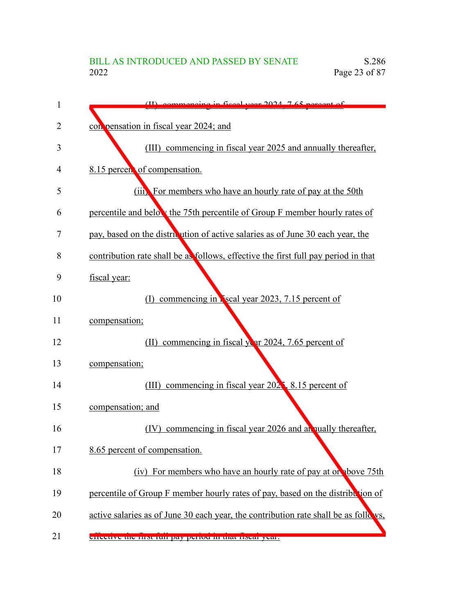| 1  | $(II)$ commencing in fiscal year $2024$ , $7.65$ percent of                         |
|----|-------------------------------------------------------------------------------------|
| 2  | con pensation in fiscal year 2024; and                                              |
| 3  | commencing in fiscal year 2025 and annually thereafter,<br>(III)                    |
| 4  | 8.15 percent of compensation.                                                       |
| 5  | (iii) For members who have an hourly rate of pay at the 50th                        |
| 6  | percentile and below the 75th percentile of Group F member hourly rates of          |
| 7  | pay, based on the districution of active salaries as of June 30 each year, the      |
| 8  | contribution rate shall be as follows, effective the first full pay period in that  |
| 9  | fiscal year:                                                                        |
| 10 | commencing in <b>N</b> scal year 2023, 7.15 percent of<br>$(\Gamma)$                |
| 11 | compensation;                                                                       |
| 12 | (II) commencing in fiscal year 2024, 7.65 percent of                                |
| 13 | compensation;                                                                       |
| 14 | commencing in fiscal year 202, 8.15 percent of<br>(III)                             |
| 15 | compensation; and                                                                   |
| 16 | commencing in fiscal year 2026 and an nually thereafter,<br>(IV)                    |
| 17 | 8.65 percent of compensation.                                                       |
| 18 | (iv) For members who have an hourly rate of pay at or above 75th                    |
| 19 | percentile of Group F member hourly rates of pay, based on the distribution of      |
| 20 | active salaries as of June 30 each year, the contribution rate shall be as follows, |
| 21 | <u>eneeuve uie mst iun pay penou in tuat nsear year.</u>                            |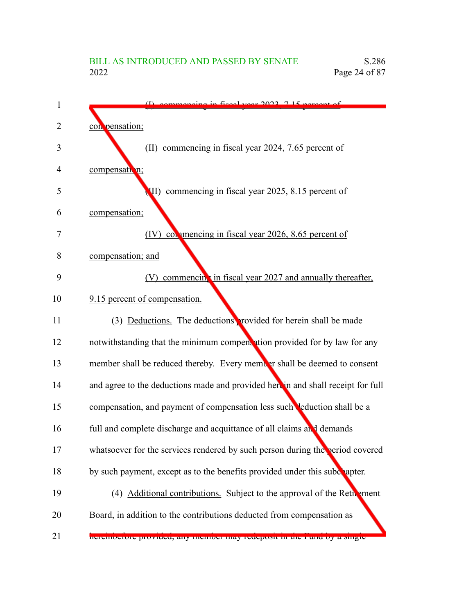| 1  | commencing in fiscal year 2022 715 neroont of                                    |
|----|----------------------------------------------------------------------------------|
| 2  | con pensation;                                                                   |
| 3  | (II) commencing in fiscal year 2024, 7.65 percent of                             |
| 4  | compensation;                                                                    |
| 5  | III) commencing in fiscal year 2025, 8.15 percent of                             |
| 6  | compensation;                                                                    |
| 7  | (IV) commencing in fiscal year 2026, 8.65 percent of                             |
| 8  | compensation; and                                                                |
| 9  | (V) commencing in fiscal year 2027 and annually thereafter,                      |
| 10 | 9.15 percent of compensation.                                                    |
| 11 | (3) Deductions. The deductions provided for herein shall be made                 |
| 12 | notwithstanding that the minimum compentation provided for by law for any        |
| 13 | member shall be reduced thereby. Every member shall be deemed to consent         |
| 14 | and agree to the deductions made and provided here in and shall receipt for full |
| 15 | compensation, and payment of compensation less such leduction shall be a         |
| 16 | full and complete discharge and acquittance of all claims and demands            |
| 17 | whatsoever for the services rendered by such person during the period covered    |
| 18 | by such payment, except as to the benefits provided under this subchapter.       |
| 19 | (4) Additional contributions. Subject to the approval of the Retherment          |
| 20 | Board, in addition to the contributions deducted from compensation as            |
| 21 | neremocrore provided, any memocr may redeposit in the rund by a single-          |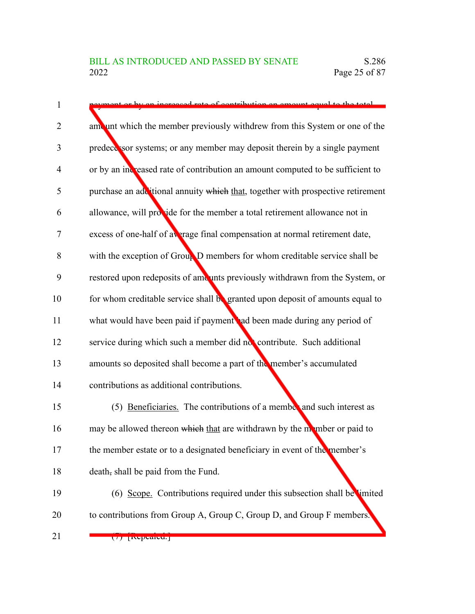| 1  | eased rate of contribution an amount equal to the total                         |
|----|---------------------------------------------------------------------------------|
| 2  | amount which the member previously withdrew from this System or one of the      |
| 3  | predecessor systems; or any member may deposit therein by a single payment      |
| 4  | or by an increased rate of contribution an amount computed to be sufficient to  |
| 5  | purchase an additional annuity which that, together with prospective retirement |
| 6  | allowance, will provide for the member a total retirement allowance not in      |
| 7  | excess of one-half of average final compensation at normal retirement date,     |
| 8  | with the exception of Group D members for whom creditable service shall be      |
| 9  | restored upon redeposits of amounts previously withdrawn from the System, or    |
| 10 | for whom creditable service shall be granted upon deposit of amounts equal to   |
| 11 | what would have been paid if payment ad been made during any period of          |
| 12 | service during which such a member did not contribute. Such additional          |
| 13 | amounts so deposited shall become a part of the member's accumulated            |
| 14 | contributions as additional contributions.                                      |
| 15 | (5) Beneficiaries. The contributions of a member and such interest as           |
| 16 | may be allowed thereon which that are withdrawn by the momber or paid to        |
| 17 | the member estate or to a designated beneficiary in event of the member's       |
| 18 | death, shall be paid from the Fund.                                             |
| 19 | (6) Scope. Contributions required under this subsection shall be limited        |
| 20 | to contributions from Group A, Group C, Group D, and Group F members.           |
| 21 | $(7)$ [Nepeareu, $[$                                                            |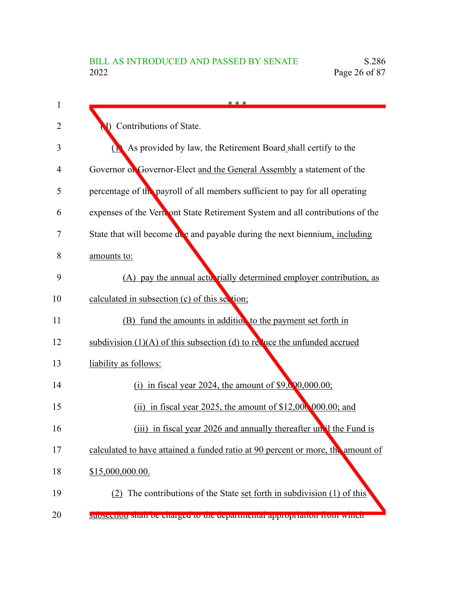| 1  | * * *                                                                           |
|----|---------------------------------------------------------------------------------|
| 2  | Contributions of State.                                                         |
| 3  | As provided by law, the Retirement Board shall certify to the<br>О.             |
| 4  | Governor of Governor-Elect and the General Assembly a statement of the          |
| 5  | percentage of the payroll of all members sufficient to pay for all operating    |
| 6  | expenses of the Verniont State Retirement System and all contributions of the   |
| 7  | State that will become due and payable during the next biennium, including      |
| 8  | amounts to:                                                                     |
| 9  | (A) pay the annual acturated vially determined employer contribution, as        |
| 10 | calculated in subsection (c) of this section;                                   |
| 11 | (B) fund the amounts in addition to the payment set forth in                    |
| 12 | subdivision $(1)(A)$ of this subsection (d) to require the unfunded accrued     |
| 13 | liability as follows:                                                           |
| 14 | (i) in fiscal year 2024, the amount of $$9,000,000.00;$                         |
| 15 | (ii) in fiscal year 2025, the amount of $$12,000,000.00$ ; and                  |
| 16 | (iii) in fiscal year 2026 and annually thereafter un'il the Fund is             |
| 17 | calculated to have attained a funded ratio at 90 percent or more, the amount of |
| 18 | \$15,000,000.00.                                                                |
| 19 | (2) The contributions of the State set forth in subdivision (1) of this         |
| 20 | subsection shall be enarged to the departmental appropriation from which        |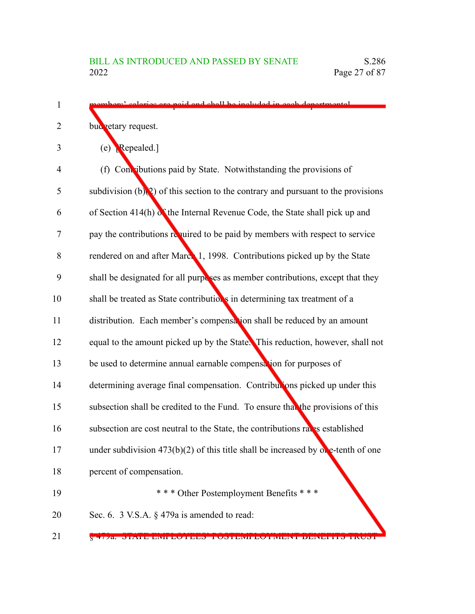- med and shall be included in each departmental budgetary request.  $(e)$  Repealed.]  $(f)$  Contributions paid by State. Notwithstanding the provisions of subdivision  $(b)(2)$  of this section to the contrary and pursuant to the provisions of Section 414(h) of the Internal Revenue Code, the State shall pick up and pay the contributions required to be paid by members with respect to service rendered on and after March 1, 1998. Contributions picked up by the State shall be designated for all purposes as member contributions, except that they shall be treated as State contributions in determining tax treatment of a distribution. Each member's compensation shall be reduced by an amount equal to the amount picked up by the State. This reduction, however, shall not be used to determine annual earnable compensation for purposes of determining average final compensation. Contributions picked up under this subsection shall be credited to the Fund. To ensure that the provisions of this subsection are cost neutral to the State, the contributions rates established under subdivision 473(b)(2) of this title shall be increased by  $\alpha$  e-tenth of one percent of compensation. \* \* \* Other Postemployment Benefits \* \* \* Sec. 6. 3 V.S.A. § 479a is amended to read: 1  $\mathfrak{D}$ 3 4 5 6 7 8 9 10 11 12 13 14 15 16 17 18 19 20
	-

§ 47/7a. STATE EMILLOYEED TOSTEMITEO FMENT BENEFITS TRUST

21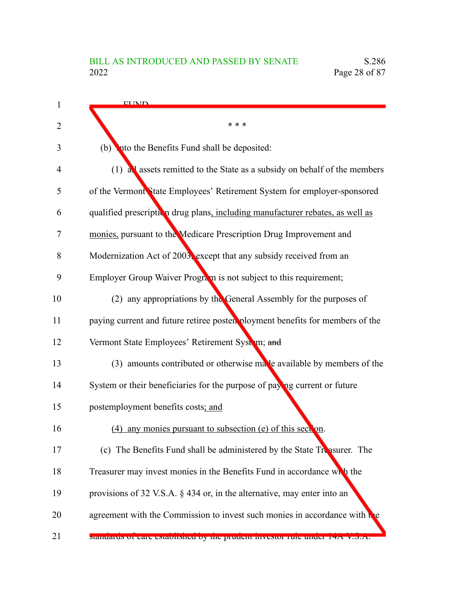| <b>FLIND</b>                                                                  |
|-------------------------------------------------------------------------------|
| * * *                                                                         |
| into the Benefits Fund shall be deposited:<br>(b)                             |
| (1) all assets remitted to the State as a subsidy on behalf of the members    |
| of the Vermont State Employees' Retirement System for employer-sponsored      |
| qualified prescription drug plans, including manufacturer rebates, as well as |
| monies, pursuant to the Medicare Prescription Drug Improvement and            |
| Modernization Act of 2003, except that any subsidy received from an           |
| Employer Group Waiver Program is not subject to this requirement;             |
| (2) any appropriations by the General Assembly for the purposes of            |
| paying current and future retiree poster ployment benefits for members of the |
| Vermont State Employees' Retirement System; and                               |
| $(3)$ amounts contributed or otherwise malle available by members of the      |
| System or their beneficiaries for the purpose of paying current or future     |
| postemployment benefits costs; and                                            |
| (4) any monies pursuant to subsection (e) of this section.                    |
| (c) The Benefits Fund shall be administered by the State Treasurer. The       |
| Treasurer may invest monies in the Benefits Fund in accordance with the       |
| provisions of 32 V.S.A. § 434 or, in the alternative, may enter into an       |
| agreement with the Commission to invest such monies in accordance with the    |
| standards of care established by the producit investor rule under 14A v.o.A.  |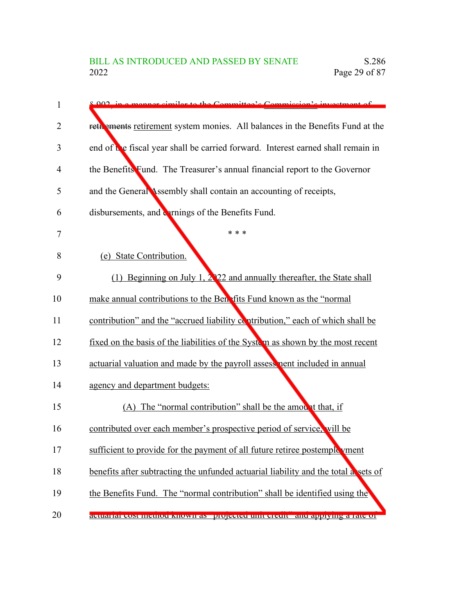| 1  | $8.002$ in a mannar cim<br>ilar to the Committee's Commission's investment of       |
|----|-------------------------------------------------------------------------------------|
| 2  | reth ements retirement system monies. All balances in the Benefits Fund at the      |
| 3  | end of the fiscal year shall be carried forward. Interest earned shall remain in    |
| 4  | the Benefits Fund. The Treasurer's annual financial report to the Governor          |
| 5  | and the General Assembly shall contain an accounting of receipts,                   |
| 6  | disbursements, and errnings of the Benefits Fund.                                   |
| 7  | * * *                                                                               |
| 8  | (e) State Contribution.                                                             |
| 9  | (1) Beginning on July 1, $2\sqrt{22}$ and annually thereafter, the State shall      |
| 10 | make annual contributions to the Benefits Fund known as the "normal"                |
| 11 | contribution" and the "accrued liability contribution," each of which shall be      |
| 12 | fixed on the basis of the liabilities of the System as shown by the most recent     |
| 13 | actuarial valuation and made by the payroll assessment included in annual           |
| 14 | agency and department budgets:                                                      |
| 15 | (A) The "normal contribution" shall be the amount that, if                          |
| 16 | contributed over each member's prospective period of service, will be               |
| 17 | sufficient to provide for the payment of all future retiree postemple yment         |
| 18 | benefits after subtracting the unfunded actuarial liability and the total a sets of |
| 19 | the Benefits Fund. The "normal contribution" shall be identified using the          |
| 20 | actuariar cost incuitou known as projected unit credit and applying a fate of       |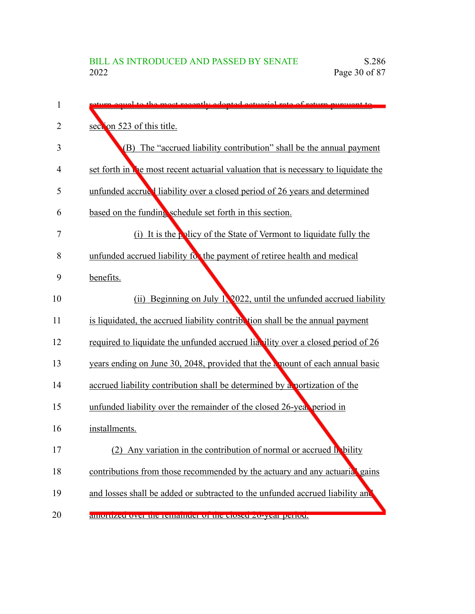| 1 | 20et receptly adopted ectuariel rate of return purguent to                          |
|---|-------------------------------------------------------------------------------------|
| 2 | seet on 523 of this title.                                                          |
| 3 | (B) The "accrued liability contribution" shall be the annual payment                |
| 4 | set forth in the most recent actuarial valuation that is necessary to liquidate the |
| 5 | unfunded accrued liability over a closed period of 26 years and determined          |
|   | based on the funding schedule set forth in this section.                            |
|   | (i) It is the policy of the State of Vermont to liquidate fully the                 |
|   | unfunded accrued liability for the payment of retiree health and medical            |
|   | benefits.                                                                           |
|   | (ii) Beginning on July 1, 2022, until the unfunded accrued liability                |
|   | is liquidated, the accrued liability contribution shall be the annual payment       |
|   | required to liquidate the unfunded accrued lia ility over a closed period of 26     |
|   | years ending on June 30, 2048, provided that the amount of each annual basic        |
|   | accrued liability contribution shall be determined by a portization of the          |
|   | unfunded liability over the remainder of the closed 26-year period in               |
|   | installments.                                                                       |
|   | (2)<br>Any variation in the contribution of normal or accrued lability              |
|   | contributions from those recommended by the actuary and any actuarial gains         |
|   | and losses shall be added or subtracted to the unfunded accrued liability and       |
|   | amoruzed over the remainder or the closed zo-year perfod.                           |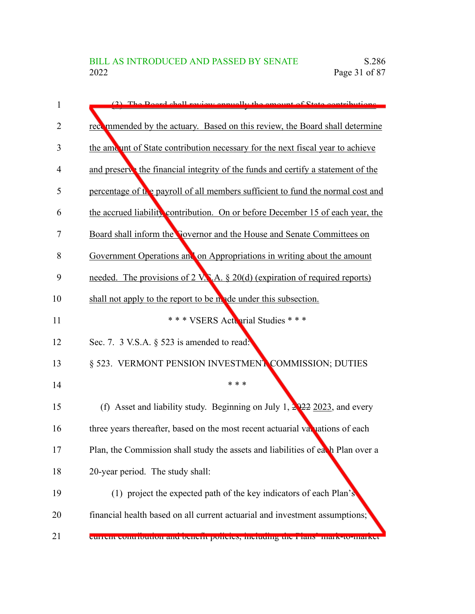| 1  | (2) The Board shall review enoughly the emount of State contributions               |
|----|-------------------------------------------------------------------------------------|
| 2  | recommended by the actuary. Based on this review, the Board shall determine         |
| 3  | the amount of State contribution necessary for the next fiscal year to achieve      |
| 4  | and preserve the financial integrity of the funds and certify a statement of the    |
| 5  | percentage of the payroll of all members sufficient to fund the normal cost and     |
| 6  | the accrued liability contribution. On or before December 15 of each year, the      |
| 7  | Board shall inform the <b>Sovernor</b> and the House and Senate Committees on       |
| 8  | Government Operations and on Appropriations in writing about the amount             |
| 9  | needed. The provisions of 2 V.S.A. § 20(d) (expiration of required reports)         |
| 10 | shall not apply to the report to be n ade under this subsection.                    |
| 11 | *** VSERS Actuarial Studies ***                                                     |
| 12 | Sec. 7. 3 V.S.A. $\S$ 523 is amended to read.                                       |
| 13 | § 523. VERMONT PENSION INVESTMENT COMMISSION; DUTIES                                |
| 14 | * * *                                                                               |
| 15 | (f) Asset and liability study. Beginning on July 1, $\frac{2022}{2023}$ , and every |
| 16 | three years thereafter, based on the most recent actuarial valuations of each       |
| 17 | Plan, the Commission shall study the assets and liabilities of each Plan over a     |
| 18 | 20-year period. The study shall:                                                    |
| 19 | (1) project the expected path of the key indicators of each Plan's                  |
| 20 | financial health based on all current actuarial and investment assumptions;         |
| 21 | current contribution and benefit poticles, including the r fans mark-to-market      |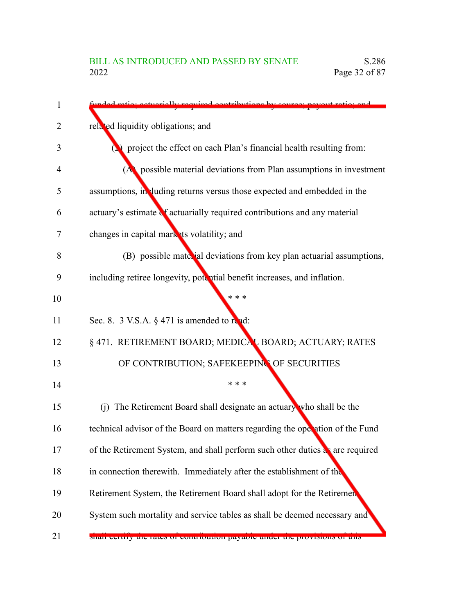| 1  | octuarially required contributions by source                                  |
|----|-------------------------------------------------------------------------------|
| 2  | related liquidity obligations; and                                            |
| 3  | project the effect on each Plan's financial health resulting from:            |
| 4  | $(A)$ possible material deviations from Plan assumptions in investment        |
| 5  | assumptions, in luding returns versus those expected and embedded in the      |
| 6  | actuary's estimate of actuarially required contributions and any material     |
| 7  | changes in capital mark its volatility; and                                   |
| 8  | (B) possible material deviations from key plan actuarial assumptions,         |
| 9  | including retiree longevity, potential benefit increases, and inflation.      |
| 10 | * * *                                                                         |
| 11 | Sec. 8. 3 V.S.A. § 471 is amended to read:                                    |
| 12 | § 471. RETIREMENT BOARD; MEDICAL BOARD; ACTUARY; RATES                        |
| 13 | OF CONTRIBUTION; SAFEKEEPING OF SECURITIES                                    |
| 14 | * * *                                                                         |
| 15 | (j) The Retirement Board shall designate an actuary who shall be the          |
| 16 | technical advisor of the Board on matters regarding the operation of the Fund |
| 17 | of the Retirement System, and shall perform such other duties as are required |
| 18 | in connection therewith. Immediately after the establishment of the           |
| 19 | Retirement System, the Retirement Board shall adopt for the Retirement        |
| 20 | System such mortality and service tables as shall be deemed necessary and     |
| 21 | shan certify the rates of contribution payable under the provisions of this   |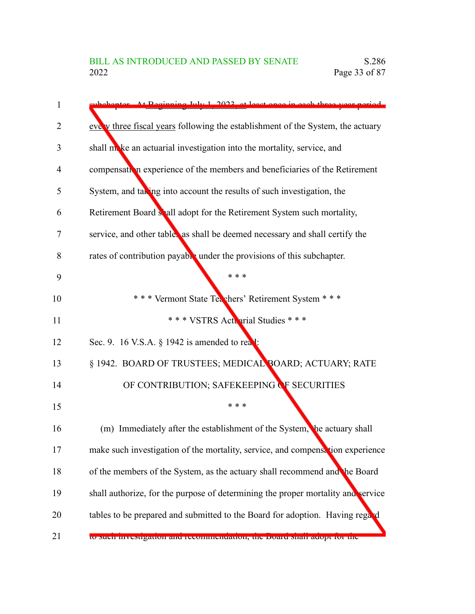| 1              | popenter At Peginning July 1, 2022, et least once in each three year period.     |
|----------------|----------------------------------------------------------------------------------|
| $\overline{2}$ | eve v three fiscal years following the establishment of the System, the actuary  |
| 3              | shall make an actuarial investigation into the mortality, service, and           |
| 4              | compensation experience of the members and beneficiaries of the Retirement       |
| 5              | System, and taking into account the results of such investigation, the           |
| 6              | Retirement Board shall adopt for the Retirement System such mortality,           |
| 7              | service, and other tables as shall be deemed necessary and shall certify the     |
| 8              | rates of contribution payable under the provisions of this subchapter.           |
| 9              | * * *                                                                            |
| 10             | *** Vermont State Tex chers' Retirement System ***                               |
| 11             | *** VSTRS Actuarial Studies ***                                                  |
| 12             | Sec. 9. 16 V.S.A. § 1942 is amended to read:                                     |
| 13             | § 1942. BOARD OF TRUSTEES; MEDICAL BOARD; ACTUARY; RATE                          |
| 14             | OF CONTRIBUTION; SAFEKEEPING OF SECURITIES                                       |
| 15             | * * *                                                                            |
| 16             | (m) Immediately after the establishment of the System, the actuary shall         |
| 17             | make such investigation of the mortality, service, and compensation experience   |
| 18             | of the members of the System, as the actuary shall recommend and the Board       |
| 19             | shall authorize, for the purpose of determining the proper mortality and service |
| 20             | tables to be prepared and submitted to the Board for adoption. Having regard     |
| 21             | to such investigation and recommendation, the Doard shall adopt for the          |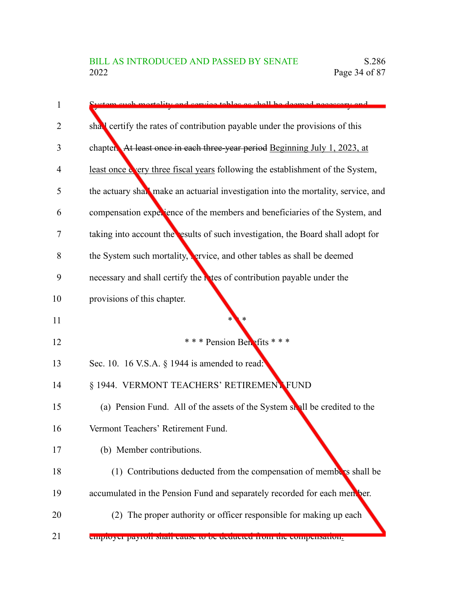| 1  | istem such mortality and service tables as shall be deemed necessary and           |
|----|------------------------------------------------------------------------------------|
| 2  | shall certify the rates of contribution payable under the provisions of this       |
| 3  | chapter. At least once in each three-year period Beginning July 1, 2023, at        |
| 4  | least once wery three fiscal years following the establishment of the System,      |
| 5  | the actuary shall make an actuarial investigation into the mortality, service, and |
| 6  | compensation experience of the members and beneficiaries of the System, and        |
| 7  | taking into account the esults of such investigation, the Board shall adopt for    |
| 8  | the System such mortality, ervice, and other tables as shall be deemed             |
| 9  | necessary and shall certify the nates of contribution payable under the            |
| 10 | provisions of this chapter.                                                        |
| 11 |                                                                                    |
| 12 | *** Pension Benefits ***                                                           |
| 13 | Sec. 10. 16 V.S.A. § 1944 is amended to read:                                      |
| 14 | § 1944. VERMONT TEACHERS' RETIREMENT FUND                                          |
| 15 | (a) Pension Fund. All of the assets of the System shall be credited to the         |
| 16 | Vermont Teachers' Retirement Fund.                                                 |
| 17 | (b) Member contributions.                                                          |
| 18 | (1) Contributions deducted from the compensation of members shall be               |
| 19 | accumulated in the Pension Fund and separately recorded for each mentber.          |
| 20 | (2) The proper authority or officer responsible for making up each                 |
|    |                                                                                    |

employer payroll shall cause to be deducted from the compensation. 21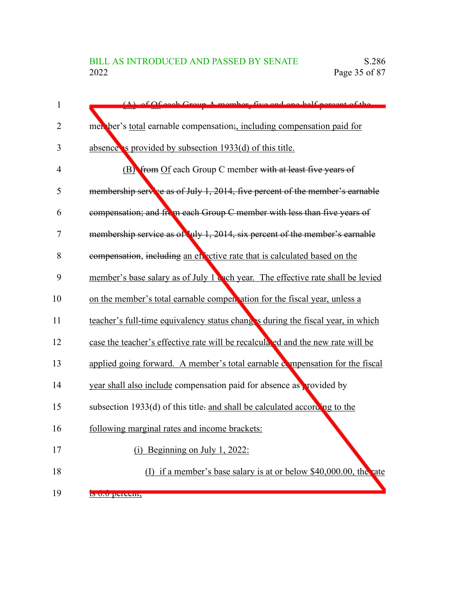| $\mathbf{1}$   | (A) of Of each Group A mamber five and ano half percent of the                  |
|----------------|---------------------------------------------------------------------------------|
| $\overline{2}$ | men ber's total earnable compensation; including compensation paid for          |
| 3              | absence is provided by subsection 1933(d) of this title.                        |
| $\overline{4}$ | (B) from Of each Group C member with at least five years of                     |
| 5              | membership service as of July 1, 2014, five percent of the member's earnable    |
| 6              | compensation; and from each Group C member with less than five years of         |
| 7              | membership service as of July 1, 2014, six percent of the member's earnable     |
| 8              | compensation, including an encetive rate that is calculated based on the        |
| 9              | member's base salary as of July 1 cach year. The effective rate shall be levied |
| 10             | on the member's total earnable compent ation for the fiscal year, unless a      |
| 11             | teacher's full-time equivalency status chang's during the fiscal year, in which |
| 12             | case the teacher's effective rate will be recalculated and the new rate will be |
| 13             | applied going forward. A member's total earnable compensation for the fiscal    |
| 14             | year shall also include compensation paid for absence as provided by            |
| 15             | subsection 1933(d) of this title- and shall be calculated according to the      |
| 16             | following marginal rates and income brackets:                                   |
| 17             | Beginning on July 1, 2022:<br>(i)                                               |
| 18             | (I) if a member's base salary is at or below $$40,000.00$ , the rate            |
| 19             | is 0.0 percent,                                                                 |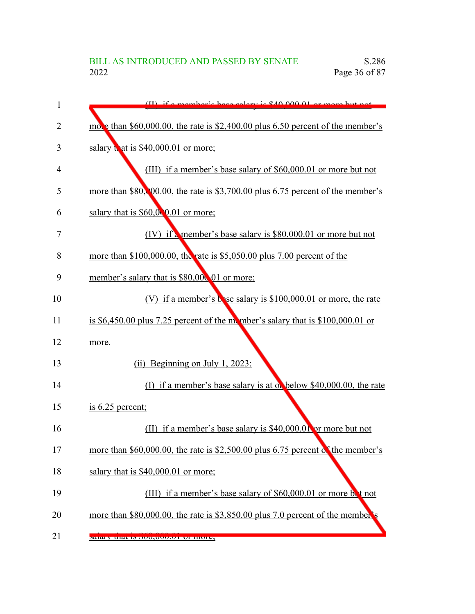## BILL AS INTRODUCED AND PASSED BY SENATE S.286<br>2022 Page 36 of 87 Page 36 of 87

| $\mathbf{1}$ | $(II)$ if a mambar's hass salary is $$40,000,01$ or more but not                          |
|--------------|-------------------------------------------------------------------------------------------|
| 2            | mol $\epsilon$ than \$60,000.00, the rate is \$2,400.00 plus 6.50 percent of the member's |
| 3            | salary that is \$40,000.01 or more;                                                       |
| 4            | (III) if a member's base salary of \$60,000.01 or more but not                            |
| 5            | more than \$80, 00.00, the rate is \$3,700.00 plus 6.75 percent of the member's           |
| 6            | salary that is $$60,000.01$ or more;                                                      |
| 7            | $(IV)$ if a member's base salary is \$80,000.01 or more but not                           |
| 8            | more than \$100,000.00, the rate is \$5,050.00 plus 7.00 percent of the                   |
| 9            | member's salary that is \$80,000 01 or more;                                              |
| 10           | (V) if a member's base salary is $$100,000.01$ or more, the rate                          |
| 11           | is $$6,450.00$ plus 7.25 percent of the momber's salary that is $$100,000.01$ or          |
| 12           | more.                                                                                     |
| 13           | (ii) Beginning on July 1, 2023:                                                           |
| 14           | (I) if a member's base salary is at on below \$40,000.00, the rate                        |
| 15           | is $6.25$ percent;                                                                        |
| 16           | (II) if a member's base salary is \$40,000.01 or more but not                             |
| 17           | more than $$60,000.00$ , the rate is $$2,500.00$ plus 6.75 percent of the member's        |
| 18           | salary that is $$40,000.01$ or more;                                                      |
| 19           | (III) if a member's base salary of \$60,000.01 or more but not                            |
| 20           | more than \$80,000.00, the rate is \$3,850.00 plus 7.0 percent of the member's            |
| 21           | saraty that is out, thus, of more,                                                        |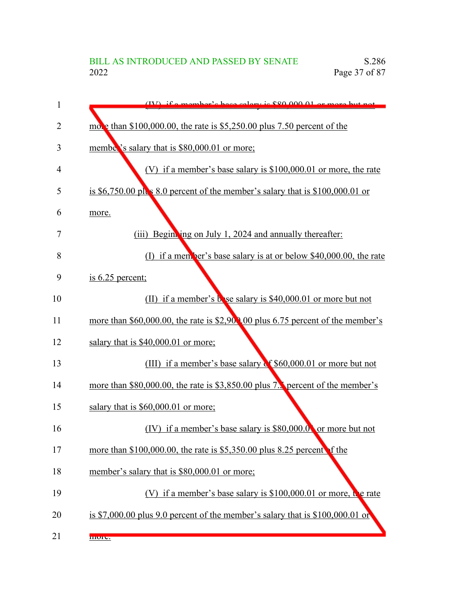| 1              | $(IV)$ if a mamber's hase salary is $$90,000,01$ or more but not                          |
|----------------|-------------------------------------------------------------------------------------------|
| $\overline{2}$ | mo • than \$100,000.00, the rate is \$5,250.00 plus 7.50 percent of the                   |
| 3              | member's salary that is \$80,000.01 or more;                                              |
| 4              | (V) if a member's base salary is $$100,000.01$ or more, the rate                          |
| 5              | is \$6,750.00 pl $\frac{1}{5}$ 8.0 percent of the member's salary that is \$100,000.01 or |
| 6              | more.                                                                                     |
| 7              | (iii) Beginking on July 1, 2024 and annually thereafter:                                  |
| 8              | (I) if a men ber's base salary is at or below $$40,000.00$ , the rate                     |
| 9              | is $6.25$ percent;                                                                        |
| 10             | (II) if a member's bose salary is \$40,000.01 or more but not                             |
| 11             | more than \$60,000.00, the rate is \$2,900,00 plus 6.75 percent of the member's           |
| 12             | salary that is \$40,000.01 or more;                                                       |
| 13             | (III) if a member's base salary of \$60,000.01 or more but not                            |
| 14             | more than \$80,000.00, the rate is \$3,850.00 plus 7. percent of the member's             |
| 15             | salary that is $$60,000.01$ or more;                                                      |
| 16             | (IV) if a member's base salary is $$80,000.0$ or more but not                             |
| 17             | more than \$100,000.00, the rate is \$5,350.00 plus 8.25 percent f the                    |
| 18             | member's salary that is \$80,000.01 or more;                                              |
| 19             | (V) if a member's base salary is $$100,000.01$ or more, the rate                          |
| 20             | is \$7,000.00 plus 9.0 percent of the member's salary that is $$100,000.01$ or            |
| 21             | more.                                                                                     |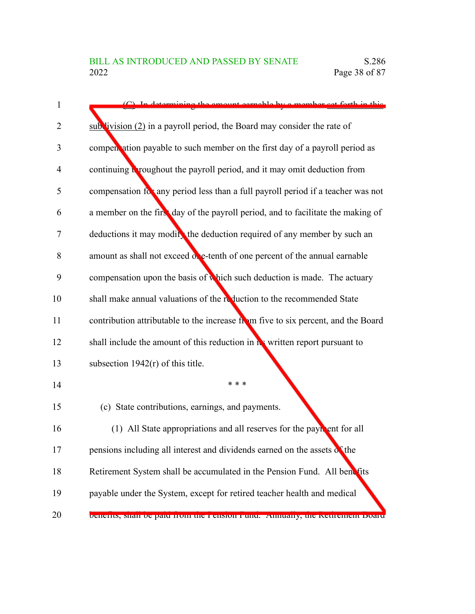1

2

3

4

5

6

7

8

9

10

11

12

13

14

15

16

17

18

19

| $(C)$ In determining the emount expediator a member set forth in this             |
|-----------------------------------------------------------------------------------|
| $sub$ vivision (2) in a payroll period, the Board may consider the rate of        |
| compen ation payable to such member on the first day of a payroll period as       |
| continuing a roughout the payroll period, and it may omit deduction from          |
| compensation for any period less than a full payroll period if a teacher was not  |
| a member on the first day of the payroll period, and to facilitate the making of  |
| deductions it may modify the deduction required of any member by such an          |
| amount as shall not exceed one-tenth of one percent of the annual earnable        |
| compensation upon the basis of which such deduction is made. The actuary          |
| shall make annual valuations of the reduction to the recommended State            |
| contribution attributable to the increase from five to six percent, and the Board |
| shall include the amount of this reduction in his written report pursuant to      |
| subsection $1942(r)$ of this title.                                               |
| * * *                                                                             |
| (c) State contributions, earnings, and payments.                                  |
| (1) All State appropriations and all reserves for the payr ent for all            |
| pensions including all interest and dividends earned on the assets of the         |
| Retirement System shall be accumulated in the Pension Fund. All benefits          |
| payable under the System, except for retired teacher health and medical           |

benefits, shall be paid from the Pension Fund. Annually, the Retirement Board 20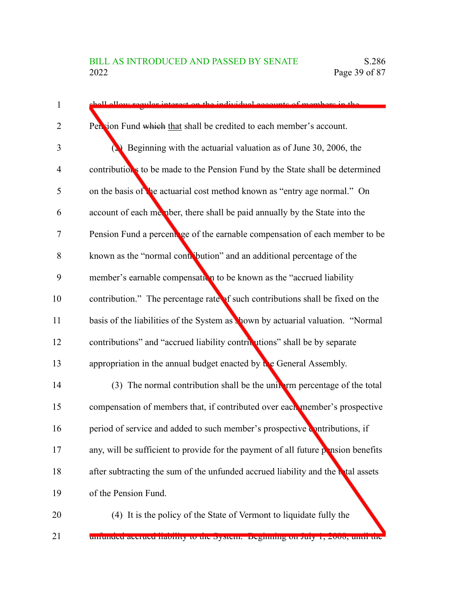| $\mathbf{1}$ | shall allow requier interest on the individual accounts of members in the         |
|--------------|-----------------------------------------------------------------------------------|
| 2            | Pen ion Fund which that shall be credited to each member's account.               |
| 3            | $\sum$ Beginning with the actuarial valuation as of June 30, 2006, the            |
| 4            | contributions to be made to the Pension Fund by the State shall be determined     |
| 5            | on the basis of the actuarial cost method known as "entry age normal." On         |
| 6            | account of each member, there shall be paid annually by the State into the        |
| 7            | Pension Fund a percent ge of the earnable compensation of each member to be       |
| 8            | known as the "normal contribution" and an additional percentage of the            |
| 9            | member's earnable compensation to be known as the "accrued liability              |
| 10           | contribution." The percentage rate of such contributions shall be fixed on the    |
| 11           | basis of the liabilities of the System as shown by actuarial valuation. "Normal   |
| 12           | contributions" and "accrued liability contributions" shall be by separate         |
| 13           | appropriation in the annual budget enacted by $\mathbf{t}$ e General Assembly.    |
| 14           | (3) The normal contribution shall be the unit if you percentage of the total      |
| 15           | compensation of members that, if contributed over each member's prospective       |
| 16           | period of service and added to such member's prospective contributions, if        |
| 17           | any, will be sufficient to provide for the payment of all future pension benefits |
| 18           | after subtracting the sum of the unfunded accrued liability and the total assets  |
| 19           | of the Pension Fund.                                                              |
| 20           | (4) It is the policy of the State of Vermont to liquidate fully the               |

unfunded accrued liability to the System. Beginning on July 1, 2008, until the 21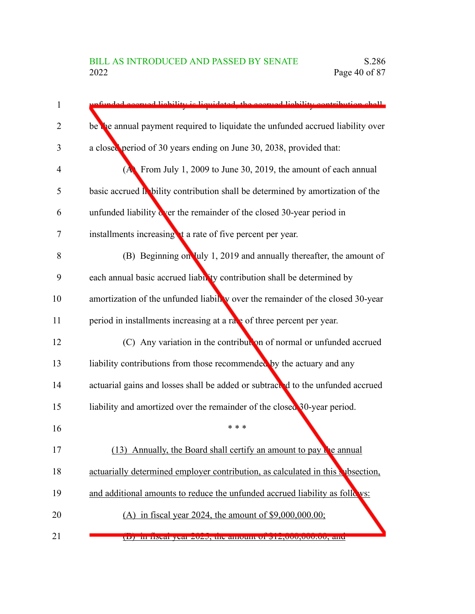| 1              | unfunded accuused liebility is liquidated, the accuused liability contribution shall |
|----------------|--------------------------------------------------------------------------------------|
| $\overline{2}$ | be the annual payment required to liquidate the unfunded accrued liability over      |
| 3              | a closed period of 30 years ending on June 30, 2038, provided that:                  |
| 4              | $(A)$ From July 1, 2009 to June 30, 2019, the amount of each annual                  |
| 5              | basic accrued lability contribution shall be determined by amortization of the       |
| 6              | unfunded liability over the remainder of the closed 30-year period in                |
| 7              | installments increasing t a rate of five percent per year.                           |
| 8              | (B) Beginning on July 1, 2019 and annually thereafter, the amount of                 |
| 9              | each annual basic accrued liable ty contribution shall be determined by              |
| 10             | amortization of the unfunded liabily over the remainder of the closed 30-year        |
| 11             | period in installments increasing at a rate of three percent per year.               |
| 12             | (C) Any variation in the contribution of normal or unfunded accrued                  |
| 13             | liability contributions from those recommended by the actuary and any                |
| 14             | actuarial gains and losses shall be added or subtracted to the unfunded accrued      |
| 15             | liability and amortized over the remainder of the closed 30-year period.             |
| 16             | * * *                                                                                |
| 17             | (13) Annually, the Board shall certify an amount to pay the annual                   |
| 18             | actuarially determined employer contribution, as calculated in this subsection,      |
| 19             | and additional amounts to reduce the unfunded accrued liability as follows:          |
| 20             | (A) in fiscal year 2024, the amount of $$9,000,000.00;$                              |
| 21             | (D) In fiscar year zuzz, the amount of $\mathfrak{gl}_2$ , 000, 000, 00, and         |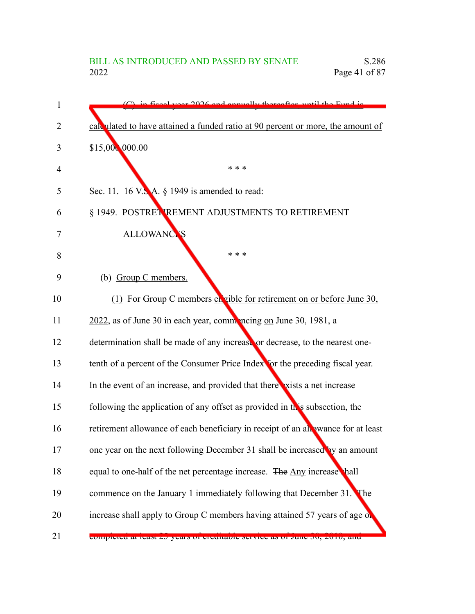| 1  | in fiscal year 2026 and annually thereafter, until the Eund is                   |
|----|----------------------------------------------------------------------------------|
| 2  | calculated to have attained a funded ratio at 90 percent or more, the amount of  |
| 3  | \$15,000,000.00                                                                  |
| 4  | * * *                                                                            |
| 5  | Sec. 11. 16 V.S. A. § 1949 is amended to read:                                   |
| 6  | § 1949. POSTRET REMENT ADJUSTMENTS TO RETIREMENT                                 |
| 7  | <b>ALLOWANCTS</b>                                                                |
| 8  | * * *                                                                            |
| 9  | (b) Group C members.                                                             |
| 10 | (1) For Group C members en gible for retirement on or before June 30,            |
| 11 | 2022, as of June 30 in each year, commoncing on June 30, 1981, a                 |
| 12 | determination shall be made of any increase or decrease, to the nearest one-     |
| 13 | tenth of a percent of the Consumer Price Index for the preceding fiscal year.    |
| 14 | In the event of an increase, and provided that there vists a net increase        |
| 15 | following the application of any offset as provided in this subsection, the      |
| 16 | retirement allowance of each beneficiary in receipt of an allowance for at least |
| 17 | one year on the next following December 31 shall be increased by an amount       |
| 18 | equal to one-half of the net percentage increase. The Any increase hall          |
| 19 | commence on the January 1 immediately following that December 31.<br>The         |
| 20 | increase shall apply to Group C members having attained 57 years of age of       |
| 21 | completed at least 25 years of creditable service as of func 50, 2010, and       |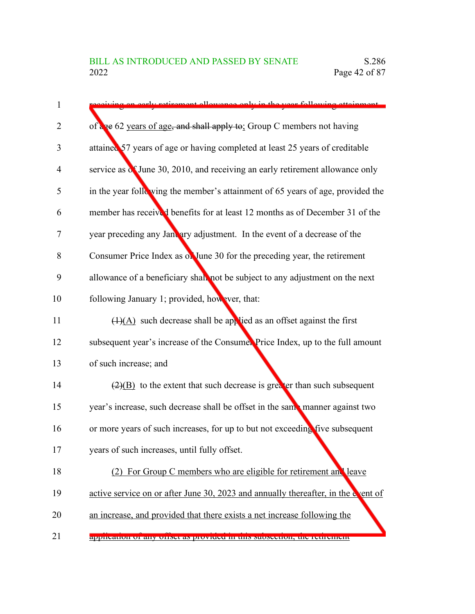| $\mathbf{1}$   | tirement allowance only in the year following attainment                           |
|----------------|------------------------------------------------------------------------------------|
| $\overline{2}$ | of are 62 years of age, and shall apply to: Group C members not having             |
| 3              | attained 57 years of age or having completed at least 25 years of creditable       |
| $\overline{4}$ | service as $\zeta$ June 30, 2010, and receiving an early retirement allowance only |
| 5              | in the year following the member's attainment of 65 years of age, provided the     |
| 6              | member has received benefits for at least 12 months as of December 31 of the       |
| 7              | year preceding any January adjustment. In the event of a decrease of the           |
| 8              | Consumer Price Index as on June 30 for the preceding year, the retirement          |
| 9              | allowance of a beneficiary shall not be subject to any adjustment on the next      |
| 10             | following January 1; provided, however, that:                                      |
| 11             | $\overline{(1)(A)}$ such decrease shall be applied as an offset against the first  |
| 12             | subsequent year's increase of the Consumer Price Index, up to the full amount      |
| 13             | of such increase; and                                                              |
| 14             | $\frac{2}{2}$ to the extent that such decrease is greater than such subsequent     |
| 15             | year's increase, such decrease shall be offset in the same manner against two      |
| 16             | or more years of such increases, for up to but not exceeding five subsequent       |
| 17             | years of such increases, until fully offset.                                       |
| 18             | (2) For Group C members who are eligible for retirement and leave                  |
| 19             | active service on or after June 30, 2023 and annually thereafter, in the covent of |
| 20             | an increase, and provided that there exists a net increase following the           |
|                |                                                                                    |

application of any offset as provided in this subsection, the retirement 21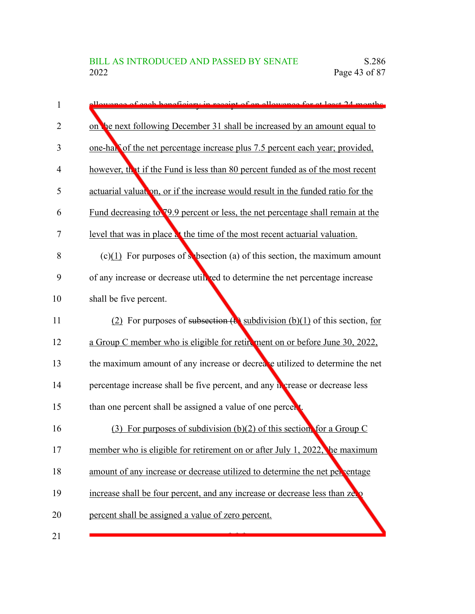| $\mathbf{1}$ | allowance of each bonoficiant in receipt of an allowance for at least 24 months. |
|--------------|----------------------------------------------------------------------------------|
| 2            | on the next following December 31 shall be increased by an amount equal to       |
| 3            | one-hall of the net percentage increase plus 7.5 percent each year; provided,    |
| 4            | however, that if the Fund is less than 80 percent funded as of the most recent   |
| 5            | actuarial valuation, or if the increase would result in the funded ratio for the |
| 6            | Fund decreasing to 79.9 percent or less, the net percentage shall remain at the  |
| 7            | level that was in place at the time of the most recent actuarial valuation.      |
| 8            | $(c)(1)$ For purposes of s bsection (a) of this section, the maximum amount      |
| 9            | of any increase or decrease utill red to determine the net percentage increase   |
| 10           | shall be five percent.                                                           |
| 11           | (2) For purposes of subsection $(e)$ subdivision $(b)(1)$ of this section, for   |
| 12           | a Group C member who is eligible for retirement on or before June 30, 2022,      |
| 13           | the maximum amount of any increase or decreate utilized to determine the net     |
| 14           | percentage increase shall be five percent, and any necrease or decrease less     |
| 15           | than one percent shall be assigned a value of one percent                        |
| 16           | For purposes of subdivision (b)(2) of this section, for a Group C<br>(3)         |
| 17           | member who is eligible for retirement on or after July 1, 2022, he maximum       |
| 18           | amount of any increase or decrease utilized to determine the net per entage      |
| 19           | increase shall be four percent, and any increase or decrease less than ze.       |
| 20           | percent shall be assigned a value of zero percent.                               |
| 21           |                                                                                  |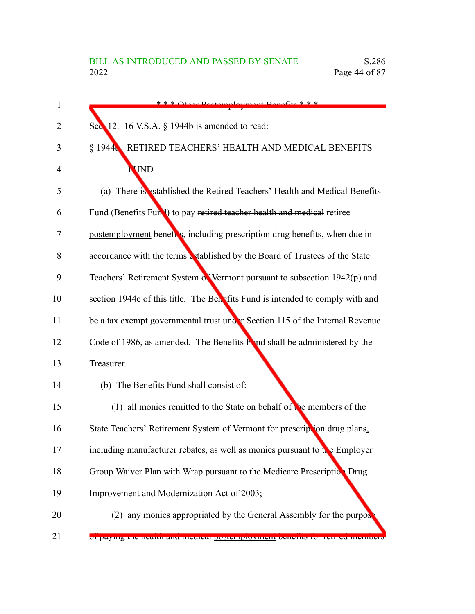| 1  | *** Other Doctomployment Repofite ***                                         |
|----|-------------------------------------------------------------------------------|
| 2  | Sec $12. 16$ V.S.A. § 1944b is amended to read:                               |
| 3  | RETIRED TEACHERS' HEALTH AND MEDICAL BENEFITS<br>\$1944                       |
| 4  | <b>UND</b>                                                                    |
| 5  | (a) There is established the Retired Teachers' Health and Medical Benefits    |
| 6  | Fund (Benefits Fund) to pay retired teacher health and medical retiree        |
| 7  | postemployment beneft s, including prescription drug benefits, when due in    |
| 8  | accordance with the terms & tablished by the Board of Trustees of the State   |
| 9  | Teachers' Retirement System of Vermont pursuant to subsection $1942(p)$ and   |
| 10 | section 1944e of this title. The Benefits Fund is intended to comply with and |
| 11 | be a tax exempt governmental trust under Section 115 of the Internal Revenue  |
| 12 | Code of 1986, as amended. The Benefits Fond shall be administered by the      |
| 13 | Treasurer.                                                                    |
| 14 | (b) The Benefits Fund shall consist of:                                       |
| 15 | (1) all monies remitted to the State on behalf of the members of the          |
| 16 | State Teachers' Retirement System of Vermont for prescription drug plans,     |
| 17 | including manufacturer rebates, as well as monies pursuant to the Employer    |
| 18 | Group Waiver Plan with Wrap pursuant to the Medicare Prescription Drug        |
| 19 | Improvement and Modernization Act of 2003;                                    |
| 20 | (2) any monies appropriated by the General Assembly for the purpos            |
|    |                                                                               |

of paying the health and medical postemployment benefits for retired members 21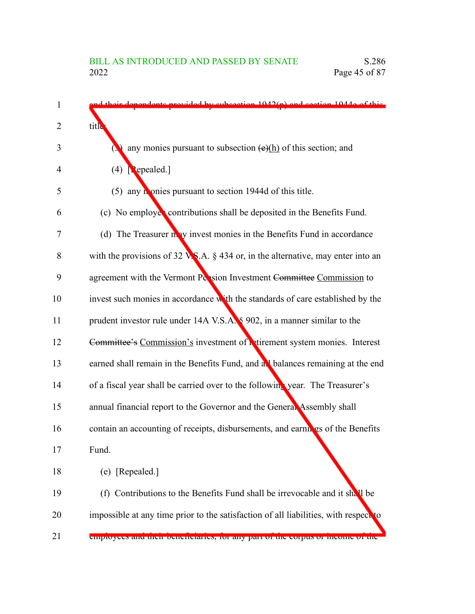| 1  | d their dependents provided by subsection 1042(p) and section 1044e of this              |
|----|------------------------------------------------------------------------------------------|
| 2  | title                                                                                    |
| 3  | any monies pursuant to subsection $(e)(h)$ of this section; and                          |
| 4  | $(4)$ [ <b>P</b> epealed.]                                                               |
| 5  | (5) any homies pursuant to section 1944d of this title.                                  |
| 6  | (c) No employes contributions shall be deposited in the Benefits Fund.                   |
| 7  | (d) The Treasurer may invest monies in the Benefits Fund in accordance                   |
| 8  | with the provisions of 32 $\sqrt{S}$ .A. § 434 or, in the alternative, may enter into an |
| 9  | agreement with the Vermont Pension Investment Committee Commission to                    |
| 10 | invest such monies in accordance with the standards of care established by the           |
| 11 | prudent investor rule under 14A V.S.A. § 902, in a manner similar to the                 |
| 12 | Committee's Commission's investment of retirement system monies. Interest                |
| 13 | earned shall remain in the Benefits Fund, and all balances remaining at the end          |
| 14 | of a fiscal year shall be carried over to the following year. The Treasurer's            |
| 15 | annual financial report to the Governor and the General Assembly shall                   |
| 16 | contain an accounting of receipts, disbursements, and earnings of the Benefits           |
| 17 | Fund.                                                                                    |
| 18 | (e) [Repealed.]                                                                          |
| 19 | (f) Contributions to the Benefits Fund shall be irrevocable and it shall be              |
| 20 | impossible at any time prior to the satisfaction of all liabilities, with respect to     |
| 21 | employees and their beneficiality, for any part of the corpus of income of the           |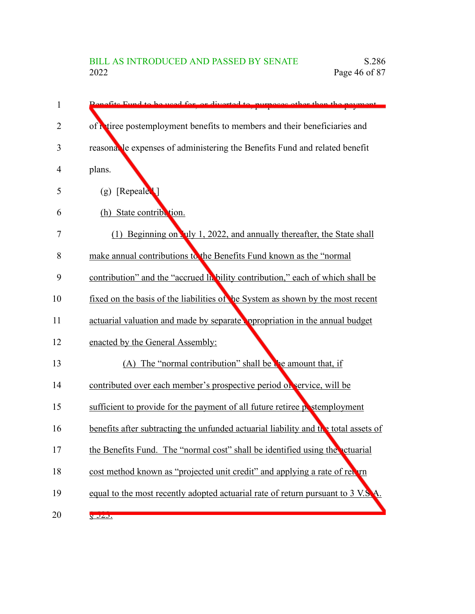| 1  | Repetite Fund to be used for or diverted to purposes other than the neument                       |
|----|---------------------------------------------------------------------------------------------------|
| 2  | of Niree postemployment benefits to members and their beneficiaries and                           |
| 3  | reasonal le expenses of administering the Benefits Fund and related benefit                       |
| 4  | plans.                                                                                            |
| 5  | $(g)$ [Repeale <sup>1</sup> ]                                                                     |
| 6  | (h) State contribution.                                                                           |
| 7  | (1) Beginning on Tuly 1, 2022, and annually thereafter, the State shall                           |
| 8  | make annual contributions to the Benefits Fund known as the "normal                               |
| 9  | contribution" and the "accrued hebility contribution," each of which shall be                     |
| 10 | fixed on the basis of the liabilities of the System as shown by the most recent                   |
| 11 | actuarial valuation and made by separate oppropriation in the annual budget                       |
| 12 | enacted by the General Assembly:                                                                  |
| 13 | (A) The "normal contribution" shall be the amount that, if                                        |
| 14 | contributed over each member's prospective period of service, will be                             |
| 15 | sufficient to provide for the payment of all future retiree postemployment                        |
| 16 | benefits after subtracting the unfunded actuarial liability and $t \rightarrow 0$ total assets of |
| 17 | the Benefits Fund. The "normal cost" shall be identified using the actuarial                      |
| 18 | cost method known as "projected unit credit" and applying a rate of ret un                        |
| 19 | equal to the most recently adopted actuarial rate of return pursuant to 3 V.S.                    |
| 20 | 8J2J.                                                                                             |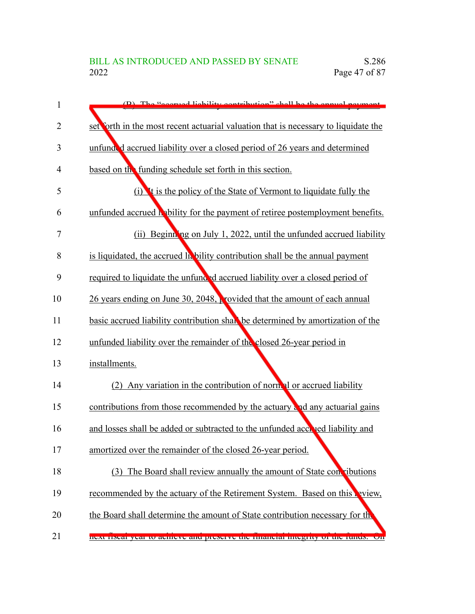| 1  | $(D)$ The "second lightlity contribution" shall be the engula perment               |
|----|-------------------------------------------------------------------------------------|
| 2  | set forth in the most recent actuarial valuation that is necessary to liquidate the |
| 3  | unfunded accrued liability over a closed period of 26 years and determined          |
| 4  | based on the funding schedule set forth in this section.                            |
| 5  | (i) It is the policy of the State of Vermont to liquidate fully the                 |
| 6  | unfunded accrued hability for the payment of retiree postemployment benefits.       |
| 7  | (ii) Beginning on July 1, 2022, until the unfunded accrued liability                |
| 8  | is liquidated, the accrued la bility contribution shall be the annual payment       |
| 9  | required to liquidate the unfunded accrued liability over a closed period of        |
| 10 | 26 years ending on June 30, 2048, provided that the amount of each annual           |
| 11 | basic accrued liability contribution shall be determined by amortization of the     |
| 12 | unfunded liability over the remainder of the closed 26-year period in               |
| 13 | installments.                                                                       |
| 14 | (2) Any variation in the contribution of normal or accrued liability                |
| 15 | contributions from those recommended by the actuary and any actuarial gains         |
| 16 | and losses shall be added or subtracted to the unfunded accreed liability and       |
| 17 | amortized over the remainder of the closed 26-year period.                          |
| 18 | (3) The Board shall review annually the amount of State convibutions                |
| 19 | recommended by the actuary of the Retirement System. Based on this priew,           |
| 20 | the Board shall determine the amount of State contribution necessary for the        |
| 21 | next nsear year to achieve and preserve the mianoral megnty or the runds. On        |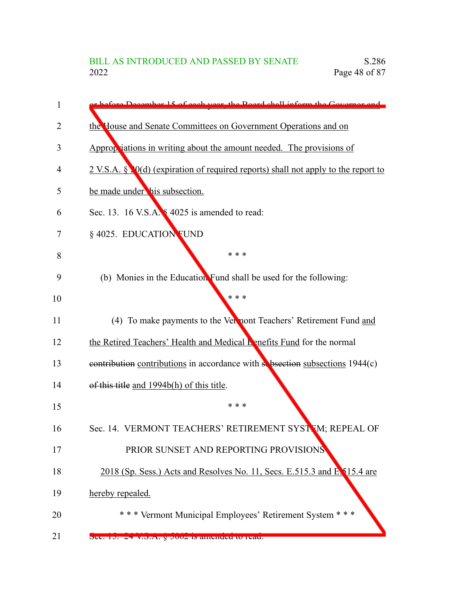| 1  | chatara December 15 of each year, the Board shall inform the Governor on              |
|----|---------------------------------------------------------------------------------------|
| 2  | the House and Senate Committees on Government Operations and on                       |
| 3  | Appropriations in writing about the amount needed. The provisions of                  |
| 4  | $2$ V.S.A. § $Q(d)$ (expiration of required reports) shall not apply to the report to |
| 5  | be made under his subsection.                                                         |
| 6  | Sec. 13. 16 V.S.A. § 4025 is amended to read:                                         |
| 7  | § 4025. EDUCATION FUND                                                                |
| 8  | * * *                                                                                 |
| 9  | (b) Monies in the Education Fund shall be used for the following:                     |
| 10 | * * *                                                                                 |
| 11 | (4) To make payments to the Vermont Teachers' Retirement Fund and                     |
| 12 | the Retired Teachers' Health and Medical Benefits Fund for the normal                 |
| 13 | contribution contributions in accordance with subsection subsections 1944(c)          |
| 14 | of this title and 1994b(h) of this title.                                             |
| 15 | * * *                                                                                 |
| 16 | Sec. 14. VERMONT TEACHERS' RETIREMENT SYSTEM; REPEAL OF                               |
| 17 | PRIOR SUNSET AND REPORTING PROVISIONS                                                 |
| 18 | 2018 (Sp. Sess.) Acts and Resolves No. 11, Secs. E.515.3 and E. 15.4 are              |
| 19 | hereby repealed.                                                                      |
| 20 | *** Vermont Municipal Employees' Retirement System ***                                |
| 21 | $\overline{OC}$ . 19. $24$ V.O.A. $\overline{y}$ 9002 is amended to read.             |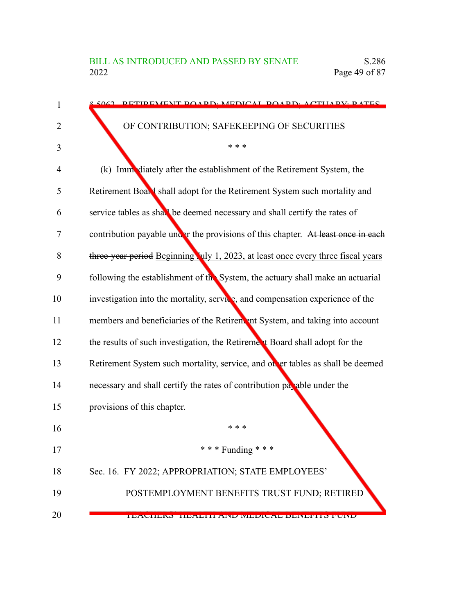| 1  | 5062 DETIDEMENT ROADD, MEDICAL ROADD, ACTILADV, DATES                            |
|----|----------------------------------------------------------------------------------|
| 2  | OF CONTRIBUTION; SAFEKEEPING OF SECURITIES                                       |
| 3  | * * *                                                                            |
| 4  | (k) Imm diately after the establishment of the Retirement System, the            |
| 5  | Retirement Board shall adopt for the Retirement System such mortality and        |
| 6  | service tables as shall be deemed necessary and shall certify the rates of       |
| 7  | contribution payable under the provisions of this chapter. At least once in each |
| 8  | three-year period Beginning July 1, 2023, at least once every three fiscal years |
| 9  | following the establishment of the System, the actuary shall make an actuarial   |
| 10 | investigation into the mortality, service, and compensation experience of the    |
| 11 | members and beneficiaries of the Retirem ant System, and taking into account     |
| 12 | the results of such investigation, the Retirement Board shall adopt for the      |
| 13 | Retirement System such mortality, service, and other tables as shall be deemed   |
| 14 | necessary and shall certify the rates of contribution payable under the          |
| 15 | provisions of this chapter.                                                      |
| 16 | * * *                                                                            |
| 17 | *** Funding ***                                                                  |
| 18 | Sec. 16. FY 2022; APPROPRIATION; STATE EMPLOYEES'                                |
| 19 | POSTEMPLOYMENT BENEFITS TRUST FUND; RETIRED                                      |
| 20 | I DAVIDNO TIDAVITI AND MIDDIVAL DDINDI I OTUND                                   |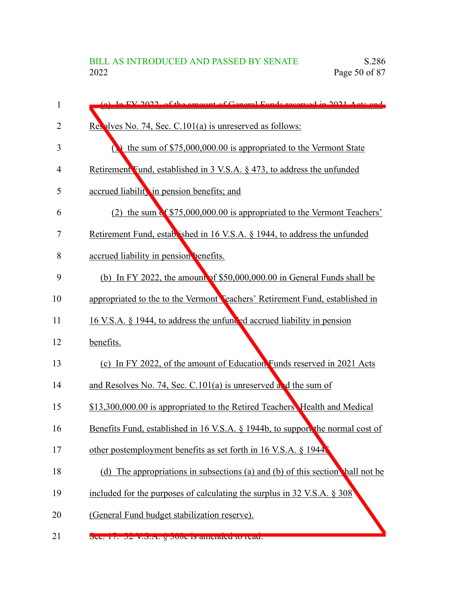| 1              | (a) In EV 2022, of the emount of General Eunde recorred in 2021, Acts and      |
|----------------|--------------------------------------------------------------------------------|
| $\overline{2}$ | Resplyee No. 74, Sec. C.101(a) is unreserved as follows:                       |
| 3              | the sum of $$75,000,000.00$ is appropriated to the Vermont State               |
| 4              | Retirement Fund, established in 3 V.S.A. § 473, to address the unfunded        |
| 5              | accrued liability in pension benefits; and                                     |
| 6              | (2) the sum of \$75,000,000.00 is appropriated to the Vermont Teachers'        |
| 7              | Retirement Fund, established in 16 V.S.A. § 1944, to address the unfunded      |
| 8              | accrued liability in pension benefits.                                         |
| 9              | (b) In FY 2022, the amount of $$50,000,000.00$ in General Funds shall be       |
| 10             | appropriated to the to the Vermont Peachers' Retirement Fund, established in   |
| 11             | 16 V.S.A. § 1944, to address the unfunded accrued liability in pension         |
| 12             | benefits.                                                                      |
| 13             | (c) In FY 2022, of the amount of Education Funds reserved in 2021 Acts         |
| 14             | and Resolves No. 74, Sec. C.101(a) is unreserved and the sum of                |
| 15             | \$13,300,000.00 is appropriated to the Retired Teachers Health and Medical     |
| 16             | Benefits Fund, established in 16 V.S.A. § 1944b, to support the normal cost of |
| 17             | other postemployment benefits as set forth in 16 V.S.A. § 1944.                |
| 18             | (d) The appropriations in subsections (a) and (b) of this section hall not be  |
| 19             | included for the purposes of calculating the surplus in 32 V.S.A. § 308        |
| 20             | (General Fund budget stabilization reserve).                                   |
| 21             | Sec. 17. 32 v.S.A. y Juot is amenueu to reau.                                  |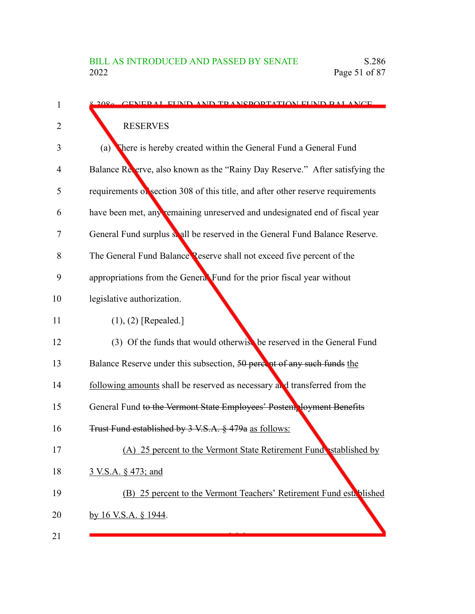| 1  | 8.2080 CENED AL ELIND AND TRANSDORTATION ELIND RAL ANCE                         |
|----|---------------------------------------------------------------------------------|
| 2  | <b>RESERVES</b>                                                                 |
| 3  | There is hereby created within the General Fund a General Fund<br>(a)           |
| 4  | Balance Reverve, also known as the "Rainy Day Reserve." After satisfying the    |
| 5  | requirements of section 308 of this title, and after other reserve requirements |
| 6  | have been met, any remaining unreserved and undesignated end of fiscal year     |
| 7  | General Fund surplus solution be reserved in the General Fund Balance Reserve.  |
| 8  | The General Fund Balance Reserve shall not exceed five percent of the           |
| 9  | appropriations from the General Fund for the prior fiscal year without          |
| 10 | legislative authorization.                                                      |
| 11 | $(1), (2)$ [Repealed.]                                                          |
| 12 | (3) Of the funds that would otherwish be reserved in the General Fund           |
| 13 | Balance Reserve under this subsection, 50 percent of any such funds the         |
| 14 | following amounts shall be reserved as necessary and transferred from the       |
| 15 | General Fund to the Vermont State Employees' Postem loyment Benefits            |
| 16 | Trust Fund established by 3 V.S.A. § 479a as follows:                           |
| 17 | (A) 25 percent to the Vermont State Retirement Fund stablished by               |
| 18 | 3 V.S.A. § 473; and                                                             |
| 19 | (B) 25 percent to the Vermont Teachers' Retirement Fund established             |
| 20 | by 16 V.S.A. § 1944.                                                            |
| 21 |                                                                                 |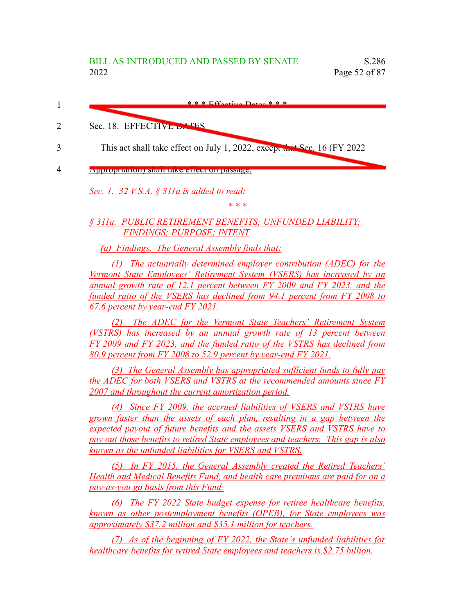

*Sec. 1. 32 V.S.A. § 311a is added to read:*

*\* \* \**

*§ 311a. PUBLIC RETIREMENT BENEFITS; UNFUNDED LIABILITY; FINDINGS; PURPOSE; INTENT*

*(a) Findings. The General Assembly finds that:*

*(1) The actuarially determined employer contribution (ADEC) for the Vermont State Employees' Retirement System (VSERS) has increased by an annual growth rate of 12.1 percent between FY 2009 and FY 2023, and the funded ratio of the VSERS has declined from 94.1 percent from FY 2008 to 67.6 percent by year-end FY 2021.*

*(2) The ADEC for the Vermont State Teachers' Retirement System (VSTRS) has increased by an annual growth rate of 13 percent between FY 2009 and FY 2023, and the funded ratio of the VSTRS has declined from 80.9 percent from FY 2008 to 52.9 percent by year-end FY 2021.*

*(3) The General Assembly has appropriated sufficient funds to fully pay the ADEC for both VSERS and VSTRS at the recommended amounts since FY 2007 and throughout the current amortization period.*

*(4) Since FY 2009, the accrued liabilities of VSERS and VSTRS have grown faster than the assets of each plan, resulting in a gap between the expected payout of future benefits and the assets VSERS and VSTRS have to pay out those benefits to retired State employees and teachers. This gap is also known as the unfunded liabilities for VSERS and VSTRS.*

*(5) In FY 2015, the General Assembly created the Retired Teachers' Health and Medical Benefits Fund, and health care premiums are paid for on a pay-as-you go basis from this Fund.*

*(6) The FY 2022 State budget expense for retiree healthcare benefits, known as other postemployment benefits (OPEB), for State employees was approximately \$37.2 million and \$35.1 million for teachers.*

*(7) As of the beginning of FY 2022, the State's unfunded liabilities for healthcare benefits for retired State employees and teachers is \$2.75 billion.*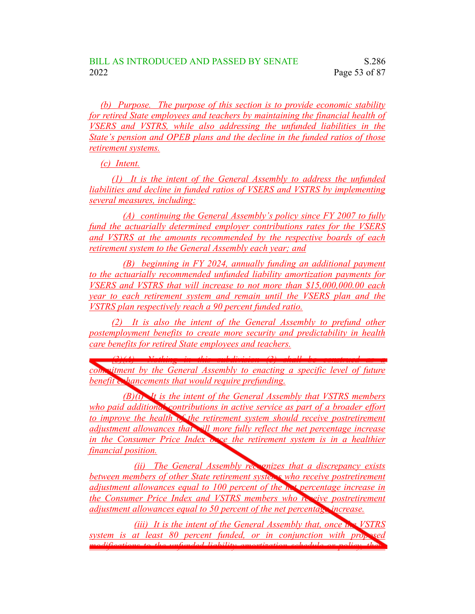*(b) Purpose. The purpose of this section is to provide economic stability for retired State employees and teachers by maintaining the financial health of VSERS and VSTRS, while also addressing the unfunded liabilities in the State's pension and OPEB plans and the decline in the funded ratios of those retirement systems.*

*(c) Intent.*

*(1) It is the intent of the General Assembly to address the unfunded liabilities and decline in funded ratios of VSERS and VSTRS by implementing several measures, including:*

*(A) continuing the General Assembly's policy since FY 2007 to fully fund the actuarially determined employer contributions rates for the VSERS and VSTRS at the amounts recommended by the respective boards of each retirement system to the General Assembly each year; and*

*(B) beginning in FY 2024, annually funding an additional payment to the actuarially recommended unfunded liability amortization payments for VSERS and VSTRS that will increase to not more than \$15,000,000.00 each year to each retirement system and remain until the VSERS plan and the VSTRS plan respectively reach a 90 percent funded ratio.*

*(2) It is also the intent of the General Assembly to prefund other postemployment benefits to create more security and predictability in health care benefits for retired State employees and teachers.*

*(3)(A) Nothing in this subdivision (3) shall be construed as a*

*commitment by the General Assembly to enacting a specific level of future benefit enhancements that would require prefunding.* 

*(B)(i) It is the intent of the General Assembly that VSTRS members who paid additional contributions in active service as part of a broader effort to improve the health of the retirement system should receive postretirement adjustment allowances that will more fully reflect the net percentage increase in the Consumer Price Index once the retirement system is in a healthier financial position.*

*(ii) The General Assembly recognizes that a discrepancy exists between members of other State retirement systems who receive postretirement adjustment allowances equal to 100 percent of the net percentage increase in the Consumer Price Index and VSTRS members who receive postretirement adjustment allowances equal to 50 percent of the net percentage increase.*

*(iii) It is the intent of the General Assembly that, once the VSTRS system is at least 80 percent funded, or in conjunction with proposed modifications to the unfunded liability amortization schedule or policy, there*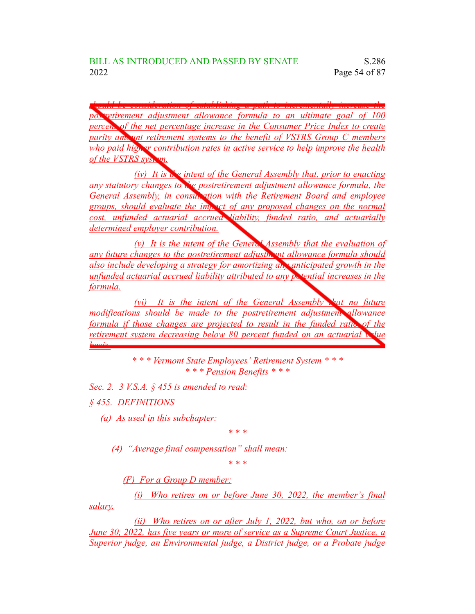*should be consideration of establishing a path to incrementally increase the postretirement adjustment allowance formula to an ultimate goal of 100 percent of the net percentage increase in the Consumer Price Index to create parity amount retirement systems to the benefit of VSTRS Group C members who paid higher contribution rates in active service to help improve the health of the VSTRS system.*

*(iv) It is the intent of the General Assembly that, prior to enacting any statutory changes to the postretirement adjustment allowance formula, the General Assembly, in consultation with the Retirement Board and employee groups, should evaluate the impact of any proposed changes on the normal cost, unfunded actuarial accrued liability, funded ratio, and actuarially determined employer contribution.*

*(v) It is the intent of the General Assembly that the evaluation of any future changes to the postretirement adjustment allowance formula should also include developing a strategy for amortizing any anticipated growth in the unfunded actuarial accrued liability attributed to any potential increases in the formula.*

*(vi) It is the intent of the General Assembly that no future modifications should be made to the postretirement adjustment allowance formula if those changes are projected to result in the funded ratio of the retirement system decreasing below 80 percent funded on an actuarial value basis.*

> *\* \* \* Vermont State Employees' Retirement System \* \* \* \* \* \* Pension Benefits \* \* \**

*Sec. 2. 3 V.S.A. § 455 is amended to read:*

*§ 455. DEFINITIONS*

*(a) As used in this subchapter:*

*\* \* \**

*(4) "Average final compensation" shall mean:*

*\* \* \**

*(F) For a Group D member:*

*(i) Who retires on or before June 30, 2022, the member's final salary.*

*(ii) Who retires on or after July 1, 2022, but who, on or before June 30, 2022, has five years or more of service as a Supreme Court Justice, a Superior judge, an Environmental judge, a District judge, or a Probate judge*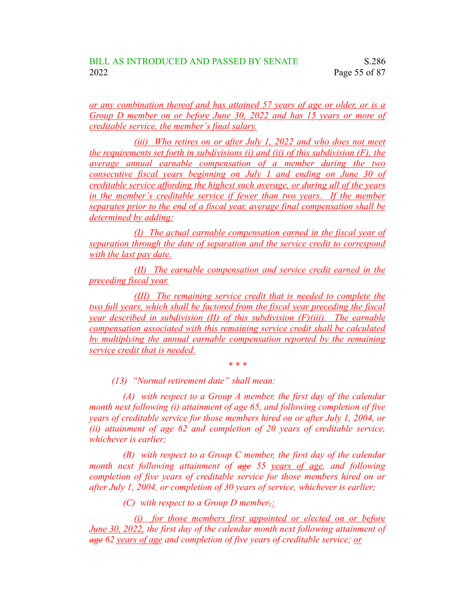*or any combination thereof and has attained 57 years of age or older, or is a Group D member on or before June 30, 2022 and has 15 years or more of creditable service, the member's final salary.*

*(iii) Who retires on or after July 1, 2022 and who does not meet the requirements set forth in subdivisions (i) and (ii) of this subdivision (F), the average annual earnable compensation of a member during the two consecutive fiscal years beginning on July 1 and ending on June 30 of creditable service affording the highest such average, or during all of the years in the member's creditable service if fewer than two years. If the member separates prior to the end of a fiscal year, average final compensation shall be determined by adding:*

*(I) The actual earnable compensation earned in the fiscal year of separation through the date of separation and the service credit to correspond with the last pay date.*

*(II) The earnable compensation and service credit earned in the preceding fiscal year.*

*(III) The remaining service credit that is needed to complete the two full years, which shall be factored from the fiscal year preceding the fiscal year described in subdivision (II) of this subdivision (F)(iii). The earnable compensation associated with this remaining service credit shall be calculated by multiplying the annual earnable compensation reported by the remaining service credit that is needed.*

*\* \* \**

*(13) "Normal retirement date" shall mean:*

*(A) with respect to a Group A member, the first day of the calendar month next following (i) attainment of age 65, and following completion of five years of creditable service for those members hired on or after July 1, 2004, or (ii) attainment of age 62 and completion of 20 years of creditable service, whichever is earlier;*

*(B) with respect to a Group C member, the first day of the calendar month next following attainment of age 55 years of age, and following completion of five years of creditable service for those members hired on or after July 1, 2004, or completion of 30 years of service, whichever is earlier;*

*(C) with respect to a Group D member,:*

*(i) for those members first appointed or elected on or before June 30, 2022, the first day of the calendar month next following attainment of age 62 years of age and completion of five years of creditable service; or*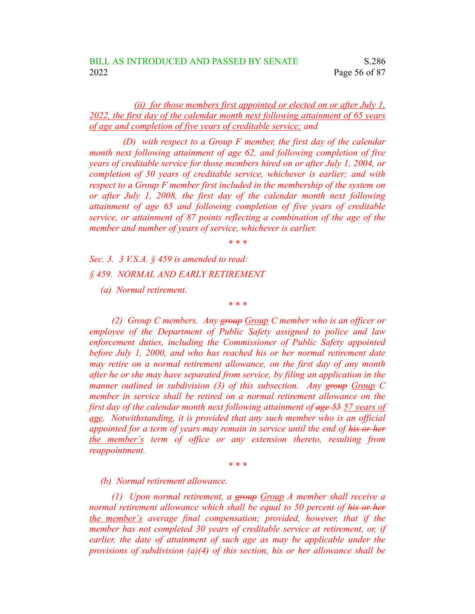## *(ii) for those members first appointed or elected on or after July 1, 2022, the first day of the calendar month next following attainment of 65 years of age and completion of five years of creditable service; and*

*(D) with respect to a Group F member, the first day of the calendar month next following attainment of age 62, and following completion of five years of creditable service for those members hired on or after July 1, 2004, or completion of 30 years of creditable service, whichever is earlier; and with respect to a Group F member first included in the membership of the system on or after July 1, 2008, the first day of the calendar month next following attainment of age 65 and following completion of five years of creditable service, or attainment of 87 points reflecting a combination of the age of the member and number of years of service, whichever is earlier.*

*\* \* \**

*\* \* \**

*Sec. 3. 3 V.S.A. § 459 is amended to read:*

*§ 459. NORMAL AND EARLY RETIREMENT*

*(a) Normal retirement.*

*(2) Group C members. Any group Group C member who is an officer or employee of the Department of Public Safety assigned to police and law enforcement duties, including the Commissioner of Public Safety appointed before July 1, 2000, and who has reached his or her normal retirement date may retire on a normal retirement allowance, on the first day of any month after he or she may have separated from service, by filing an application in the manner outlined in subdivision (3) of this subsection. Any group Group C member in service shall be retired on a normal retirement allowance on the first day of the calendar month next following attainment of age 55 57 years of age. Notwithstanding, it is provided that any such member who is an official appointed for a term of years may remain in service until the end of his or her the member's term of office or any extension thereto, resulting from reappointment.*

*\* \* \**

*(b) Normal retirement allowance.*

*(1) Upon normal retirement, a group Group A member shall receive a normal retirement allowance which shall be equal to 50 percent of his or her the member's average final compensation; provided, however, that if the member has not completed 30 years of creditable service at retirement, or, if earlier, the date of attainment of such age as may be applicable under the provisions of subdivision (a)(4) of this section, his or her allowance shall be*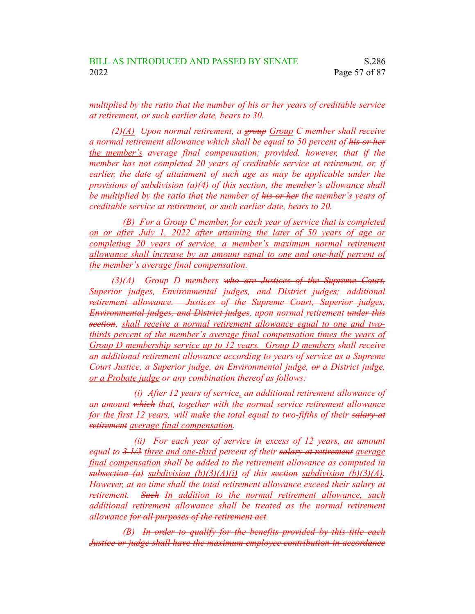*multiplied by the ratio that the number of his or her years of creditable service at retirement, or such earlier date, bears to 30.*

*(2)(A) Upon normal retirement, a group Group C member shall receive a normal retirement allowance which shall be equal to 50 percent of his or her the member's average final compensation; provided, however, that if the member has not completed 20 years of creditable service at retirement, or, if earlier, the date of attainment of such age as may be applicable under the provisions of subdivision (a)(4) of this section, the member's allowance shall be multiplied by the ratio that the number of his or her the member's years of creditable service at retirement, or such earlier date, bears to 20.*

*(B) For a Group C member, for each year of service that is completed on or after July 1, 2022 after attaining the later of 50 years of age or completing 20 years of service, a member's maximum normal retirement allowance shall increase by an amount equal to one and one-half percent of the member's average final compensation.*

*(3)(A) Group D members who are Justices of the Supreme Court, Superior judges, Environmental judges, and District judges; additional retirement allowance. Justices of the Supreme Court, Superior judges, Environmental judges, and District judges, upon normal retirement under this section, shall receive a normal retirement allowance equal to one and twothirds percent of the member's average final compensation times the years of Group D membership service up to 12 years. Group D members shall receive an additional retirement allowance according to years of service as a Supreme Court Justice, a Superior judge, an Environmental judge, or a District judge, or a Probate judge or any combination thereof as follows:*

*(i) After 12 years of service, an additional retirement allowance of an amount which that, together with the normal service retirement allowance for the first 12 years, will make the total equal to two-fifths of their salary at retirement average final compensation.*

*(ii) For each year of service in excess of 12 years, an amount equal to 3 1/3 three and one-third percent of their salary at retirement average final compensation shall be added to the retirement allowance as computed in subsection (a) subdivision (b)(3)(A)(i) of this section subdivision (b)(3)(A). However, at no time shall the total retirement allowance exceed their salary at retirement. Such In addition to the normal retirement allowance, such additional retirement allowance shall be treated as the normal retirement allowance for all purposes of the retirement act.*

*(B) In order to qualify for the benefits provided by this title each Justice or judge shall have the maximum employee contribution in accordance*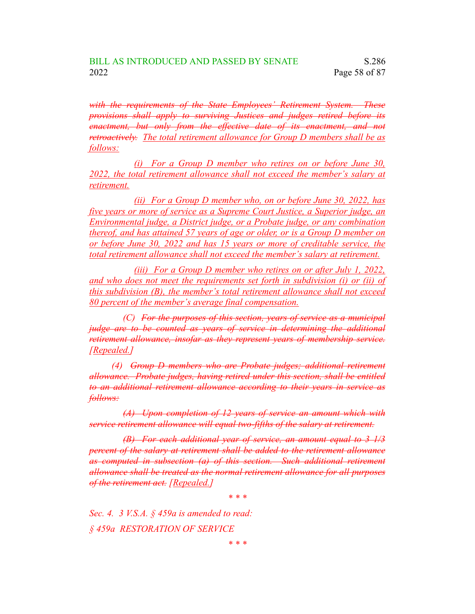*with the requirements of the State Employees' Retirement System. These provisions shall apply to surviving Justices and judges retired before its enactment, but only from the effective date of its enactment, and not retroactively. The total retirement allowance for Group D members shall be as follows:*

*(i) For a Group D member who retires on or before June 30, 2022, the total retirement allowance shall not exceed the member's salary at retirement.*

*(ii) For a Group D member who, on or before June 30, 2022, has five years or more of service as a Supreme Court Justice, a Superior judge, an Environmental judge, a District judge, or a Probate judge, or any combination thereof, and has attained 57 years of age or older, or is a Group D member on or before June 30, 2022 and has 15 years or more of creditable service, the total retirement allowance shall not exceed the member's salary at retirement.*

*(iii) For a Group D member who retires on or after July 1, 2022, and who does not meet the requirements set forth in subdivision (i) or (ii) of this subdivision (B), the member's total retirement allowance shall not exceed 80 percent of the member's average final compensation.*

*(C) For the purposes of this section, years of service as a municipal judge are to be counted as years of service in determining the additional retirement allowance, insofar as they represent years of membership service. [Repealed.]*

*(4) Group D members who are Probate judges; additional retirement allowance. Probate judges, having retired under this section, shall be entitled to an additional retirement allowance according to their years in service as follows:*

*(A) Upon completion of 12 years of service an amount which with service retirement allowance will equal two-fifths of the salary at retirement.*

*(B) For each additional year of service, an amount equal to 3 1/3 percent of the salary at retirement shall be added to the retirement allowance as computed in subsection (a) of this section. Such additional retirement allowance shall be treated as the normal retirement allowance for all purposes of the retirement act. [Repealed.]*

*\* \* \**

*Sec. 4. 3 V.S.A. § 459a is amended to read: § 459a RESTORATION OF SERVICE*

*\* \* \**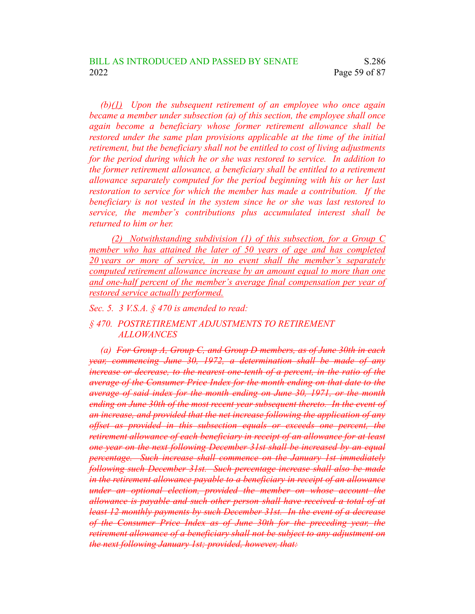*(b)(1) Upon the subsequent retirement of an employee who once again became a member under subsection (a) of this section, the employee shall once again become a beneficiary whose former retirement allowance shall be restored under the same plan provisions applicable at the time of the initial retirement, but the beneficiary shall not be entitled to cost of living adjustments for the period during which he or she was restored to service. In addition to the former retirement allowance, a beneficiary shall be entitled to a retirement allowance separately computed for the period beginning with his or her last restoration to service for which the member has made a contribution. If the beneficiary is not vested in the system since he or she was last restored to service, the member's contributions plus accumulated interest shall be returned to him or her.*

*(2) Notwithstanding subdivision (1) of this subsection, for a Group C member who has attained the later of 50 years of age and has completed 20 years or more of service, in no event shall the member's separately computed retirement allowance increase by an amount equal to more than one and one-half percent of the member's average final compensation per year of restored service actually performed.*

## *Sec. 5. 3 V.S.A. § 470 is amended to read:*

## *§ 470. POSTRETIREMENT ADJUSTMENTS TO RETIREMENT ALLOWANCES*

*(a) For Group A, Group C, and Group D members, as of June 30th in each year, commencing June 30, 1972, a determination shall be made of any increase or decrease, to the nearest one-tenth of a percent, in the ratio of the average of the Consumer Price Index for the month ending on that date to the average of said index for the month ending on June 30, 1971, or the month ending on June 30th of the most recent year subsequent thereto. In the event of an increase, and provided that the net increase following the application of any offset as provided in this subsection equals or exceeds one percent, the retirement allowance of each beneficiary in receipt of an allowance for at least one year on the next following December 31st shall be increased by an equal percentage. Such increase shall commence on the January 1st immediately following such December 31st. Such percentage increase shall also be made in the retirement allowance payable to a beneficiary in receipt of an allowance under an optional election, provided the member on whose account the allowance is payable and such other person shall have received a total of at least 12 monthly payments by such December 31st. In the event of a decrease of the Consumer Price Index as of June 30th for the preceding year, the retirement allowance of a beneficiary shall not be subject to any adjustment on the next following January 1st; provided, however, that:*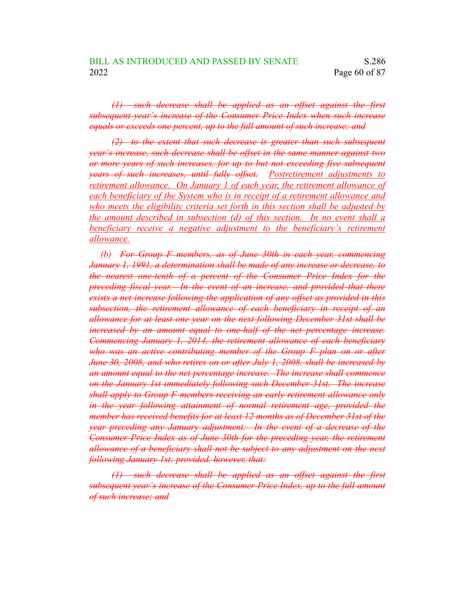*(1) such decrease shall be applied as an offset against the first subsequent year's increase of the Consumer Price Index when such increase equals or exceeds one percent, up to the full amount of such increase; and*

*(2) to the extent that such decrease is greater than such subsequent year's increase, such decrease shall be offset in the same manner against two or more years of such increases, for up to but not exceeding five subsequent years of such increases, until fully offset. Postretirement adjustments to retirement allowance. On January 1 of each year, the retirement allowance of each beneficiary of the System who is in receipt of a retirement allowance and who meets the eligibility criteria set forth in this section shall be adjusted by the amount described in subsection (d) of this section. In no event shall a beneficiary receive a negative adjustment to the beneficiary's retirement allowance.*

*(b) For Group F members, as of June 30th in each year, commencing January 1, 1991, a determination shall be made of any increase or decrease, to the nearest one-tenth of a percent of the Consumer Price Index for the preceding fiscal year. In the event of an increase, and provided that there exists a net increase following the application of any offset as provided in this subsection, the retirement allowance of each beneficiary in receipt of an allowance for at least one year on the next following December 31st shall be increased by an amount equal to one-half of the net percentage increase. Commencing January 1, 2014, the retirement allowance of each beneficiary who was an active contributing member of the Group F plan on or after June 30, 2008, and who retires on or after July 1, 2008, shall be increased by an amount equal to the net percentage increase. The increase shall commence on the January 1st immediately following such December 31st. The increase shall apply to Group F members receiving an early retirement allowance only in the year following attainment of normal retirement age, provided the member has received benefits for at least 12 months as of December 31st of the year preceding any January adjustment. In the event of a decrease of the Consumer Price Index as of June 30th for the preceding year, the retirement allowance of a beneficiary shall not be subject to any adjustment on the next following January 1st; provided, however, that:*

*(1) such decrease shall be applied as an offset against the first subsequent year's increase of the Consumer Price Index, up to the full amount of such increase; and*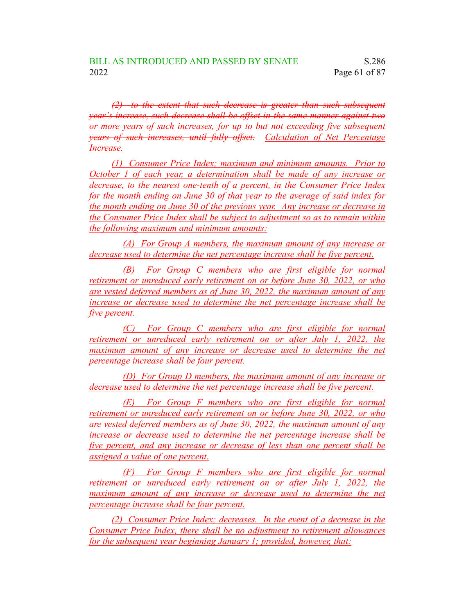*(2) to the extent that such decrease is greater than such subsequent year's increase, such decrease shall be offset in the same manner against two or more years of such increases, for up to but not exceeding five subsequent years of such increases, until fully offset. Calculation of Net Percentage Increase.*

*(1) Consumer Price Index; maximum and minimum amounts. Prior to October 1 of each year, a determination shall be made of any increase or decrease, to the nearest one-tenth of a percent, in the Consumer Price Index for the month ending on June 30 of that year to the average of said index for the month ending on June 30 of the previous year. Any increase or decrease in the Consumer Price Index shall be subject to adjustment so as to remain within the following maximum and minimum amounts:*

*(A) For Group A members, the maximum amount of any increase or decrease used to determine the net percentage increase shall be five percent.*

*(B) For Group C members who are first eligible for normal retirement or unreduced early retirement on or before June 30, 2022, or who are vested deferred members as of June 30, 2022, the maximum amount of any increase or decrease used to determine the net percentage increase shall be five percent.*

*(C) For Group C members who are first eligible for normal retirement or unreduced early retirement on or after July 1, 2022, the maximum amount of any increase or decrease used to determine the net percentage increase shall be four percent.*

*(D) For Group D members, the maximum amount of any increase or decrease used to determine the net percentage increase shall be five percent.*

*(E) For Group F members who are first eligible for normal retirement or unreduced early retirement on or before June 30, 2022, or who are vested deferred members as of June 30, 2022, the maximum amount of any increase or decrease used to determine the net percentage increase shall be five percent, and any increase or decrease of less than one percent shall be assigned a value of one percent.*

*(F) For Group F members who are first eligible for normal retirement or unreduced early retirement on or after July 1, 2022, the maximum amount of any increase or decrease used to determine the net percentage increase shall be four percent.*

*(2) Consumer Price Index; decreases. In the event of a decrease in the Consumer Price Index, there shall be no adjustment to retirement allowances for the subsequent year beginning January 1; provided, however, that:*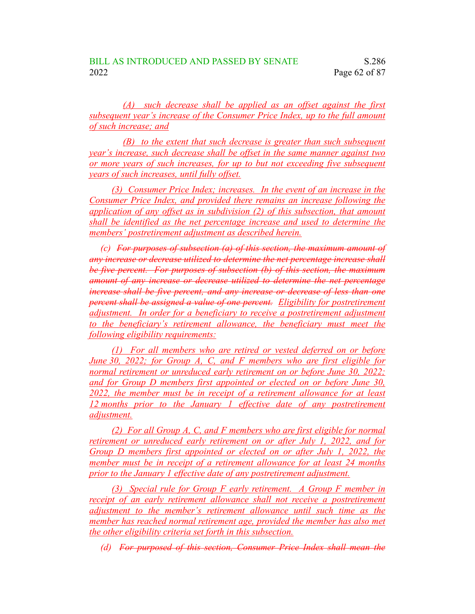*(A) such decrease shall be applied as an offset against the first subsequent year's increase of the Consumer Price Index, up to the full amount of such increase; and*

*(B) to the extent that such decrease is greater than such subsequent year's increase, such decrease shall be offset in the same manner against two or more years of such increases, for up to but not exceeding five subsequent years of such increases, until fully offset.*

*(3) Consumer Price Index; increases. In the event of an increase in the Consumer Price Index, and provided there remains an increase following the application of any offset as in subdivision (2) of this subsection, that amount shall be identified as the net percentage increase and used to determine the members' postretirement adjustment as described herein.*

*(c) For purposes of subsection (a) of this section, the maximum amount of any increase or decrease utilized to determine the net percentage increase shall be five percent. For purposes of subsection (b) of this section, the maximum amount of any increase or decrease utilized to determine the net percentage increase shall be five percent, and any increase or decrease of less than one percent shall be assigned a value of one percent. Eligibility for postretirement adjustment. In order for a beneficiary to receive a postretirement adjustment to the beneficiary's retirement allowance, the beneficiary must meet the following eligibility requirements:*

*(1) For all members who are retired or vested deferred on or before June 30, 2022; for Group A, C, and F members who are first eligible for normal retirement or unreduced early retirement on or before June 30, 2022; and for Group D members first appointed or elected on or before June 30, 2022, the member must be in receipt of a retirement allowance for at least 12 months prior to the January 1 effective date of any postretirement adjustment.*

*(2) For all Group A, C, and F members who are first eligible for normal retirement or unreduced early retirement on or after July 1, 2022, and for Group D members first appointed or elected on or after July 1, 2022, the member must be in receipt of a retirement allowance for at least 24 months prior to the January 1 effective date of any postretirement adjustment.*

*(3) Special rule for Group F early retirement. A Group F member in receipt of an early retirement allowance shall not receive a postretirement adjustment to the member's retirement allowance until such time as the member has reached normal retirement age, provided the member has also met the other eligibility criteria set forth in this subsection.*

*(d) For purposed of this section, Consumer Price Index shall mean the*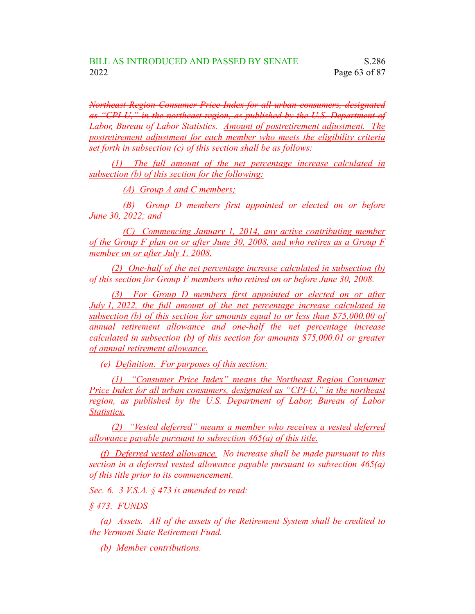*Northeast Region Consumer Price Index for all urban consumers, designated as "CPI-U," in the northeast region, as published by the U.S. Department of Labor, Bureau of Labor Statistics. Amount of postretirement adjustment. The postretirement adjustment for each member who meets the eligibility criteria set forth in subsection (c) of this section shall be as follows:*

*(1) The full amount of the net percentage increase calculated in subsection (b) of this section for the following:*

*(A) Group A and C members;*

*(B) Group D members first appointed or elected on or before June 30, 2022; and*

*(C) Commencing January 1, 2014, any active contributing member of the Group F plan on or after June 30, 2008, and who retires as a Group F member on or after July 1, 2008.*

*(2) One-half of the net percentage increase calculated in subsection (b) of this section for Group F members who retired on or before June 30, 2008.*

*(3) For Group D members first appointed or elected on or after July 1, 2022, the full amount of the net percentage increase calculated in subsection (b) of this section for amounts equal to or less than \$75,000.00 of annual retirement allowance and one-half the net percentage increase calculated in subsection (b) of this section for amounts \$75,000.01 or greater of annual retirement allowance.*

*(e) Definition. For purposes of this section:*

*(1) "Consumer Price Index" means the Northeast Region Consumer Price Index for all urban consumers, designated as "CPI-U," in the northeast region, as published by the U.S. Department of Labor, Bureau of Labor Statistics.*

*(2) "Vested deferred" means a member who receives a vested deferred allowance payable pursuant to subsection 465(a) of this title.*

*(f) Deferred vested allowance. No increase shall be made pursuant to this section in a deferred vested allowance payable pursuant to subsection 465(a) of this title prior to its commencement.*

*Sec. 6. 3 V.S.A. § 473 is amended to read:*

*§ 473. FUNDS*

*(a) Assets. All of the assets of the Retirement System shall be credited to the Vermont State Retirement Fund.*

*(b) Member contributions.*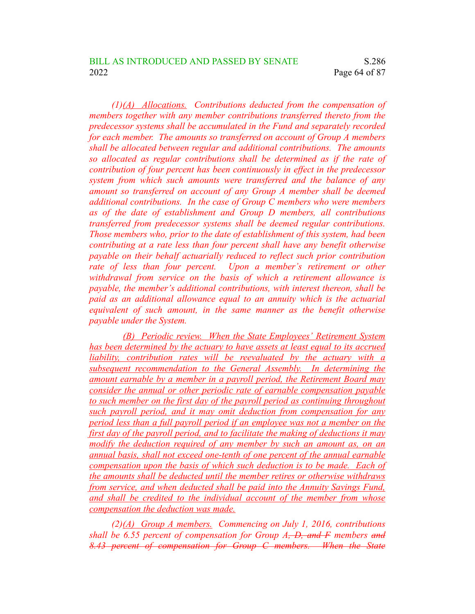*(1)(A) Allocations. Contributions deducted from the compensation of members together with any member contributions transferred thereto from the predecessor systems shall be accumulated in the Fund and separately recorded for each member. The amounts so transferred on account of Group A members shall be allocated between regular and additional contributions. The amounts so allocated as regular contributions shall be determined as if the rate of contribution of four percent has been continuously in effect in the predecessor system from which such amounts were transferred and the balance of any amount so transferred on account of any Group A member shall be deemed additional contributions. In the case of Group C members who were members as of the date of establishment and Group D members, all contributions transferred from predecessor systems shall be deemed regular contributions. Those members who, prior to the date of establishment of this system, had been contributing at a rate less than four percent shall have any benefit otherwise payable on their behalf actuarially reduced to reflect such prior contribution rate of less than four percent. Upon a member's retirement or other withdrawal from service on the basis of which a retirement allowance is payable, the member's additional contributions, with interest thereon, shall be paid as an additional allowance equal to an annuity which is the actuarial equivalent of such amount, in the same manner as the benefit otherwise payable under the System.*

*(B) Periodic review. When the State Employees' Retirement System has been determined by the actuary to have assets at least equal to its accrued liability, contribution rates will be reevaluated by the actuary with a subsequent recommendation to the General Assembly. In determining the amount earnable by a member in a payroll period, the Retirement Board may consider the annual or other periodic rate of earnable compensation payable to such member on the first day of the payroll period as continuing throughout such payroll period, and it may omit deduction from compensation for any period less than a full payroll period if an employee was not a member on the first day of the payroll period, and to facilitate the making of deductions it may modify the deduction required of any member by such an amount as, on an annual basis, shall not exceed one-tenth of one percent of the annual earnable compensation upon the basis of which such deduction is to be made. Each of the amounts shall be deducted until the member retires or otherwise withdraws from service, and when deducted shall be paid into the Annuity Savings Fund, and shall be credited to the individual account of the member from whose compensation the deduction was made.*

*(2)(A) Group A members. Commencing on July 1, 2016, contributions shall be 6.55 percent of compensation for Group A, D, and F members and 8.43 percent of compensation for Group C members. When the State*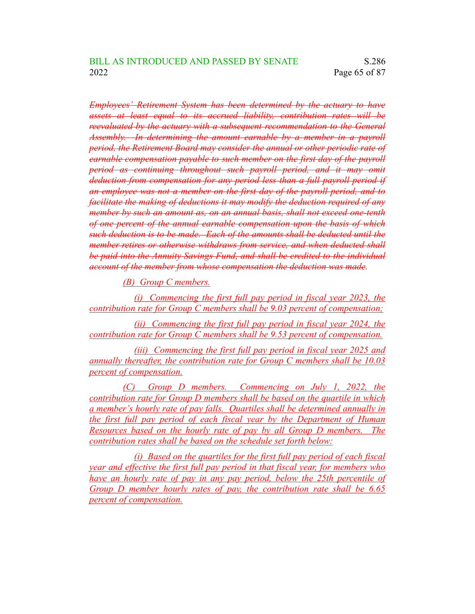*Employees' Retirement System has been determined by the actuary to have assets at least equal to its accrued liability, contribution rates will be reevaluated by the actuary with a subsequent recommendation to the General Assembly. In determining the amount earnable by a member in a payroll period, the Retirement Board may consider the annual or other periodic rate of earnable compensation payable to such member on the first day of the payroll period as continuing throughout such payroll period, and it may omit deduction from compensation for any period less than a full payroll period if an employee was not a member on the first day of the payroll period, and to facilitate the making of deductions it may modify the deduction required of any member by such an amount as, on an annual basis, shall not exceed one-tenth of one percent of the annual earnable compensation upon the basis of which such deduction is to be made. Each of the amounts shall be deducted until the member retires or otherwise withdraws from service, and when deducted shall be paid into the Annuity Savings Fund, and shall be credited to the individual account of the member from whose compensation the deduction was made.*

*(B) Group C members.*

*(i) Commencing the first full pay period in fiscal year 2023, the contribution rate for Group C members shall be 9.03 percent of compensation;*

*(ii) Commencing the first full pay period in fiscal year 2024, the contribution rate for Group C members shall be 9.53 percent of compensation.*

*(iii) Commencing the first full pay period in fiscal year 2025 and annually thereafter, the contribution rate for Group C members shall be 10.03 percent of compensation.*

*(C) Group D members. Commencing on July 1, 2022, the contribution rate for Group D members shall be based on the quartile in which a member's hourly rate of pay falls. Quartiles shall be determined annually in the first full pay period of each fiscal year by the Department of Human Resources based on the hourly rate of pay by all Group D members. The contribution rates shall be based on the schedule set forth below:*

*(i) Based on the quartiles for the first full pay period of each fiscal year and effective the first full pay period in that fiscal year, for members who have an hourly rate of pay in any pay period, below the 25th percentile of Group D member hourly rates of pay, the contribution rate shall be 6.65 percent of compensation.*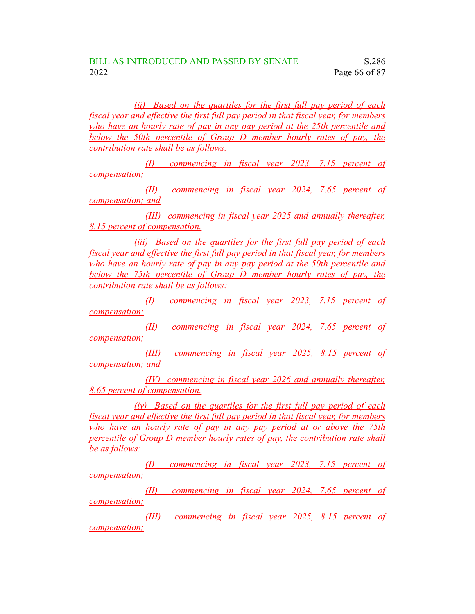*(ii) Based on the quartiles for the first full pay period of each fiscal year and effective the first full pay period in that fiscal year, for members who have an hourly rate of pay in any pay period at the 25th percentile and below the 50th percentile of Group D member hourly rates of pay, the contribution rate shall be as follows:*

*(I) commencing in fiscal year 2023, 7.15 percent of compensation;*

*(II) commencing in fiscal year 2024, 7.65 percent of compensation; and*

*(III) commencing in fiscal year 2025 and annually thereafter, 8.15 percent of compensation.*

*(iii) Based on the quartiles for the first full pay period of each fiscal year and effective the first full pay period in that fiscal year, for members who have an hourly rate of pay in any pay period at the 50th percentile and below the 75th percentile of Group D member hourly rates of pay, the contribution rate shall be as follows:*

*(I) commencing in fiscal year 2023, 7.15 percent of compensation;*

*(II) commencing in fiscal year 2024, 7.65 percent of compensation;*

*(III) commencing in fiscal year 2025, 8.15 percent of compensation; and*

*(IV) commencing in fiscal year 2026 and annually thereafter, 8.65 percent of compensation.*

*(iv) Based on the quartiles for the first full pay period of each fiscal year and effective the first full pay period in that fiscal year, for members who have an hourly rate of pay in any pay period at or above the 75th percentile of Group D member hourly rates of pay, the contribution rate shall be as follows:*

*(I) commencing in fiscal year 2023, 7.15 percent of compensation;*

*(II) commencing in fiscal year 2024, 7.65 percent of compensation;*

*(III) commencing in fiscal year 2025, 8.15 percent of compensation;*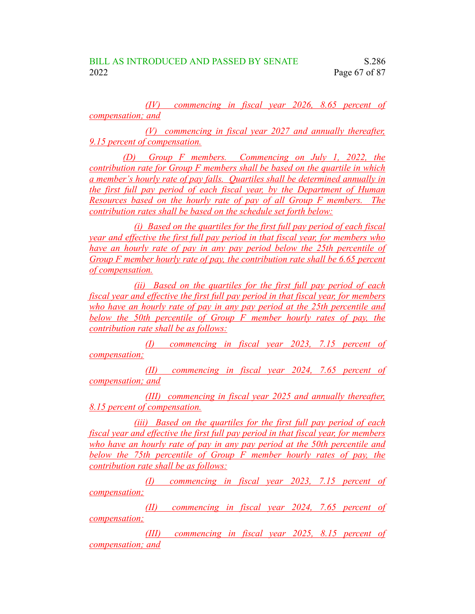*(IV) commencing in fiscal year 2026, 8.65 percent of compensation; and*

*(V) commencing in fiscal year 2027 and annually thereafter, 9.15 percent of compensation.*

*(D) Group F members. Commencing on July 1, 2022, the contribution rate for Group F members shall be based on the quartile in which a member's hourly rate of pay falls. Quartiles shall be determined annually in the first full pay period of each fiscal year, by the Department of Human Resources based on the hourly rate of pay of all Group F members. The contribution rates shall be based on the schedule set forth below:*

*(i) Based on the quartiles for the first full pay period of each fiscal year and effective the first full pay period in that fiscal year, for members who have an hourly rate of pay in any pay period below the 25th percentile of Group F member hourly rate of pay, the contribution rate shall be 6.65 percent of compensation.*

*(ii) Based on the quartiles for the first full pay period of each fiscal year and effective the first full pay period in that fiscal year, for members who have an hourly rate of pay in any pay period at the 25th percentile and below the 50th percentile of Group F member hourly rates of pay, the contribution rate shall be as follows:*

*(I) commencing in fiscal year 2023, 7.15 percent of compensation;*

*(II) commencing in fiscal year 2024, 7.65 percent of compensation; and*

*(III) commencing in fiscal year 2025 and annually thereafter, 8.15 percent of compensation.*

*(iii) Based on the quartiles for the first full pay period of each fiscal year and effective the first full pay period in that fiscal year, for members who have an hourly rate of pay in any pay period at the 50th percentile and below the 75th percentile of Group F member hourly rates of pay, the contribution rate shall be as follows:*

*(I) commencing in fiscal year 2023, 7.15 percent of compensation;*

*(II) commencing in fiscal year 2024, 7.65 percent of compensation;*

*(III) commencing in fiscal year 2025, 8.15 percent of compensation; and*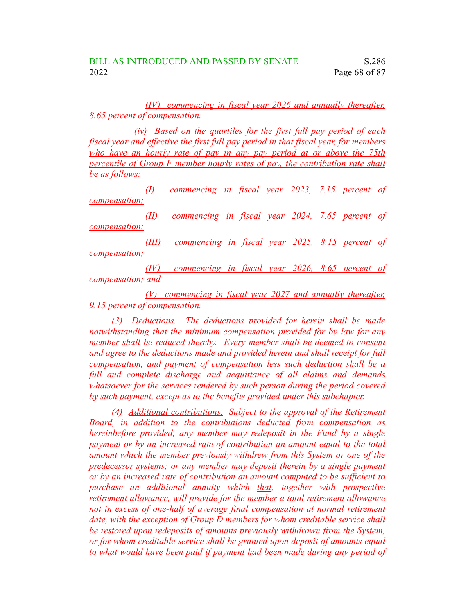## *(IV) commencing in fiscal year 2026 and annually thereafter, 8.65 percent of compensation.*

*(iv) Based on the quartiles for the first full pay period of each fiscal year and effective the first full pay period in that fiscal year, for members who have an hourly rate of pay in any pay period at or above the 75th percentile of Group F member hourly rates of pay, the contribution rate shall be as follows:*

*(I) commencing in fiscal year 2023, 7.15 percent of compensation;*

*(II) commencing in fiscal year 2024, 7.65 percent of compensation;*

*(III) commencing in fiscal year 2025, 8.15 percent of compensation;*

*(IV) commencing in fiscal year 2026, 8.65 percent of compensation; and*

*(V) commencing in fiscal year 2027 and annually thereafter, 9.15 percent of compensation.*

*(3) Deductions. The deductions provided for herein shall be made notwithstanding that the minimum compensation provided for by law for any member shall be reduced thereby. Every member shall be deemed to consent and agree to the deductions made and provided herein and shall receipt for full compensation, and payment of compensation less such deduction shall be a full and complete discharge and acquittance of all claims and demands whatsoever for the services rendered by such person during the period covered by such payment, except as to the benefits provided under this subchapter.*

*(4) Additional contributions. Subject to the approval of the Retirement Board, in addition to the contributions deducted from compensation as hereinbefore provided, any member may redeposit in the Fund by a single payment or by an increased rate of contribution an amount equal to the total amount which the member previously withdrew from this System or one of the predecessor systems; or any member may deposit therein by a single payment or by an increased rate of contribution an amount computed to be sufficient to purchase an additional annuity which that, together with prospective retirement allowance, will provide for the member a total retirement allowance not in excess of one-half of average final compensation at normal retirement date, with the exception of Group D members for whom creditable service shall be restored upon redeposits of amounts previously withdrawn from the System, or for whom creditable service shall be granted upon deposit of amounts equal to what would have been paid if payment had been made during any period of*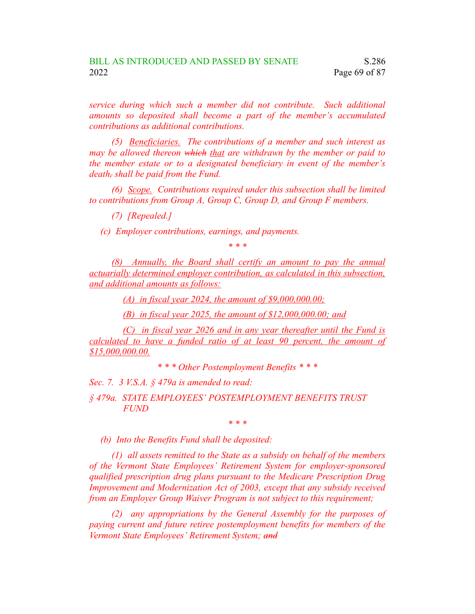*service during which such a member did not contribute. Such additional amounts so deposited shall become a part of the member's accumulated contributions as additional contributions.*

*(5) Beneficiaries. The contributions of a member and such interest as may be allowed thereon which that are withdrawn by the member or paid to the member estate or to a designated beneficiary in event of the member's death, shall be paid from the Fund.*

*(6) Scope. Contributions required under this subsection shall be limited to contributions from Group A, Group C, Group D, and Group F members.*

*(7) [Repealed.]*

*(c) Employer contributions, earnings, and payments.*

*\* \* \**

*(8) Annually, the Board shall certify an amount to pay the annual actuarially determined employer contribution, as calculated in this subsection, and additional amounts as follows:*

*(A) in fiscal year 2024, the amount of \$9,000,000.00;*

*(B) in fiscal year 2025, the amount of \$12,000,000.00; and*

*(C) in fiscal year 2026 and in any year thereafter until the Fund is calculated to have a funded ratio of at least 90 percent, the amount of \$15,000,000.00.*

*\* \* \* Other Postemployment Benefits \* \* \**

*Sec. 7. 3 V.S.A. § 479a is amended to read:*

*§ 479a. STATE EMPLOYEES' POSTEMPLOYMENT BENEFITS TRUST FUND*

*\* \* \**

*(b) Into the Benefits Fund shall be deposited:*

*(1) all assets remitted to the State as a subsidy on behalf of the members of the Vermont State Employees' Retirement System for employer-sponsored qualified prescription drug plans pursuant to the Medicare Prescription Drug Improvement and Modernization Act of 2003, except that any subsidy received from an Employer Group Waiver Program is not subject to this requirement;*

*(2) any appropriations by the General Assembly for the purposes of paying current and future retiree postemployment benefits for members of the Vermont State Employees' Retirement System; and*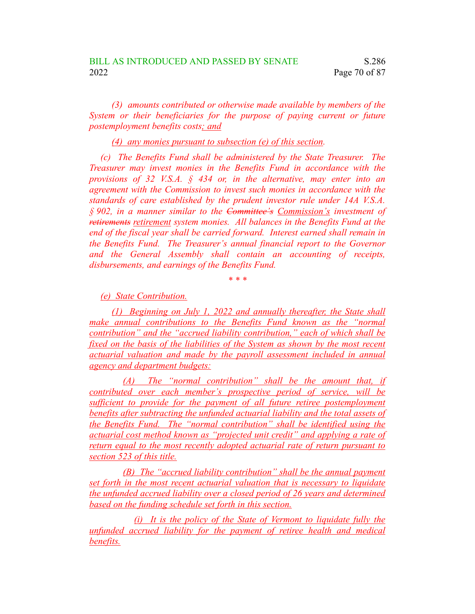*(3) amounts contributed or otherwise made available by members of the System or their beneficiaries for the purpose of paying current or future postemployment benefits costs; and*

*(4) any monies pursuant to subsection (e) of this section.*

*(c) The Benefits Fund shall be administered by the State Treasurer. The Treasurer may invest monies in the Benefits Fund in accordance with the provisions of 32 V.S.A. § 434 or, in the alternative, may enter into an agreement with the Commission to invest such monies in accordance with the standards of care established by the prudent investor rule under 14A V.S.A. § 902, in a manner similar to the Committee's Commission's investment of retirements retirement system monies. All balances in the Benefits Fund at the end of the fiscal year shall be carried forward. Interest earned shall remain in the Benefits Fund. The Treasurer's annual financial report to the Governor and the General Assembly shall contain an accounting of receipts, disbursements, and earnings of the Benefits Fund.*

*\* \* \**

*(e) State Contribution.*

*(1) Beginning on July 1, 2022 and annually thereafter, the State shall make annual contributions to the Benefits Fund known as the "normal contribution" and the "accrued liability contribution," each of which shall be fixed on the basis of the liabilities of the System as shown by the most recent actuarial valuation and made by the payroll assessment included in annual agency and department budgets:*

*(A) The "normal contribution" shall be the amount that, if contributed over each member's prospective period of service, will be sufficient to provide for the payment of all future retiree postemployment benefits after subtracting the unfunded actuarial liability and the total assets of the Benefits Fund. The "normal contribution" shall be identified using the actuarial cost method known as "projected unit credit" and applying a rate of return equal to the most recently adopted actuarial rate of return pursuant to section 523 of this title.*

*(B) The "accrued liability contribution" shall be the annual payment set forth in the most recent actuarial valuation that is necessary to liquidate the unfunded accrued liability over a closed period of 26 years and determined based on the funding schedule set forth in this section.*

*(i) It is the policy of the State of Vermont to liquidate fully the unfunded accrued liability for the payment of retiree health and medical benefits.*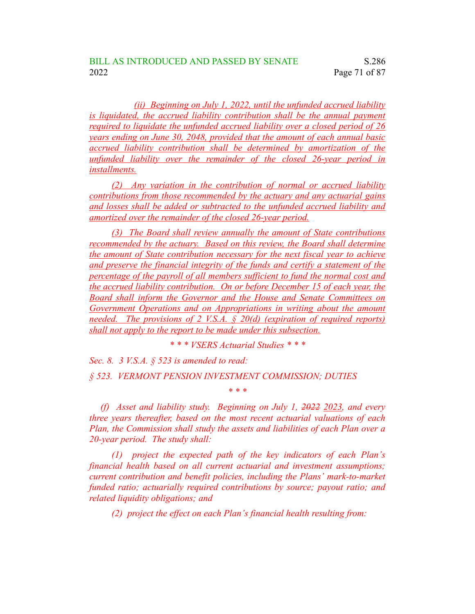*(ii) Beginning on July 1, 2022, until the unfunded accrued liability is liquidated, the accrued liability contribution shall be the annual payment required to liquidate the unfunded accrued liability over a closed period of 26 years ending on June 30, 2048, provided that the amount of each annual basic accrued liability contribution shall be determined by amortization of the unfunded liability over the remainder of the closed 26-year period in installments.*

*(2) Any variation in the contribution of normal or accrued liability contributions from those recommended by the actuary and any actuarial gains and losses shall be added or subtracted to the unfunded accrued liability and amortized over the remainder of the closed 26-year period.*

*(3) The Board shall review annually the amount of State contributions recommended by the actuary. Based on this review, the Board shall determine the amount of State contribution necessary for the next fiscal year to achieve and preserve the financial integrity of the funds and certify a statement of the percentage of the payroll of all members sufficient to fund the normal cost and the accrued liability contribution. On or before December 15 of each year, the Board shall inform the Governor and the House and Senate Committees on Government Operations and on Appropriations in writing about the amount needed. The provisions of 2 V.S.A. § 20(d) (expiration of required reports) shall not apply to the report to be made under this subsection.*

*\* \* \* VSERS Actuarial Studies \* \* \**

*Sec. 8. 3 V.S.A. § 523 is amended to read: § 523. VERMONT PENSION INVESTMENT COMMISSION; DUTIES*

*(f) Asset and liability study. Beginning on July 1, 2022 2023, and every three years thereafter, based on the most recent actuarial valuations of each Plan, the Commission shall study the assets and liabilities of each Plan over a 20-year period. The study shall:*

*\* \* \**

*(1) project the expected path of the key indicators of each Plan's financial health based on all current actuarial and investment assumptions; current contribution and benefit policies, including the Plans' mark-to-market funded ratio; actuarially required contributions by source; payout ratio; and related liquidity obligations; and*

*(2) project the effect on each Plan's financial health resulting from:*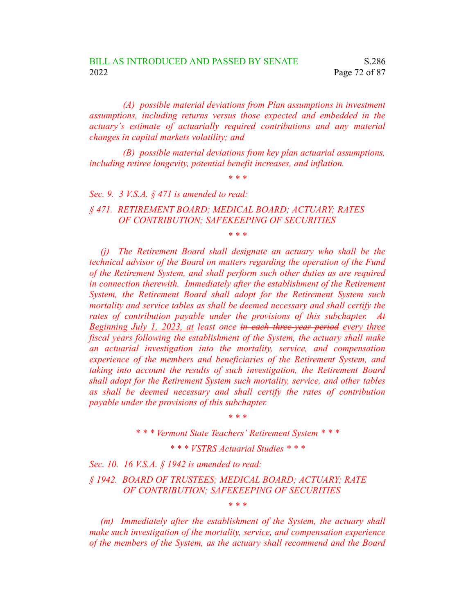*(A) possible material deviations from Plan assumptions in investment assumptions, including returns versus those expected and embedded in the actuary's estimate of actuarially required contributions and any material changes in capital markets volatility; and*

*(B) possible material deviations from key plan actuarial assumptions, including retiree longevity, potential benefit increases, and inflation.*

*\* \* \**

*Sec. 9. 3 V.S.A. § 471 is amended to read:*

*§ 471. RETIREMENT BOARD; MEDICAL BOARD; ACTUARY; RATES OF CONTRIBUTION; SAFEKEEPING OF SECURITIES*

*\* \* \**

*(j) The Retirement Board shall designate an actuary who shall be the technical advisor of the Board on matters regarding the operation of the Fund of the Retirement System, and shall perform such other duties as are required in connection therewith. Immediately after the establishment of the Retirement System, the Retirement Board shall adopt for the Retirement System such mortality and service tables as shall be deemed necessary and shall certify the rates of contribution payable under the provisions of this subchapter. At Beginning July 1, 2023, at least once in each three-year period every three fiscal years following the establishment of the System, the actuary shall make an actuarial investigation into the mortality, service, and compensation experience of the members and beneficiaries of the Retirement System, and taking into account the results of such investigation, the Retirement Board shall adopt for the Retirement System such mortality, service, and other tables as shall be deemed necessary and shall certify the rates of contribution payable under the provisions of this subchapter.*

> *\* \* \* \* \* \* Vermont State Teachers' Retirement System \* \* \**

> > *\* \* \* VSTRS Actuarial Studies \* \* \**

*Sec. 10. 16 V.S.A. § 1942 is amended to read:*

*§ 1942. BOARD OF TRUSTEES; MEDICAL BOARD; ACTUARY; RATE OF CONTRIBUTION; SAFEKEEPING OF SECURITIES*

*(m) Immediately after the establishment of the System, the actuary shall make such investigation of the mortality, service, and compensation experience of the members of the System, as the actuary shall recommend and the Board*

*\* \* \**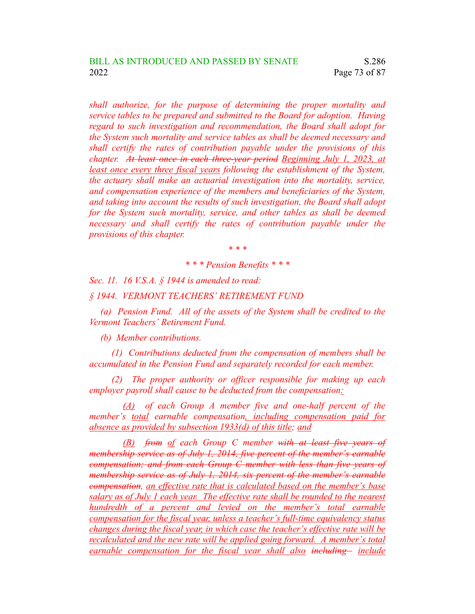*shall authorize, for the purpose of determining the proper mortality and service tables to be prepared and submitted to the Board for adoption. Having regard to such investigation and recommendation, the Board shall adopt for the System such mortality and service tables as shall be deemed necessary and shall certify the rates of contribution payable under the provisions of this chapter. At least once in each three-year period Beginning July 1, 2023, at least once every three fiscal years following the establishment of the System, the actuary shall make an actuarial investigation into the mortality, service, and compensation experience of the members and beneficiaries of the System, and taking into account the results of such investigation, the Board shall adopt for the System such mortality, service, and other tables as shall be deemed necessary and shall certify the rates of contribution payable under the provisions of this chapter.*

*\* \* \**

## *\* \* \* Pension Benefits \* \* \**

*Sec. 11. 16 V.S.A. § 1944 is amended to read:*

*§ 1944. VERMONT TEACHERS' RETIREMENT FUND*

*(a) Pension Fund. All of the assets of the System shall be credited to the Vermont Teachers' Retirement Fund.*

*(b) Member contributions.*

*(1) Contributions deducted from the compensation of members shall be accumulated in the Pension Fund and separately recorded for each member.*

*(2) The proper authority or officer responsible for making up each employer payroll shall cause to be deducted from the compensation:*

*(A) of each Group A member five and one-half percent of the member's total earnable compensation, including compensation paid for absence as provided by subsection 1933(d) of this title; and*

*(B) from of each Group C member with at least five years of membership service as of July 1, 2014, five percent of the member's earnable compensation; and from each Group C member with less than five years of membership service as of July 1, 2014, six percent of the member's earnable compensation, an effective rate that is calculated based on the member's base salary as of July 1 each year. The effective rate shall be rounded to the nearest hundredth of a percent and levied on the member's total earnable compensation for the fiscal year, unless a teacher's full-time equivalency status changes during the fiscal year, in which case the teacher's effective rate will be recalculated and the new rate will be applied going forward. A member's total earnable compensation for the fiscal year shall also including include*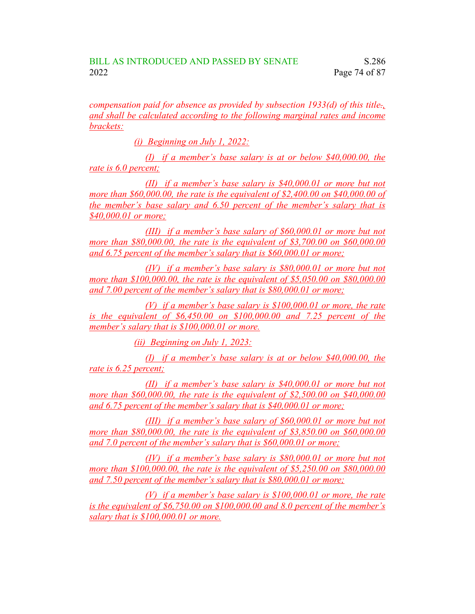*compensation paid for absence as provided by subsection 1933(d) of this title., and shall be calculated according to the following marginal rates and income brackets:*

*(i) Beginning on July 1, 2022:*

*(I) if a member's base salary is at or below \$40,000.00, the rate is 6.0 percent;*

*(II) if a member's base salary is \$40,000.01 or more but not more than \$60,000.00, the rate is the equivalent of \$2,400.00 on \$40,000.00 of the member's base salary and 6.50 percent of the member's salary that is \$40,000.01 or more;*

*(III) if a member's base salary of \$60,000.01 or more but not more than \$80,000.00, the rate is the equivalent of \$3,700.00 on \$60,000.00 and 6.75 percent of the member's salary that is \$60,000.01 or more;*

*(IV) if a member's base salary is \$80,000.01 or more but not more than \$100,000.00, the rate is the equivalent of \$5,050.00 on \$80,000.00 and 7.00 percent of the member's salary that is \$80,000.01 or more;*

*(V) if a member's base salary is \$100,000.01 or more, the rate is the equivalent of \$6,450.00 on \$100,000.00 and 7.25 percent of the member's salary that is \$100,000.01 or more.*

*(ii) Beginning on July 1, 2023:*

*(I) if a member's base salary is at or below \$40,000.00, the rate is 6.25 percent;*

*(II) if a member's base salary is \$40,000.01 or more but not more than \$60,000.00, the rate is the equivalent of \$2,500.00 on \$40,000.00 and 6.75 percent of the member's salary that is \$40,000.01 or more;*

*(III) if a member's base salary of \$60,000.01 or more but not more than \$80,000.00, the rate is the equivalent of \$3,850.00 on \$60,000.00 and 7.0 percent of the member's salary that is \$60,000.01 or more;*

*(IV) if a member's base salary is \$80,000.01 or more but not more than \$100,000.00, the rate is the equivalent of \$5,250.00 on \$80,000.00 and 7.50 percent of the member's salary that is \$80,000.01 or more;*

*(V) if a member's base salary is \$100,000.01 or more, the rate is the equivalent of \$6,750.00 on \$100,000.00 and 8.0 percent of the member's salary that is \$100,000.01 or more.*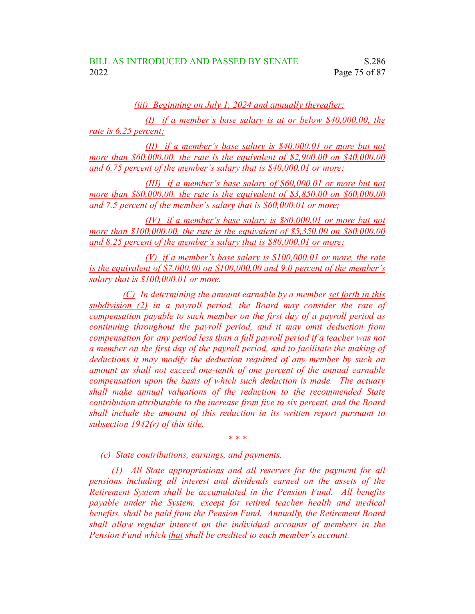*(iii) Beginning on July 1, 2024 and annually thereafter:*

*(I) if a member's base salary is at or below \$40,000.00, the rate is 6.25 percent;*

*(II) if a member's base salary is \$40,000.01 or more but not more than \$60,000.00, the rate is the equivalent of \$2,900.00 on \$40,000.00 and 6.75 percent of the member's salary that is \$40,000.01 or more;*

*(III) if a member's base salary of \$60,000.01 or more but not more than \$80,000.00, the rate is the equivalent of \$3,850.00 on \$60,000.00 and 7.5 percent of the member's salary that is \$60,000.01 or more;*

*(IV) if a member's base salary is \$80,000.01 or more but not more than \$100,000.00, the rate is the equivalent of \$5,350.00 on \$80,000.00 and 8.25 percent of the member's salary that is \$80,000.01 or more;*

*(V) if a member's base salary is \$100,000.01 or more, the rate is the equivalent of \$7,000.00 on \$100,000.00 and 9.0 percent of the member's salary that is \$100,000.01 or more.*

*(C) In determining the amount earnable by a member set forth in this subdivision (2) in a payroll period, the Board may consider the rate of compensation payable to such member on the first day of a payroll period as continuing throughout the payroll period, and it may omit deduction from compensation for any period less than a full payroll period if a teacher was not a member on the first day of the payroll period, and to facilitate the making of deductions it may modify the deduction required of any member by such an amount as shall not exceed one-tenth of one percent of the annual earnable compensation upon the basis of which such deduction is made. The actuary shall make annual valuations of the reduction to the recommended State contribution attributable to the increase from five to six percent, and the Board shall include the amount of this reduction in its written report pursuant to subsection 1942(r) of this title.*

*\* \* \**

*(c) State contributions, earnings, and payments.*

*(1) All State appropriations and all reserves for the payment for all pensions including all interest and dividends earned on the assets of the Retirement System shall be accumulated in the Pension Fund. All benefits payable under the System, except for retired teacher health and medical benefits, shall be paid from the Pension Fund. Annually, the Retirement Board shall allow regular interest on the individual accounts of members in the Pension Fund which that shall be credited to each member's account.*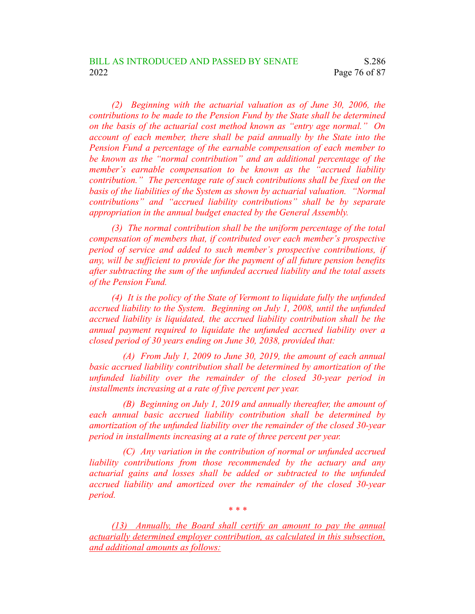*(2) Beginning with the actuarial valuation as of June 30, 2006, the contributions to be made to the Pension Fund by the State shall be determined on the basis of the actuarial cost method known as "entry age normal." On account of each member, there shall be paid annually by the State into the Pension Fund a percentage of the earnable compensation of each member to be known as the "normal contribution" and an additional percentage of the member's earnable compensation to be known as the "accrued liability contribution." The percentage rate of such contributions shall be fixed on the basis of the liabilities of the System as shown by actuarial valuation. "Normal contributions" and "accrued liability contributions" shall be by separate appropriation in the annual budget enacted by the General Assembly.*

*(3) The normal contribution shall be the uniform percentage of the total compensation of members that, if contributed over each member's prospective period of service and added to such member's prospective contributions, if any, will be sufficient to provide for the payment of all future pension benefits after subtracting the sum of the unfunded accrued liability and the total assets of the Pension Fund.*

*(4) It is the policy of the State of Vermont to liquidate fully the unfunded accrued liability to the System. Beginning on July 1, 2008, until the unfunded accrued liability is liquidated, the accrued liability contribution shall be the annual payment required to liquidate the unfunded accrued liability over a closed period of 30 years ending on June 30, 2038, provided that:*

*(A) From July 1, 2009 to June 30, 2019, the amount of each annual basic accrued liability contribution shall be determined by amortization of the unfunded liability over the remainder of the closed 30-year period in installments increasing at a rate of five percent per year.*

*(B) Beginning on July 1, 2019 and annually thereafter, the amount of each annual basic accrued liability contribution shall be determined by amortization of the unfunded liability over the remainder of the closed 30-year period in installments increasing at a rate of three percent per year.*

*(C) Any variation in the contribution of normal or unfunded accrued liability contributions from those recommended by the actuary and any actuarial gains and losses shall be added or subtracted to the unfunded accrued liability and amortized over the remainder of the closed 30-year period.*

*(13) Annually, the Board shall certify an amount to pay the annual actuarially determined employer contribution, as calculated in this subsection, and additional amounts as follows:*

*\* \* \**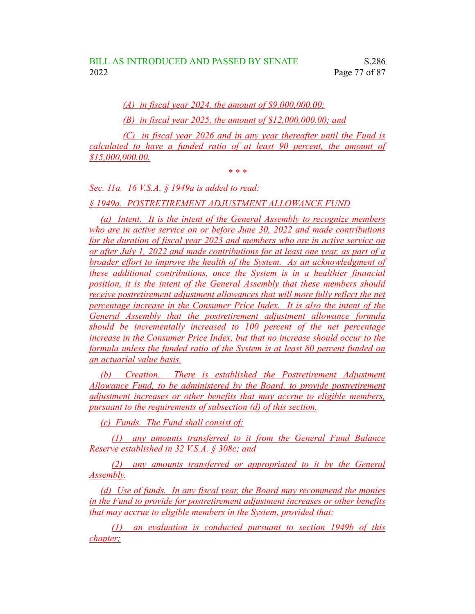*(A) in fiscal year 2024, the amount of \$9,000,000.00;*

*(B) in fiscal year 2025, the amount of \$12,000,000.00; and*

*(C) in fiscal year 2026 and in any year thereafter until the Fund is calculated to have a funded ratio of at least 90 percent, the amount of \$15,000,000.00.*

*\* \* \**

*Sec. 11a. 16 V.S.A. § 1949a is added to read:*

*§ 1949a. POSTRETIREMENT ADJUSTMENT ALLOWANCE FUND*

*(a) Intent. It is the intent of the General Assembly to recognize members who are in active service on or before June 30, 2022 and made contributions for the duration of fiscal year 2023 and members who are in active service on or after July 1, 2022 and made contributions for at least one year, as part of a broader effort to improve the health of the System. As an acknowledgment of these additional contributions, once the System is in a healthier financial position, it is the intent of the General Assembly that these members should receive postretirement adjustment allowances that will more fully reflect the net percentage increase in the Consumer Price Index. It is also the intent of the General Assembly that the postretirement adjustment allowance formula should be incrementally increased to 100 percent of the net percentage increase in the Consumer Price Index, but that no increase should occur to the formula unless the funded ratio of the System is at least 80 percent funded on an actuarial value basis.*

*(b) Creation. There is established the Postretirement Adjustment Allowance Fund, to be administered by the Board, to provide postretirement adjustment increases or other benefits that may accrue to eligible members, pursuant to the requirements of subsection (d) of this section.*

*(c) Funds. The Fund shall consist of:*

*(1) any amounts transferred to it from the General Fund Balance Reserve established in 32 V.S.A. § 308c; and*

*(2) any amounts transferred or appropriated to it by the General Assembly.*

*(d) Use of funds. In any fiscal year, the Board may recommend the monies in the Fund to provide for postretirement adjustment increases or other benefits that may accrue to eligible members in the System, provided that:*

*(1) an evaluation is conducted pursuant to section 1949b of this chapter;*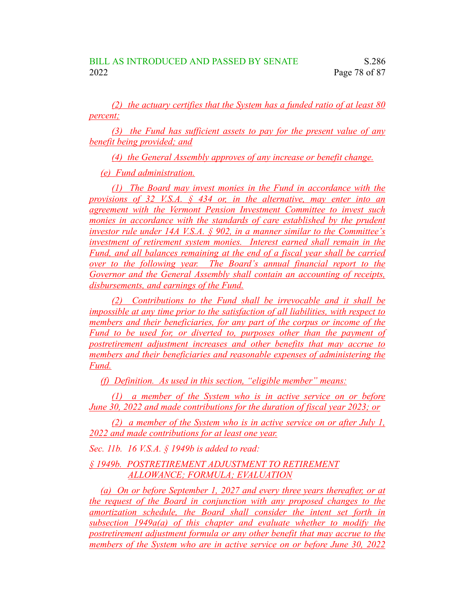*(2) the actuary certifies that the System has a funded ratio of at least 80 percent;*

*(3) the Fund has sufficient assets to pay for the present value of any benefit being provided; and*

*(4) the General Assembly approves of any increase or benefit change.*

*(e) Fund administration.*

*(1) The Board may invest monies in the Fund in accordance with the provisions of 32 V.S.A. § 434 or, in the alternative, may enter into an agreement with the Vermont Pension Investment Committee to invest such monies in accordance with the standards of care established by the prudent investor rule under 14A V.S.A. § 902, in a manner similar to the Committee's investment of retirement system monies. Interest earned shall remain in the Fund, and all balances remaining at the end of a fiscal year shall be carried over to the following year. The Board's annual financial report to the Governor and the General Assembly shall contain an accounting of receipts, disbursements, and earnings of the Fund.*

*(2) Contributions to the Fund shall be irrevocable and it shall be impossible at any time prior to the satisfaction of all liabilities, with respect to members and their beneficiaries, for any part of the corpus or income of the Fund to be used for, or diverted to, purposes other than the payment of postretirement adjustment increases and other benefits that may accrue to members and their beneficiaries and reasonable expenses of administering the Fund.*

*(f) Definition. As used in this section, "eligible member" means:*

*(1) a member of the System who is in active service on or before June 30, 2022 and made contributions for the duration of fiscal year 2023; or*

*(2) a member of the System who is in active service on or after July 1, 2022 and made contributions for at least one year.*

*Sec. 11b. 16 V.S.A. § 1949b is added to read:*

*§ 1949b. POSTRETIREMENT ADJUSTMENT TO RETIREMENT ALLOWANCE; FORMULA; EVALUATION*

*(a) On or before September 1, 2027 and every three years thereafter, or at the request of the Board in conjunction with any proposed changes to the amortization schedule, the Board shall consider the intent set forth in subsection 1949a(a) of this chapter and evaluate whether to modify the postretirement adjustment formula or any other benefit that may accrue to the members of the System who are in active service on or before June 30, 2022*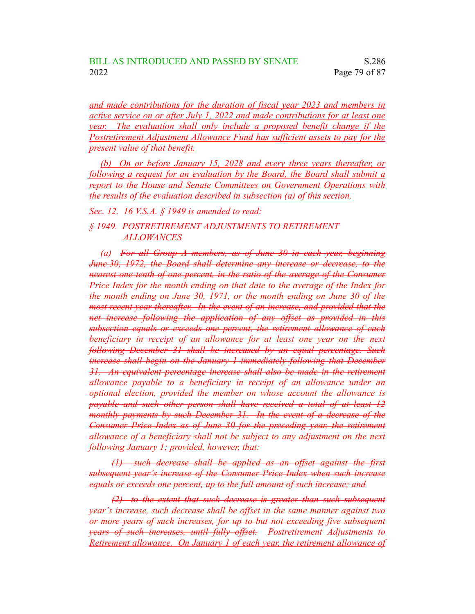*and made contributions for the duration of fiscal year 2023 and members in active service on or after July 1, 2022 and made contributions for at least one year. The evaluation shall only include a proposed benefit change if the Postretirement Adjustment Allowance Fund has sufficient assets to pay for the present value of that benefit.*

*(b) On or before January 15, 2028 and every three years thereafter, or following a request for an evaluation by the Board, the Board shall submit a report to the House and Senate Committees on Government Operations with the results of the evaluation described in subsection (a) of this section.*

*Sec. 12. 16 V.S.A. § 1949 is amended to read:*

## *§ 1949. POSTRETIREMENT ADJUSTMENTS TO RETIREMENT ALLOWANCES*

*(a) For all Group A members, as of June 30 in each year, beginning June 30, 1972, the Board shall determine any increase or decrease, to the nearest one-tenth of one percent, in the ratio of the average of the Consumer Price Index for the month ending on that date to the average of the Index for the month ending on June 30, 1971, or the month ending on June 30 of the most recent year thereafter. In the event of an increase, and provided that the net increase following the application of any offset as provided in this subsection equals or exceeds one percent, the retirement allowance of each beneficiary in receipt of an allowance for at least one year on the next following December 31 shall be increased by an equal percentage. Such increase shall begin on the January 1 immediately following that December 31. An equivalent percentage increase shall also be made in the retirement allowance payable to a beneficiary in receipt of an allowance under an optional election, provided the member on whose account the allowance is payable and such other person shall have received a total of at least 12 monthly payments by such December 31. In the event of a decrease of the Consumer Price Index as of June 30 for the preceding year, the retirement allowance of a beneficiary shall not be subject to any adjustment on the next following January 1; provided, however, that:*

*(1) such decrease shall be applied as an offset against the first subsequent year's increase of the Consumer Price Index when such increase equals or exceeds one percent, up to the full amount of such increase; and*

*(2) to the extent that such decrease is greater than such subsequent year's increase, such decrease shall be offset in the same manner against two or more years of such increases, for up to but not exceeding five subsequent years of such increases, until fully offset. Postretirement Adjustments to Retirement allowance. On January 1 of each year, the retirement allowance of*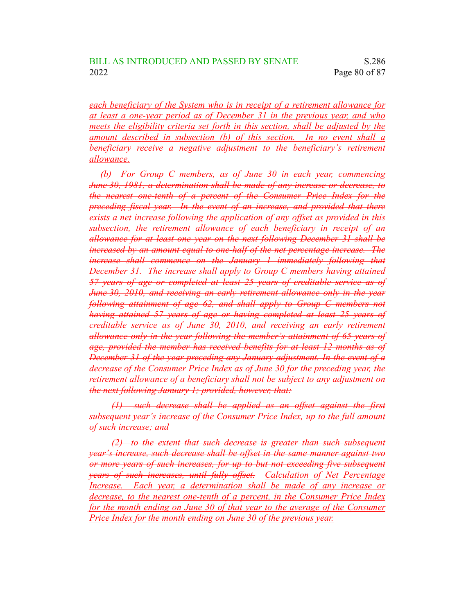*each beneficiary of the System who is in receipt of a retirement allowance for at least a one-year period as of December 31 in the previous year, and who meets the eligibility criteria set forth in this section, shall be adjusted by the amount described in subsection (b) of this section. In no event shall a beneficiary receive a negative adjustment to the beneficiary's retirement allowance.*

*(b) For Group C members, as of June 30 in each year, commencing June 30, 1981, a determination shall be made of any increase or decrease, to the nearest one-tenth of a percent of the Consumer Price Index for the preceding fiscal year. In the event of an increase, and provided that there exists a net increase following the application of any offset as provided in this subsection, the retirement allowance of each beneficiary in receipt of an allowance for at least one year on the next following December 31 shall be increased by an amount equal to one-half of the net percentage increase. The increase shall commence on the January 1 immediately following that December 31. The increase shall apply to Group C members having attained 57 years of age or completed at least 25 years of creditable service as of June 30, 2010, and receiving an early retirement allowance only in the year following attainment of age 62, and shall apply to Group C members not having attained 57 years of age or having completed at least 25 years of creditable service as of June 30, 2010, and receiving an early retirement allowance only in the year following the member's attainment of 65 years of age, provided the member has received benefits for at least 12 months as of December 31 of the year preceding any January adjustment. In the event of a decrease of the Consumer Price Index as of June 30 for the preceding year, the retirement allowance of a beneficiary shall not be subject to any adjustment on the next following January 1; provided, however, that:*

*(1) such decrease shall be applied as an offset against the first subsequent year's increase of the Consumer Price Index, up to the full amount of such increase; and*

*(2) to the extent that such decrease is greater than such subsequent year's increase, such decrease shall be offset in the same manner against two or more years of such increases, for up to but not exceeding five subsequent years of such increases, until fully offset. Calculation of Net Percentage Increase. Each year, a determination shall be made of any increase or decrease, to the nearest one-tenth of a percent, in the Consumer Price Index for the month ending on June 30 of that year to the average of the Consumer Price Index for the month ending on June 30 of the previous year.*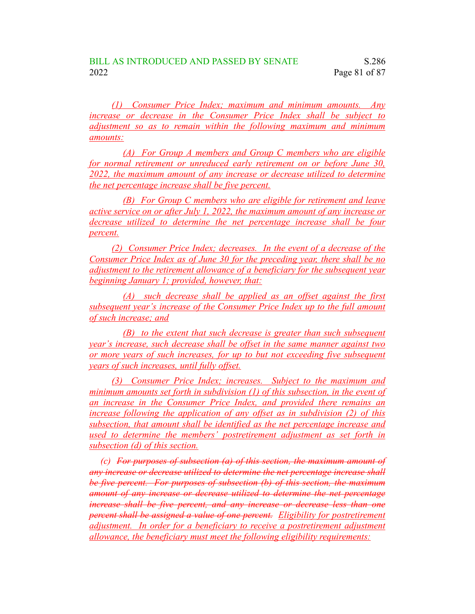*(1) Consumer Price Index; maximum and minimum amounts. Any increase or decrease in the Consumer Price Index shall be subject to adjustment so as to remain within the following maximum and minimum amounts:*

*(A) For Group A members and Group C members who are eligible for normal retirement or unreduced early retirement on or before June 30, 2022, the maximum amount of any increase or decrease utilized to determine the net percentage increase shall be five percent.*

*(B) For Group C members who are eligible for retirement and leave active service on or after July 1, 2022, the maximum amount of any increase or decrease utilized to determine the net percentage increase shall be four percent.*

*(2) Consumer Price Index; decreases. In the event of a decrease of the Consumer Price Index as of June 30 for the preceding year, there shall be no adjustment to the retirement allowance of a beneficiary for the subsequent year beginning January 1; provided, however, that:*

*(A) such decrease shall be applied as an offset against the first subsequent year's increase of the Consumer Price Index up to the full amount of such increase; and*

*(B) to the extent that such decrease is greater than such subsequent year's increase, such decrease shall be offset in the same manner against two or more years of such increases, for up to but not exceeding five subsequent years of such increases, until fully offset.*

*(3) Consumer Price Index; increases. Subject to the maximum and minimum amounts set forth in subdivision (1) of this subsection, in the event of an increase in the Consumer Price Index, and provided there remains an increase following the application of any offset as in subdivision (2) of this subsection, that amount shall be identified as the net percentage increase and used to determine the members' postretirement adjustment as set forth in subsection (d) of this section.*

*(c) For purposes of subsection (a) of this section, the maximum amount of any increase or decrease utilized to determine the net percentage increase shall be five percent. For purposes of subsection (b) of this section, the maximum amount of any increase or decrease utilized to determine the net percentage increase shall be five percent, and any increase or decrease less than one percent shall be assigned a value of one percent. Eligibility for postretirement adjustment. In order for a beneficiary to receive a postretirement adjustment allowance, the beneficiary must meet the following eligibility requirements:*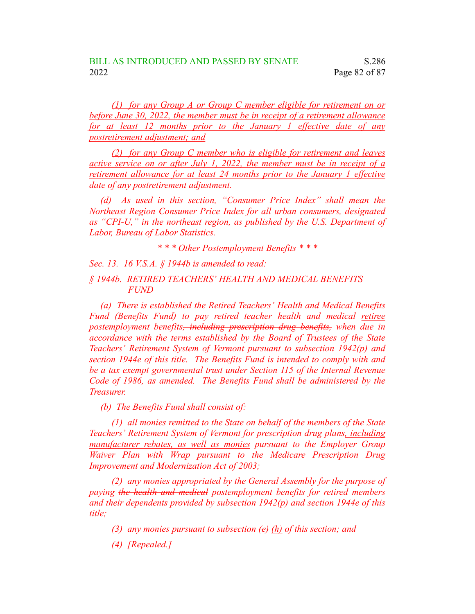*(1) for any Group A or Group C member eligible for retirement on or before June 30, 2022, the member must be in receipt of a retirement allowance for at least 12 months prior to the January 1 effective date of any postretirement adjustment; and*

*(2) for any Group C member who is eligible for retirement and leaves active service on or after July 1, 2022, the member must be in receipt of a retirement allowance for at least 24 months prior to the January 1 effective date of any postretirement adjustment.*

*(d) As used in this section, "Consumer Price Index" shall mean the Northeast Region Consumer Price Index for all urban consumers, designated as "CPI-U," in the northeast region, as published by the U.S. Department of Labor, Bureau of Labor Statistics.*

*\* \* \* Other Postemployment Benefits \* \* \**

*Sec. 13. 16 V.S.A. § 1944b is amended to read:*

*§ 1944b. RETIRED TEACHERS' HEALTH AND MEDICAL BENEFITS FUND*

*(a) There is established the Retired Teachers' Health and Medical Benefits Fund (Benefits Fund) to pay retired teacher health and medical retiree postemployment benefits, including prescription drug benefits, when due in accordance with the terms established by the Board of Trustees of the State Teachers' Retirement System of Vermont pursuant to subsection 1942(p) and section 1944e of this title. The Benefits Fund is intended to comply with and be a tax exempt governmental trust under Section 115 of the Internal Revenue Code of 1986, as amended. The Benefits Fund shall be administered by the Treasurer.*

*(b) The Benefits Fund shall consist of:*

*(1) all monies remitted to the State on behalf of the members of the State Teachers' Retirement System of Vermont for prescription drug plans, including manufacturer rebates, as well as monies pursuant to the Employer Group Waiver Plan with Wrap pursuant to the Medicare Prescription Drug Improvement and Modernization Act of 2003;*

*(2) any monies appropriated by the General Assembly for the purpose of paying the health and medical postemployment benefits for retired members and their dependents provided by subsection 1942(p) and section 1944e of this title;*

*(3) any monies pursuant to subsection (e) (h) of this section; and*

*(4) [Repealed.]*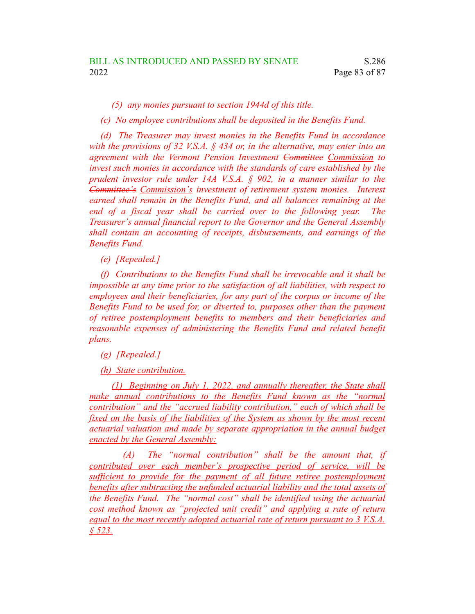*(5) any monies pursuant to section 1944d of this title.*

*(c) No employee contributions shall be deposited in the Benefits Fund.*

*(d) The Treasurer may invest monies in the Benefits Fund in accordance with the provisions of 32 V.S.A. § 434 or, in the alternative, may enter into an agreement with the Vermont Pension Investment Committee Commission to invest such monies in accordance with the standards of care established by the prudent investor rule under 14A V.S.A. § 902, in a manner similar to the Committee's Commission's investment of retirement system monies. Interest earned shall remain in the Benefits Fund, and all balances remaining at the end of a fiscal year shall be carried over to the following year. The Treasurer's annual financial report to the Governor and the General Assembly shall contain an accounting of receipts, disbursements, and earnings of the Benefits Fund.*

*(e) [Repealed.]*

*(f) Contributions to the Benefits Fund shall be irrevocable and it shall be impossible at any time prior to the satisfaction of all liabilities, with respect to employees and their beneficiaries, for any part of the corpus or income of the Benefits Fund to be used for, or diverted to, purposes other than the payment of retiree postemployment benefits to members and their beneficiaries and reasonable expenses of administering the Benefits Fund and related benefit plans.*

*(g) [Repealed.]*

*(h) State contribution.*

*(1) Beginning on July 1, 2022, and annually thereafter, the State shall make annual contributions to the Benefits Fund known as the "normal contribution" and the "accrued liability contribution," each of which shall be fixed on the basis of the liabilities of the System as shown by the most recent actuarial valuation and made by separate appropriation in the annual budget enacted by the General Assembly:*

*(A) The "normal contribution" shall be the amount that, if contributed over each member's prospective period of service, will be sufficient to provide for the payment of all future retiree postemployment benefits after subtracting the unfunded actuarial liability and the total assets of the Benefits Fund. The "normal cost" shall be identified using the actuarial cost method known as "projected unit credit" and applying a rate of return equal to the most recently adopted actuarial rate of return pursuant to 3 V.S.A. § 523.*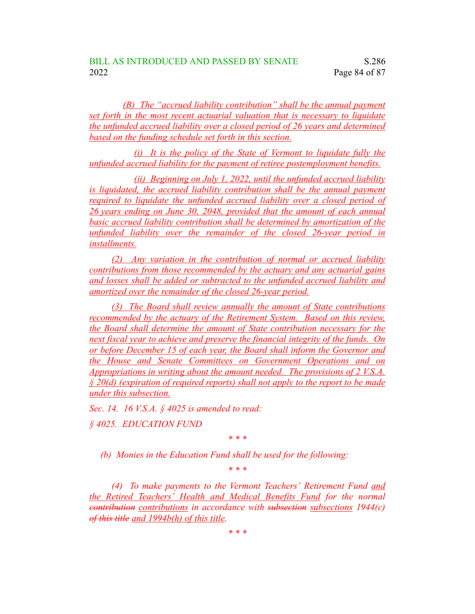*(B) The "accrued liability contribution" shall be the annual payment set forth in the most recent actuarial valuation that is necessary to liquidate the unfunded accrued liability over a closed period of 26 years and determined based on the funding schedule set forth in this section.*

*(i) It is the policy of the State of Vermont to liquidate fully the unfunded accrued liability for the payment of retiree postemployment benefits.*

*(ii) Beginning on July 1, 2022, until the unfunded accrued liability is liquidated, the accrued liability contribution shall be the annual payment required to liquidate the unfunded accrued liability over a closed period of 26 years ending on June 30, 2048, provided that the amount of each annual basic accrued liability contribution shall be determined by amortization of the unfunded liability over the remainder of the closed 26-year period in installments.*

*(2) Any variation in the contribution of normal or accrued liability contributions from those recommended by the actuary and any actuarial gains and losses shall be added or subtracted to the unfunded accrued liability and amortized over the remainder of the closed 26-year period.*

*(3) The Board shall review annually the amount of State contributions recommended by the actuary of the Retirement System. Based on this review, the Board shall determine the amount of State contribution necessary for the next fiscal year to achieve and preserve the financial integrity of the funds. On or before December 15 of each year, the Board shall inform the Governor and the House and Senate Committees on Government Operations and on Appropriations in writing about the amount needed. The provisions of 2 V.S.A. § 20(d) (expiration of required reports) shall not apply to the report to be made under this subsection.*

*Sec. 14. 16 V.S.A. § 4025 is amended to read:*

*§ 4025. EDUCATION FUND*

*\* \* \**

*(b) Monies in the Education Fund shall be used for the following:*

*\* \* \**

*(4) To make payments to the Vermont Teachers' Retirement Fund and the Retired Teachers' Health and Medical Benefits Fund for the normal contribution contributions in accordance with subsection subsections 1944(c) of this title and 1994b(h) of this title.*

*\* \* \**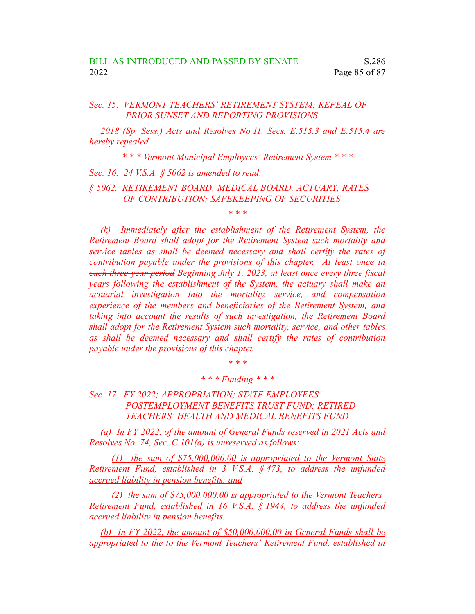## *Sec. 15. VERMONT TEACHERS' RETIREMENT SYSTEM; REPEAL OF PRIOR SUNSET AND REPORTING PROVISIONS*

*2018 (Sp. Sess.) Acts and Resolves No.11, Secs. E.515.3 and E.515.4 are hereby repealed.*

*\* \* \* Vermont Municipal Employees' Retirement System \* \* \**

*Sec. 16. 24 V.S.A. § 5062 is amended to read:*

*§ 5062. RETIREMENT BOARD; MEDICAL BOARD; ACTUARY; RATES OF CONTRIBUTION; SAFEKEEPING OF SECURITIES*

*\* \* \**

*(k) Immediately after the establishment of the Retirement System, the Retirement Board shall adopt for the Retirement System such mortality and service tables as shall be deemed necessary and shall certify the rates of contribution payable under the provisions of this chapter. At least once in each three-year period Beginning July 1, 2023, at least once every three fiscal years following the establishment of the System, the actuary shall make an actuarial investigation into the mortality, service, and compensation experience of the members and beneficiaries of the Retirement System, and taking into account the results of such investigation, the Retirement Board shall adopt for the Retirement System such mortality, service, and other tables as shall be deemed necessary and shall certify the rates of contribution payable under the provisions of this chapter.*

*\* \* \**

*\* \* \* Funding \* \* \**

*Sec. 17. FY 2022; APPROPRIATION; STATE EMPLOYEES' POSTEMPLOYMENT BENEFITS TRUST FUND; RETIRED TEACHERS' HEALTH AND MEDICAL BENEFITS FUND*

*(a) In FY 2022, of the amount of General Funds reserved in 2021 Acts and Resolves No. 74, Sec. C.101(a) is unreserved as follows:*

*(1) the sum of \$75,000,000.00 is appropriated to the Vermont State Retirement Fund, established in 3 V.S.A. § 473, to address the unfunded accrued liability in pension benefits; and*

*(2) the sum of \$75,000,000.00 is appropriated to the Vermont Teachers' Retirement Fund, established in 16 V.S.A. § 1944, to address the unfunded accrued liability in pension benefits.*

*(b) In FY 2022, the amount of \$50,000,000.00 in General Funds shall be appropriated to the to the Vermont Teachers' Retirement Fund, established in*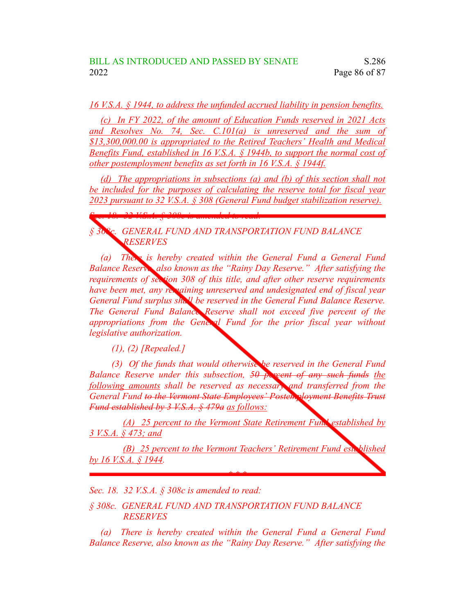*16 V.S.A. § 1944, to address the unfunded accrued liability in pension benefits.*

*(c) In FY 2022, of the amount of Education Funds reserved in 2021 Acts and Resolves No. 74, Sec. C.101(a) is unreserved and the sum of \$13,300,000.00 is appropriated to the Retired Teachers' Health and Medical Benefits Fund, established in 16 V.S.A. § 1944b, to support the normal cost of other postemployment benefits as set forth in 16 V.S.A. § 1944f.*

*(d) The appropriations in subsections (a) and (b) of this section shall not be included for the purposes of calculating the reserve total for fiscal year 2023 pursuant to 32 V.S.A. § 308 (General Fund budget stabilization reserve).*

*§ 308c. GENERAL FUND AND TRANSPORTATION FUND BALANCE RESERVES*

*(a) There is hereby created within the General Fund a General Fund Balance Reserve, also known as the "Rainy Day Reserve." After satisfying the requirements of section 308 of this title, and after other reserve requirements have been met, any remaining unreserved and undesignated end of fiscal year General Fund surplus shall be reserved in the General Fund Balance Reserve. The General Fund Balance Reserve shall not exceed five percent of the appropriations from the General Fund for the prior fiscal year without legislative authorization.*

*(1), (2) [Repealed.]*

*Sec. 18. 32 V.S.A. § 308c is amended to read:*

*(3) Of the funds that would otherwise be reserved in the General Fund Balance Reserve under this subsection, 50 percent of any such funds the following amounts shall be reserved as necessary and transferred from the General Fund to the Vermont State Employees' Postemployment Benefits Trust Fund established by 3 V.S.A. § 479a as follows:*

*(A) 25 percent to the Vermont State Retirement Fund established by 3 V.S.A. § 473; and*

*(B) 25 percent to the Vermont Teachers' Retirement Fund established by 16 V.S.A. § 1944.*

*\* \* \**

*Sec. 18. 32 V.S.A. § 308c is amended to read:*

*§ 308c. GENERAL FUND AND TRANSPORTATION FUND BALANCE RESERVES*

*(a) There is hereby created within the General Fund a General Fund Balance Reserve, also known as the "Rainy Day Reserve." After satisfying the*